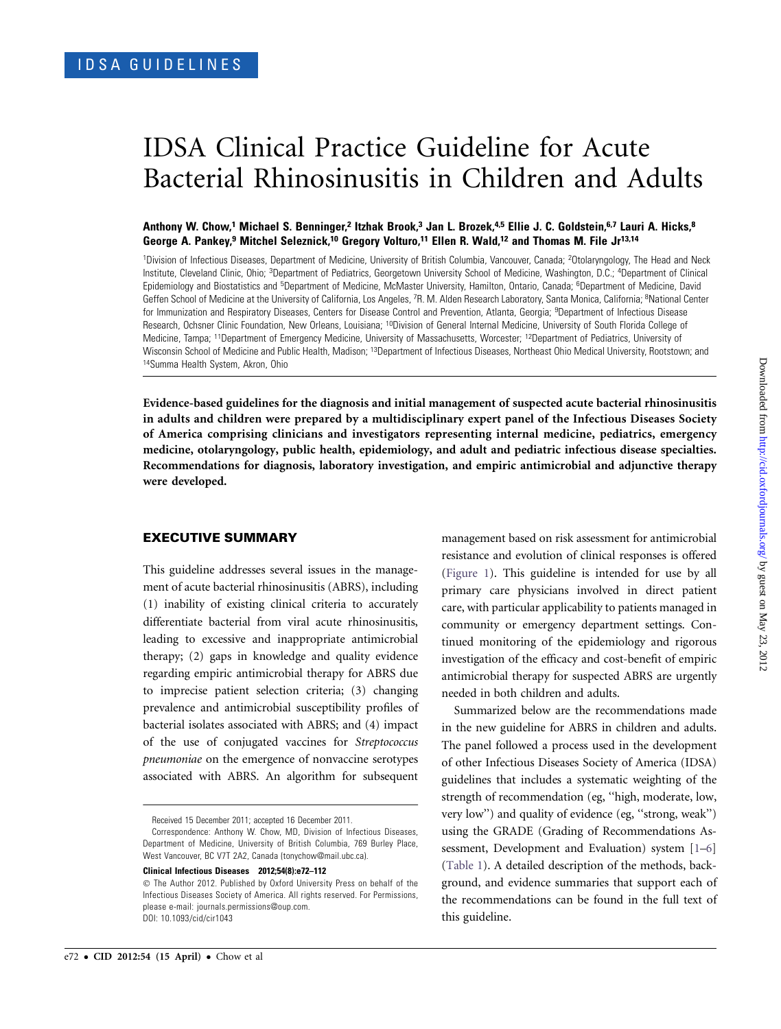# IDSA Clinical Practice Guideline for Acute Bacterial Rhinosinusitis in Children and Adults

#### Anthony W. Chow,<sup>1</sup> Michael S. Benninger,<sup>2</sup> Itzhak Brook,<sup>3</sup> Jan L. Brozek,<sup>4,5</sup> Ellie J. C. Goldstein,<sup>6,7</sup> Lauri A. Hicks,<sup>8</sup> George A. Pankey,<sup>9</sup> Mitchel Seleznick,<sup>10</sup> Gregory Volturo,<sup>11</sup> Ellen R. Wald,<sup>12</sup> and Thomas M. File Jr<sup>13,14</sup>

<sup>1</sup>Division of Infectious Diseases, Department of Medicine, University of British Columbia, Vancouver, Canada; <sup>2</sup>Otolaryngology, The Head and Neck Institute, Cleveland Clinic, Ohio; <sup>3</sup>Department of Pediatrics, Georgetown University School of Medicine, Washington, D.C.; <sup>4</sup>Department of Clinical Epidemiology and Biostatistics and <sup>5</sup>Department of Medicine, McMaster University, Hamilton, Ontario, Canada; <sup>6</sup>Department of Medicine, David Geffen School of Medicine at the University of California, Los Angeles, <sup>7</sup>R. M. Alden Research Laboratory, Santa Monica, California; <sup>8</sup>National Center for Immunization and Respiratory Diseases, Centers for Disease Control and Prevention, Atlanta, Georgia; <sup>9</sup>Department of Infectious Disease Research, Ochsner Clinic Foundation, New Orleans, Louisiana; <sup>10</sup>Division of General Internal Medicine, University of South Florida College of Medicine, Tampa; <sup>11</sup>Department of Emergency Medicine, University of Massachusetts, Worcester; <sup>12</sup>Department of Pediatrics, University of Wisconsin School of Medicine and Public Health, Madison; <sup>13</sup>Department of Infectious Diseases, Northeast Ohio Medical University, Rootstown; and 14Summa Health System, Akron, Ohio

Evidence-based guidelines for the diagnosis and initial management of suspected acute bacterial rhinosinusitis in adults and children were prepared by a multidisciplinary expert panel of the Infectious Diseases Society of America comprising clinicians and investigators representing internal medicine, pediatrics, emergency medicine, otolaryngology, public health, epidemiology, and adult and pediatric infectious disease specialties. Recommendations for diagnosis, laboratory investigation, and empiric antimicrobial and adjunctive therapy were developed.

## EXECUTIVE SUMMARY

This guideline addresses several issues in the management of acute bacterial rhinosinusitis (ABRS), including (1) inability of existing clinical criteria to accurately differentiate bacterial from viral acute rhinosinusitis, leading to excessive and inappropriate antimicrobial therapy; (2) gaps in knowledge and quality evidence regarding empiric antimicrobial therapy for ABRS due to imprecise patient selection criteria; (3) changing prevalence and antimicrobial susceptibility profiles of bacterial isolates associated with ABRS; and (4) impact of the use of conjugated vaccines for Streptococcus pneumoniae on the emergence of nonvaccine serotypes associated with ABRS. An algorithm for subsequent

Clinical Infectious Diseases 2012;54(8):e72–112

management based on risk assessment for antimicrobial resistance and evolution of clinical responses is offered [\(Figure 1](#page-1-0)). This guideline is intended for use by all primary care physicians involved in direct patient care, with particular applicability to patients managed in community or emergency department settings. Continued monitoring of the epidemiology and rigorous investigation of the efficacy and cost-benefit of empiric antimicrobial therapy for suspected ABRS are urgently needed in both children and adults.

Summarized below are the recommendations made in the new guideline for ABRS in children and adults. The panel followed a process used in the development of other Infectious Diseases Society of America (IDSA) guidelines that includes a systematic weighting of the strength of recommendation (eg, ''high, moderate, low, very low'') and quality of evidence (eg, ''strong, weak'') using the GRADE (Grading of Recommendations Assessment, Development and Evaluation) system [\[1–6\]](#page-35-0) [\(Table 1](#page-4-0)). A detailed description of the methods, background, and evidence summaries that support each of the recommendations can be found in the full text of this guideline.

Received 15 December 2011; accepted 16 December 2011.

Correspondence: Anthony W. Chow, MD, Division of Infectious Diseases, Department of Medicine, University of British Columbia, 769 Burley Place, West Vancouver, BC V7T 2A2, Canada (tonychow@mail.ubc.ca).

The Author 2012. Published by Oxford University Press on behalf of the Infectious Diseases Society of America. All rights reserved. For Permissions, please e-mail: journals.permissions@oup.com. DOI: 10.1093/cid/cir1043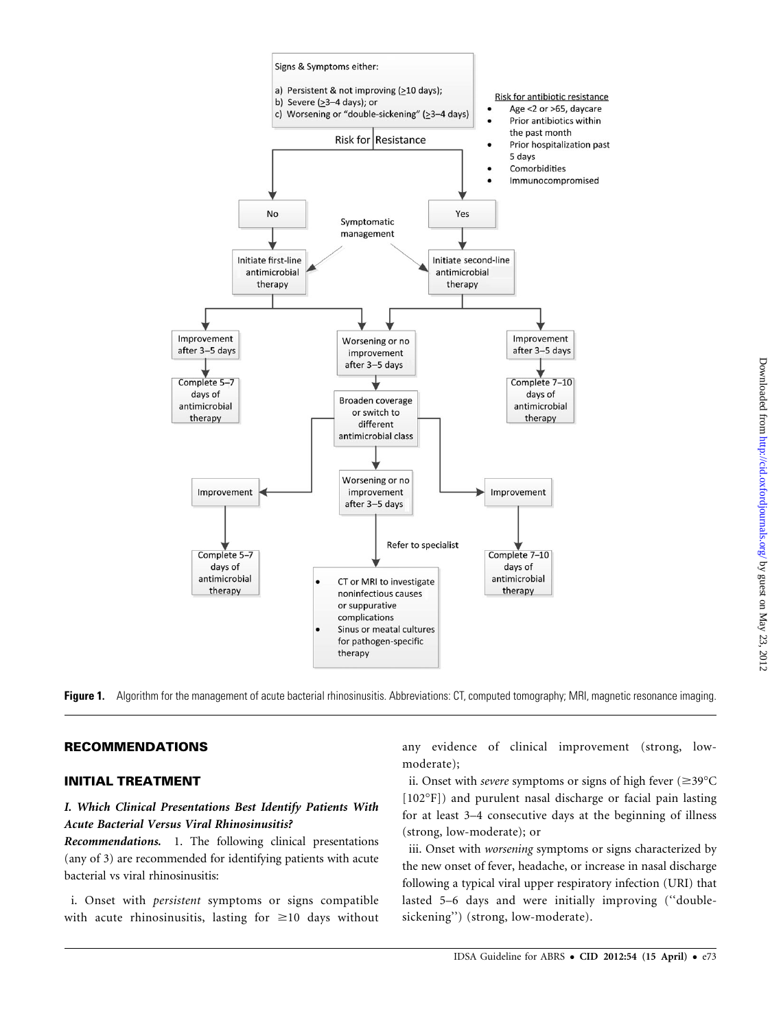<span id="page-1-0"></span>

Figure 1. Algorithm for the management of acute bacterial rhinosinusitis. Abbreviations: CT, computed tomography; MRI, magnetic resonance imaging.

## RECOMMENDATIONS

#### INITIAL TREATMENT

# I. Which Clinical Presentations Best Identify Patients With Acute Bacterial Versus Viral Rhinosinusitis?

Recommendations. 1. The following clinical presentations (any of 3) are recommended for identifying patients with acute bacterial vs viral rhinosinusitis:

i. Onset with persistent symptoms or signs compatible with acute rhinosinusitis, lasting for  $\geq 10$  days without any evidence of clinical improvement (strong, lowmoderate);

ii. Onset with *severe* symptoms or signs of high fever ( $\geq$ 39°C [102°F]) and purulent nasal discharge or facial pain lasting for at least 3–4 consecutive days at the beginning of illness (strong, low-moderate); or

iii. Onset with worsening symptoms or signs characterized by the new onset of fever, headache, or increase in nasal discharge following a typical viral upper respiratory infection (URI) that lasted 5–6 days and were initially improving (''doublesickening'') (strong, low-moderate).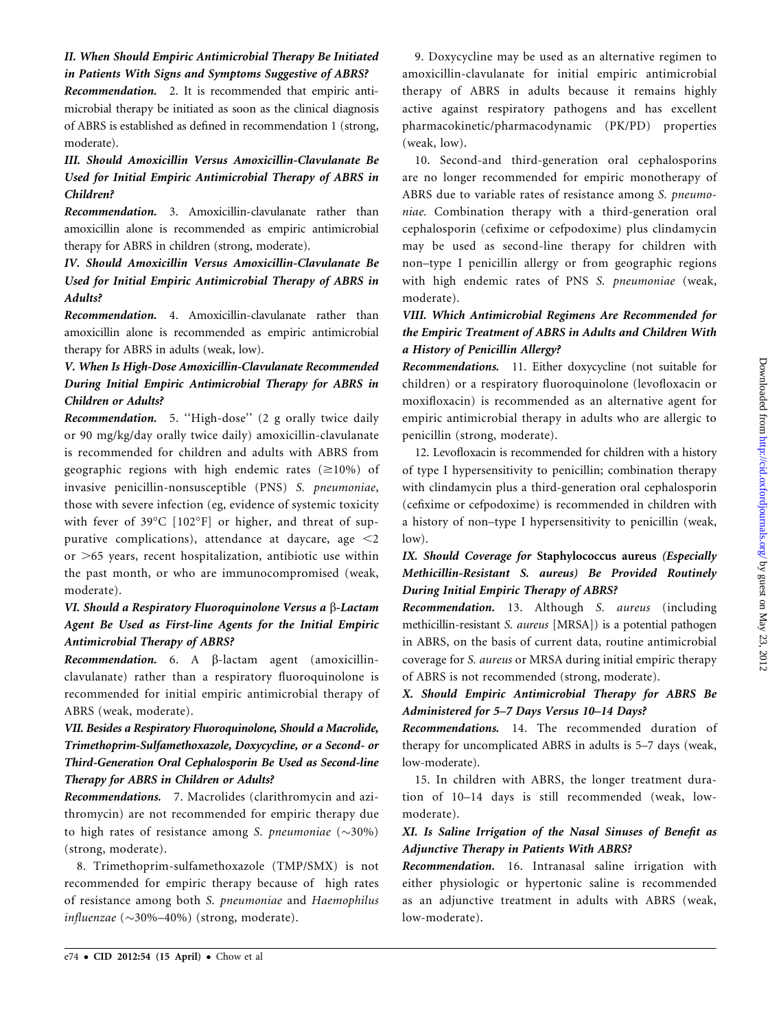## II. When Should Empiric Antimicrobial Therapy Be Initiated in Patients With Signs and Symptoms Suggestive of ABRS?

Recommendation. 2. It is recommended that empiric antimicrobial therapy be initiated as soon as the clinical diagnosis of ABRS is established as defined in recommendation 1 (strong, moderate).

# III. Should Amoxicillin Versus Amoxicillin-Clavulanate Be Used for Initial Empiric Antimicrobial Therapy of ABRS in Children?

Recommendation. 3. Amoxicillin-clavulanate rather than amoxicillin alone is recommended as empiric antimicrobial therapy for ABRS in children (strong, moderate).

# IV. Should Amoxicillin Versus Amoxicillin-Clavulanate Be Used for Initial Empiric Antimicrobial Therapy of ABRS in Adults?

Recommendation. 4. Amoxicillin-clavulanate rather than amoxicillin alone is recommended as empiric antimicrobial therapy for ABRS in adults (weak, low).

# V. When Is High-Dose Amoxicillin-Clavulanate Recommended During Initial Empiric Antimicrobial Therapy for ABRS in Children or Adults?

Recommendation. 5. "High-dose" (2 g orally twice daily or 90 mg/kg/day orally twice daily) amoxicillin-clavulanate is recommended for children and adults with ABRS from geographic regions with high endemic rates  $(\geq 10\%)$  of invasive penicillin-nonsusceptible (PNS) S. pneumoniae, those with severe infection (eg, evidence of systemic toxicity with fever of 39°C [102°F] or higher, and threat of suppurative complications), attendance at daycare, age  $\leq 2$ or  $>65$  years, recent hospitalization, antibiotic use within the past month, or who are immunocompromised (weak, moderate).

# VI. Should a Respiratory Fluoroquinolone Versus a  $\beta$ -Lactam Agent Be Used as First-line Agents for the Initial Empiric Antimicrobial Therapy of ABRS?

Recommendation. 6. A  $\beta$ -lactam agent (amoxicillinclavulanate) rather than a respiratory fluoroquinolone is recommended for initial empiric antimicrobial therapy of ABRS (weak, moderate).

# VII. Besides a Respiratory Fluoroquinolone, Should a Macrolide, Trimethoprim-Sulfamethoxazole, Doxycycline, or a Second- or Third-Generation Oral Cephalosporin Be Used as Second-line Therapy for ABRS in Children or Adults?

Recommendations. 7. Macrolides (clarithromycin and azithromycin) are not recommended for empiric therapy due to high rates of resistance among S. pneumoniae  $(\sim 30\%)$ (strong, moderate).

8. Trimethoprim-sulfamethoxazole (TMP/SMX) is not recommended for empiric therapy because of high rates of resistance among both S. pneumoniae and Haemophilus influenzae  $(\sim]30\% - 40\%)$  (strong, moderate).

9. Doxycycline may be used as an alternative regimen to amoxicillin-clavulanate for initial empiric antimicrobial therapy of ABRS in adults because it remains highly active against respiratory pathogens and has excellent pharmacokinetic/pharmacodynamic (PK/PD) properties (weak, low).

10. Second-and third-generation oral cephalosporins are no longer recommended for empiric monotherapy of ABRS due to variable rates of resistance among S. pneumoniae. Combination therapy with a third-generation oral cephalosporin (cefixime or cefpodoxime) plus clindamycin may be used as second-line therapy for children with non–type I penicillin allergy or from geographic regions with high endemic rates of PNS S. pneumoniae (weak, moderate).

# VIII. Which Antimicrobial Regimens Are Recommended for the Empiric Treatment of ABRS in Adults and Children With a History of Penicillin Allergy?

Recommendations. 11. Either doxycycline (not suitable for children) or a respiratory fluoroquinolone (levofloxacin or moxifloxacin) is recommended as an alternative agent for empiric antimicrobial therapy in adults who are allergic to penicillin (strong, moderate).

12. Levofloxacin is recommended for children with a history of type I hypersensitivity to penicillin; combination therapy with clindamycin plus a third-generation oral cephalosporin (cefixime or cefpodoxime) is recommended in children with a history of non–type I hypersensitivity to penicillin (weak, low).

# IX. Should Coverage for Staphylococcus aureus (Especially Methicillin-Resistant S. aureus) Be Provided Routinely During Initial Empiric Therapy of ABRS?

Recommendation. 13. Although S. aureus (including methicillin-resistant S. aureus [MRSA]) is a potential pathogen in ABRS, on the basis of current data, routine antimicrobial coverage for S. aureus or MRSA during initial empiric therapy of ABRS is not recommended (strong, moderate).

# X. Should Empiric Antimicrobial Therapy for ABRS Be Administered for 5–7 Days Versus 10–14 Days?

Recommendations. 14. The recommended duration of therapy for uncomplicated ABRS in adults is 5–7 days (weak, low-moderate).

15. In children with ABRS, the longer treatment duration of 10–14 days is still recommended (weak, lowmoderate).

# XI. Is Saline Irrigation of the Nasal Sinuses of Benefit as Adjunctive Therapy in Patients With ABRS?

Recommendation. 16. Intranasal saline irrigation with either physiologic or hypertonic saline is recommended as an adjunctive treatment in adults with ABRS (weak, low-moderate).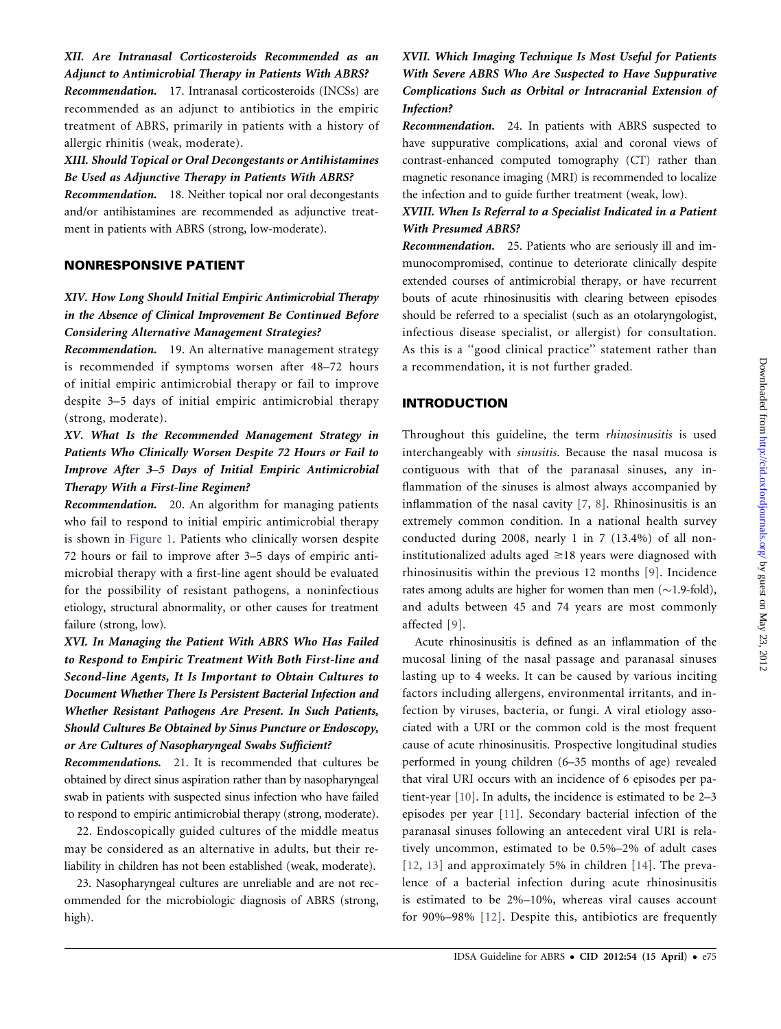## XII. Are Intranasal Corticosteroids Recommended as an Adjunct to Antimicrobial Therapy in Patients With ABRS?

Recommendation. 17. Intranasal corticosteroids (INCSs) are recommended as an adjunct to antibiotics in the empiric treatment of ABRS, primarily in patients with a history of allergic rhinitis (weak, moderate).

## XIII. Should Topical or Oral Decongestants or Antihistamines Be Used as Adjunctive Therapy in Patients With ABRS?

Recommendation. 18. Neither topical nor oral decongestants and/or antihistamines are recommended as adjunctive treatment in patients with ABRS (strong, low-moderate).

# NONRESPONSIVE PATIENT

# XIV. How Long Should Initial Empiric Antimicrobial Therapy in the Absence of Clinical Improvement Be Continued Before Considering Alternative Management Strategies?

Recommendation. 19. An alternative management strategy is recommended if symptoms worsen after 48–72 hours of initial empiric antimicrobial therapy or fail to improve despite 3–5 days of initial empiric antimicrobial therapy (strong, moderate).

# XV. What Is the Recommended Management Strategy in Patients Who Clinically Worsen Despite 72 Hours or Fail to Improve After 3–5 Days of Initial Empiric Antimicrobial Therapy With a First-line Regimen?

Recommendation. 20. An algorithm for managing patients who fail to respond to initial empiric antimicrobial therapy is shown in [Figure 1](#page-1-0). Patients who clinically worsen despite 72 hours or fail to improve after 3–5 days of empiric antimicrobial therapy with a first-line agent should be evaluated for the possibility of resistant pathogens, a noninfectious etiology, structural abnormality, or other causes for treatment failure (strong, low).

# XVI. In Managing the Patient With ABRS Who Has Failed to Respond to Empiric Treatment With Both First-line and Second-line Agents, It Is Important to Obtain Cultures to Document Whether There Is Persistent Bacterial Infection and Whether Resistant Pathogens Are Present. In Such Patients, Should Cultures Be Obtained by Sinus Puncture or Endoscopy, or Are Cultures of Nasopharyngeal Swabs Sufficient?

Recommendations. 21. It is recommended that cultures be obtained by direct sinus aspiration rather than by nasopharyngeal swab in patients with suspected sinus infection who have failed to respond to empiric antimicrobial therapy (strong, moderate).

22. Endoscopically guided cultures of the middle meatus may be considered as an alternative in adults, but their reliability in children has not been established (weak, moderate).

23. Nasopharyngeal cultures are unreliable and are not recommended for the microbiologic diagnosis of ABRS (strong, high).

# XVII. Which Imaging Technique Is Most Useful for Patients With Severe ABRS Who Are Suspected to Have Suppurative Complications Such as Orbital or Intracranial Extension of Infection?

Recommendation. 24. In patients with ABRS suspected to have suppurative complications, axial and coronal views of contrast-enhanced computed tomography (CT) rather than magnetic resonance imaging (MRI) is recommended to localize the infection and to guide further treatment (weak, low).

## XVIII. When Is Referral to a Specialist Indicated in a Patient With Presumed ABRS?

Recommendation. 25. Patients who are seriously ill and immunocompromised, continue to deteriorate clinically despite extended courses of antimicrobial therapy, or have recurrent bouts of acute rhinosinusitis with clearing between episodes should be referred to a specialist (such as an otolaryngologist, infectious disease specialist, or allergist) for consultation. As this is a ''good clinical practice'' statement rather than a recommendation, it is not further graded.

# INTRODUCTION

Throughout this guideline, the term rhinosinusitis is used interchangeably with sinusitis. Because the nasal mucosa is contiguous with that of the paranasal sinuses, any inflammation of the sinuses is almost always accompanied by inflammation of the nasal cavity [\[7](#page-35-0), [8\]](#page-35-0). Rhinosinusitis is an extremely common condition. In a national health survey conducted during 2008, nearly 1 in 7 (13.4%) of all noninstitutionalized adults aged  $\geq$ 18 years were diagnosed with rhinosinusitis within the previous 12 months [[9](#page-35-0)]. Incidence rates among adults are higher for women than men  $(\sim 1.9\text{-}fold)$ , and adults between 45 and 74 years are most commonly affected [[9](#page-35-0)].

Acute rhinosinusitis is defined as an inflammation of the mucosal lining of the nasal passage and paranasal sinuses lasting up to 4 weeks. It can be caused by various inciting factors including allergens, environmental irritants, and infection by viruses, bacteria, or fungi. A viral etiology associated with a URI or the common cold is the most frequent cause of acute rhinosinusitis. Prospective longitudinal studies performed in young children (6–35 months of age) revealed that viral URI occurs with an incidence of 6 episodes per patient-year [\[10](#page-35-0)]. In adults, the incidence is estimated to be 2–3 episodes per year [[11](#page-35-0)]. Secondary bacterial infection of the paranasal sinuses following an antecedent viral URI is relatively uncommon, estimated to be 0.5%–2% of adult cases [[12,](#page-35-0) [13\]](#page-35-0) and approximately 5% in children [[14\]](#page-35-0). The prevalence of a bacterial infection during acute rhinosinusitis is estimated to be 2%–10%, whereas viral causes account for 90%–98% [[12](#page-35-0)]. Despite this, antibiotics are frequently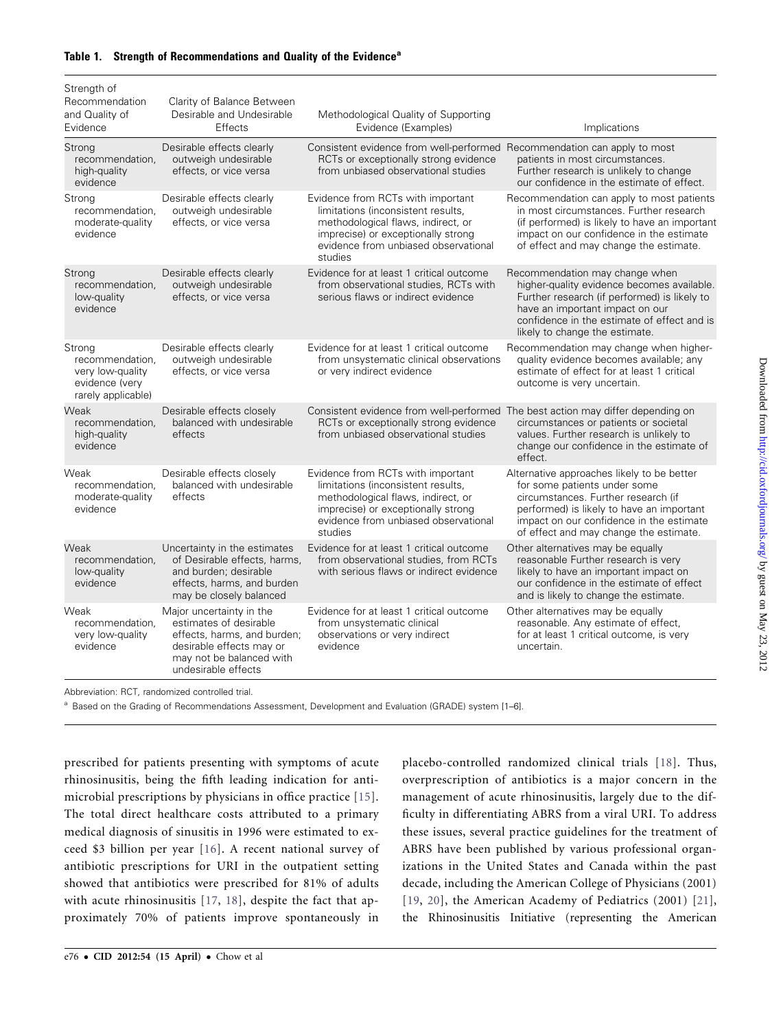<span id="page-4-0"></span>

| Strength of<br>Recommendation<br>and Quality of<br>Evidence                           | Clarity of Balance Between<br>Desirable and Undesirable<br>Effects                                                                                               | Methodological Quality of Supporting<br>Evidence (Examples)                                                                                                                                            | Implications                                                                                                                                                                                                                                         |
|---------------------------------------------------------------------------------------|------------------------------------------------------------------------------------------------------------------------------------------------------------------|--------------------------------------------------------------------------------------------------------------------------------------------------------------------------------------------------------|------------------------------------------------------------------------------------------------------------------------------------------------------------------------------------------------------------------------------------------------------|
| Strong<br>recommendation,<br>high-quality<br>evidence                                 | Desirable effects clearly<br>outweigh undesirable<br>effects, or vice versa                                                                                      | Consistent evidence from well-performed Recommendation can apply to most<br>RCTs or exceptionally strong evidence<br>from unbiased observational studies                                               | patients in most circumstances.<br>Further research is unlikely to change<br>our confidence in the estimate of effect.                                                                                                                               |
| Strong<br>recommendation.<br>moderate-quality<br>evidence                             | Desirable effects clearly<br>outweigh undesirable<br>effects, or vice versa                                                                                      | Evidence from RCTs with important<br>limitations (inconsistent results,<br>methodological flaws, indirect, or<br>imprecise) or exceptionally strong<br>evidence from unbiased observational<br>studies | Recommendation can apply to most patients<br>in most circumstances. Further research<br>(if performed) is likely to have an important<br>impact on our confidence in the estimate<br>of effect and may change the estimate.                          |
| Strong<br>recommendation,<br>low-quality<br>evidence                                  | Desirable effects clearly<br>outweigh undesirable<br>effects, or vice versa                                                                                      | Evidence for at least 1 critical outcome<br>from observational studies, RCTs with<br>serious flaws or indirect evidence                                                                                | Recommendation may change when<br>higher-quality evidence becomes available.<br>Further research (if performed) is likely to<br>have an important impact on our<br>confidence in the estimate of effect and is<br>likely to change the estimate.     |
| Strona<br>recommendation,<br>very low-quality<br>evidence (very<br>rarely applicable) | Desirable effects clearly<br>outweigh undesirable<br>effects, or vice versa                                                                                      | Evidence for at least 1 critical outcome<br>from unsystematic clinical observations<br>or very indirect evidence                                                                                       | Recommendation may change when higher-<br>quality evidence becomes available; any<br>estimate of effect for at least 1 critical<br>outcome is very uncertain.                                                                                        |
| Weak<br>recommendation.<br>high-quality<br>evidence                                   | Desirable effects closely<br>balanced with undesirable<br>effects                                                                                                | Consistent evidence from well-performed The best action may differ depending on<br>RCTs or exceptionally strong evidence<br>from unbiased observational studies                                        | circumstances or patients or societal<br>values. Further research is unlikely to<br>change our confidence in the estimate of<br>effect.                                                                                                              |
| Weak<br>recommendation.<br>moderate-quality<br>evidence                               | Desirable effects closely<br>balanced with undesirable<br>effects                                                                                                | Evidence from RCTs with important<br>limitations (inconsistent results,<br>methodological flaws, indirect, or<br>imprecise) or exceptionally strong<br>evidence from unbiased observational<br>studies | Alternative approaches likely to be better<br>for some patients under some<br>circumstances. Further research (if<br>performed) is likely to have an important<br>impact on our confidence in the estimate<br>of effect and may change the estimate. |
| Weak<br>recommendation,<br>low-quality<br>evidence                                    | Uncertainty in the estimates<br>of Desirable effects, harms,<br>and burden; desirable<br>effects, harms, and burden<br>may be closely balanced                   | Evidence for at least 1 critical outcome<br>from observational studies, from RCTs<br>with serious flaws or indirect evidence                                                                           | Other alternatives may be equally<br>reasonable Further research is very<br>likely to have an important impact on<br>our confidence in the estimate of effect<br>and is likely to change the estimate.                                               |
| Weak<br>recommendation,<br>very low-quality<br>evidence                               | Major uncertainty in the<br>estimates of desirable<br>effects, harms, and burden;<br>desirable effects may or<br>may not be balanced with<br>undesirable effects | Evidence for at least 1 critical outcome<br>from unsystematic clinical<br>observations or very indirect<br>evidence                                                                                    | Other alternatives may be equally<br>reasonable. Any estimate of effect,<br>for at least 1 critical outcome, is very<br>uncertain.                                                                                                                   |

Abbreviation: RCT, randomized controlled trial.

<sup>a</sup> Based on the Grading of Recommendations Assessment, Development and Evaluation (GRADE) system [1–6].

prescribed for patients presenting with symptoms of acute rhinosinusitis, being the fifth leading indication for antimicrobial prescriptions by physicians in office practice [[15](#page-35-0)]. The total direct healthcare costs attributed to a primary medical diagnosis of sinusitis in 1996 were estimated to exceed \$3 billion per year [\[16\]](#page-35-0). A recent national survey of antibiotic prescriptions for URI in the outpatient setting showed that antibiotics were prescribed for 81% of adults with acute rhinosinusitis [\[17,](#page-35-0) [18\]](#page-35-0), despite the fact that approximately 70% of patients improve spontaneously in placebo-controlled randomized clinical trials [[18](#page-35-0)]. Thus, overprescription of antibiotics is a major concern in the management of acute rhinosinusitis, largely due to the difficulty in differentiating ABRS from a viral URI. To address these issues, several practice guidelines for the treatment of ABRS have been published by various professional organizations in the United States and Canada within the past decade, including the American College of Physicians (2001) [[19](#page-35-0), [20\]](#page-35-0), the American Academy of Pediatrics (2001) [\[21](#page-35-0)], the Rhinosinusitis Initiative (representing the American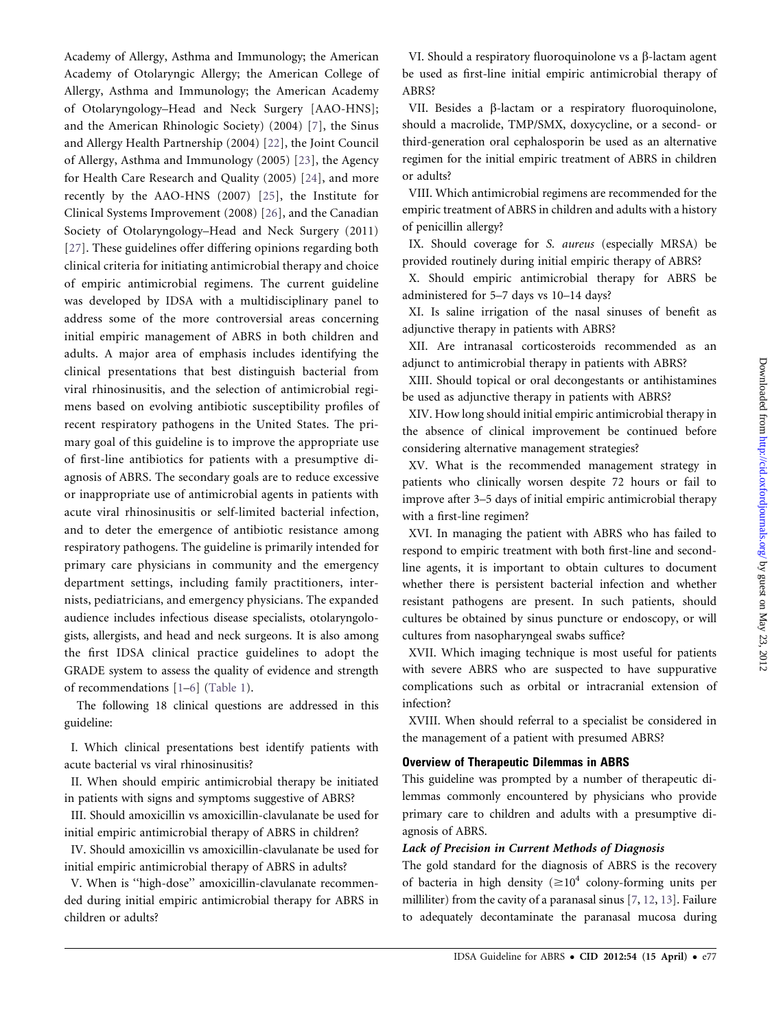Academy of Allergy, Asthma and Immunology; the American Academy of Otolaryngic Allergy; the American College of Allergy, Asthma and Immunology; the American Academy of Otolaryngology–Head and Neck Surgery [AAO-HNS]; and the American Rhinologic Society) (2004) [\[7\]](#page-35-0), the Sinus and Allergy Health Partnership (2004) [[22\]](#page-35-0), the Joint Council of Allergy, Asthma and Immunology (2005) [\[23](#page-35-0)], the Agency for Health Care Research and Quality (2005) [\[24](#page-35-0)], and more recently by the AAO-HNS (2007) [[25](#page-35-0)], the Institute for Clinical Systems Improvement (2008) [[26](#page-35-0)], and the Canadian Society of Otolaryngology–Head and Neck Surgery (2011) [[27\]](#page-35-0). These guidelines offer differing opinions regarding both clinical criteria for initiating antimicrobial therapy and choice of empiric antimicrobial regimens. The current guideline was developed by IDSA with a multidisciplinary panel to address some of the more controversial areas concerning initial empiric management of ABRS in both children and adults. A major area of emphasis includes identifying the clinical presentations that best distinguish bacterial from viral rhinosinusitis, and the selection of antimicrobial regimens based on evolving antibiotic susceptibility profiles of recent respiratory pathogens in the United States. The primary goal of this guideline is to improve the appropriate use of first-line antibiotics for patients with a presumptive diagnosis of ABRS. The secondary goals are to reduce excessive or inappropriate use of antimicrobial agents in patients with acute viral rhinosinusitis or self-limited bacterial infection, and to deter the emergence of antibiotic resistance among respiratory pathogens. The guideline is primarily intended for primary care physicians in community and the emergency department settings, including family practitioners, internists, pediatricians, and emergency physicians. The expanded audience includes infectious disease specialists, otolaryngologists, allergists, and head and neck surgeons. It is also among the first IDSA clinical practice guidelines to adopt the GRADE system to assess the quality of evidence and strength of recommendations [[1–6\]](#page-35-0) ([Table 1](#page-4-0)).

The following 18 clinical questions are addressed in this guideline:

I. Which clinical presentations best identify patients with acute bacterial vs viral rhinosinusitis?

II. When should empiric antimicrobial therapy be initiated in patients with signs and symptoms suggestive of ABRS?

III. Should amoxicillin vs amoxicillin-clavulanate be used for initial empiric antimicrobial therapy of ABRS in children?

IV. Should amoxicillin vs amoxicillin-clavulanate be used for initial empiric antimicrobial therapy of ABRS in adults?

V. When is ''high-dose'' amoxicillin-clavulanate recommended during initial empiric antimicrobial therapy for ABRS in children or adults?

VI. Should a respiratory fluoroquinolone vs a  $\beta$ -lactam agent be used as first-line initial empiric antimicrobial therapy of ABRS?

VII. Besides a b-lactam or a respiratory fluoroquinolone, should a macrolide, TMP/SMX, doxycycline, or a second- or third-generation oral cephalosporin be used as an alternative regimen for the initial empiric treatment of ABRS in children or adults?

VIII. Which antimicrobial regimens are recommended for the empiric treatment of ABRS in children and adults with a history of penicillin allergy?

IX. Should coverage for S. aureus (especially MRSA) be provided routinely during initial empiric therapy of ABRS?

X. Should empiric antimicrobial therapy for ABRS be administered for 5–7 days vs 10–14 days?

XI. Is saline irrigation of the nasal sinuses of benefit as adjunctive therapy in patients with ABRS?

XII. Are intranasal corticosteroids recommended as an adjunct to antimicrobial therapy in patients with ABRS?

XIII. Should topical or oral decongestants or antihistamines be used as adjunctive therapy in patients with ABRS?

XIV. How long should initial empiric antimicrobial therapy in the absence of clinical improvement be continued before considering alternative management strategies?

XV. What is the recommended management strategy in patients who clinically worsen despite 72 hours or fail to improve after 3–5 days of initial empiric antimicrobial therapy with a first-line regimen?

XVI. In managing the patient with ABRS who has failed to respond to empiric treatment with both first-line and secondline agents, it is important to obtain cultures to document whether there is persistent bacterial infection and whether resistant pathogens are present. In such patients, should cultures be obtained by sinus puncture or endoscopy, or will cultures from nasopharyngeal swabs suffice?

XVII. Which imaging technique is most useful for patients with severe ABRS who are suspected to have suppurative complications such as orbital or intracranial extension of infection?

XVIII. When should referral to a specialist be considered in the management of a patient with presumed ABRS?

#### Overview of Therapeutic Dilemmas in ABRS

This guideline was prompted by a number of therapeutic dilemmas commonly encountered by physicians who provide primary care to children and adults with a presumptive diagnosis of ABRS.

## Lack of Precision in Current Methods of Diagnosis

The gold standard for the diagnosis of ABRS is the recovery of bacteria in high density  $(\geq 10^4$  colony-forming units per milliliter) from the cavity of a paranasal sinus [\[7,](#page-35-0) [12](#page-35-0), [13](#page-35-0)]. Failure to adequately decontaminate the paranasal mucosa during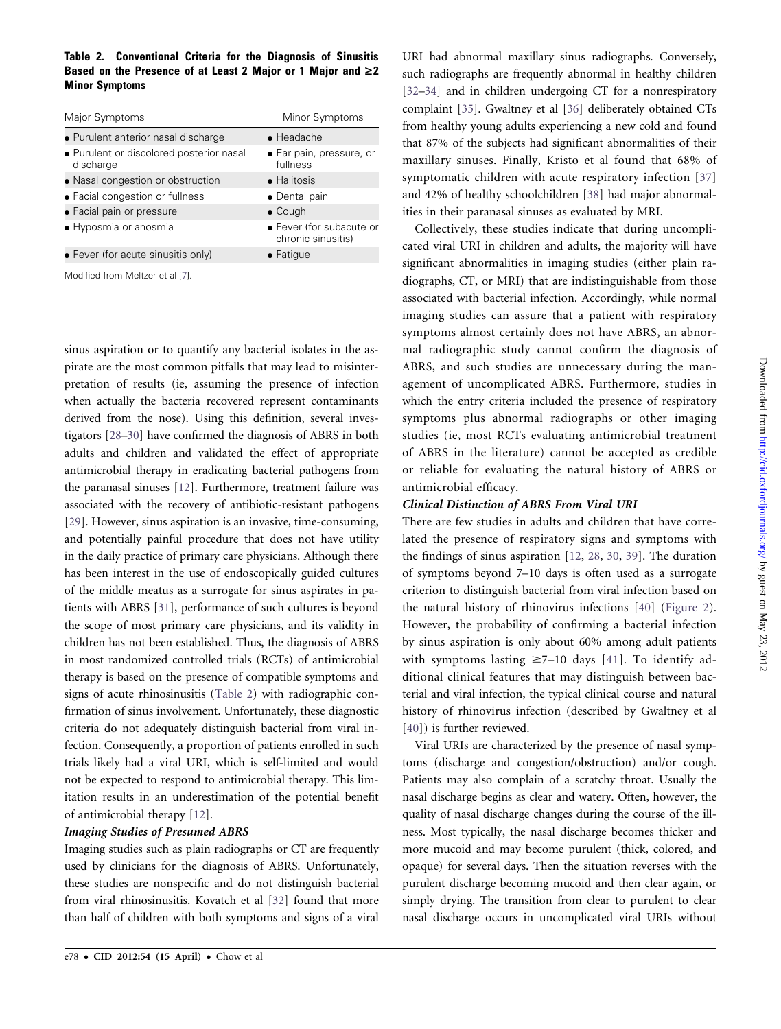<span id="page-6-0"></span>Table 2. Conventional Criteria for the Diagnosis of Sinusitis Based on the Presence of at Least 2 Major or 1 Major and ≥2 Minor Symptoms

| Major Symptoms                                        | Minor Symptoms                                 |
|-------------------------------------------------------|------------------------------------------------|
| • Purulent anterior nasal discharge                   | $\bullet$ Headache                             |
| • Purulent or discolored posterior nasal<br>discharge | • Ear pain, pressure, or<br>fullness           |
| • Nasal congestion or obstruction                     | $\bullet$ Halitosis                            |
| • Facial congestion or fullness                       | • Dental pain                                  |
| • Facial pain or pressure                             | $\bullet$ Cough                                |
| • Hyposmia or anosmia                                 | • Fever (for subacute or<br>chronic sinusitis) |
| • Fever (for acute sinusitis only)                    | $\bullet$ Fatique                              |
| Modified from Meltzer et al [7].                      |                                                |

sinus aspiration or to quantify any bacterial isolates in the aspirate are the most common pitfalls that may lead to misinterpretation of results (ie, assuming the presence of infection when actually the bacteria recovered represent contaminants derived from the nose). Using this definition, several investigators [\[28](#page-35-0)–[30\]](#page-35-0) have confirmed the diagnosis of ABRS in both adults and children and validated the effect of appropriate antimicrobial therapy in eradicating bacterial pathogens from the paranasal sinuses [[12\]](#page-35-0). Furthermore, treatment failure was associated with the recovery of antibiotic-resistant pathogens [\[29](#page-35-0)]. However, sinus aspiration is an invasive, time-consuming, and potentially painful procedure that does not have utility in the daily practice of primary care physicians. Although there has been interest in the use of endoscopically guided cultures of the middle meatus as a surrogate for sinus aspirates in patients with ABRS [\[31](#page-35-0)], performance of such cultures is beyond the scope of most primary care physicians, and its validity in children has not been established. Thus, the diagnosis of ABRS in most randomized controlled trials (RCTs) of antimicrobial therapy is based on the presence of compatible symptoms and signs of acute rhinosinusitis (Table 2) with radiographic confirmation of sinus involvement. Unfortunately, these diagnostic criteria do not adequately distinguish bacterial from viral infection. Consequently, a proportion of patients enrolled in such trials likely had a viral URI, which is self-limited and would not be expected to respond to antimicrobial therapy. This limitation results in an underestimation of the potential benefit of antimicrobial therapy [\[12](#page-35-0)].

# Imaging Studies of Presumed ABRS

Imaging studies such as plain radiographs or CT are frequently used by clinicians for the diagnosis of ABRS. Unfortunately, these studies are nonspecific and do not distinguish bacterial from viral rhinosinusitis. Kovatch et al [\[32](#page-35-0)] found that more than half of children with both symptoms and signs of a viral

URI had abnormal maxillary sinus radiographs. Conversely, such radiographs are frequently abnormal in healthy children [\[32](#page-35-0)-34] and in children undergoing CT for a nonrespiratory complaint [\[35\]](#page-36-0). Gwaltney et al [\[36](#page-36-0)] deliberately obtained CTs from healthy young adults experiencing a new cold and found that 87% of the subjects had significant abnormalities of their maxillary sinuses. Finally, Kristo et al found that 68% of symptomatic children with acute respiratory infection [[37\]](#page-36-0) and 42% of healthy schoolchildren [[38\]](#page-36-0) had major abnormalities in their paranasal sinuses as evaluated by MRI.

Collectively, these studies indicate that during uncomplicated viral URI in children and adults, the majority will have significant abnormalities in imaging studies (either plain radiographs, CT, or MRI) that are indistinguishable from those associated with bacterial infection. Accordingly, while normal imaging studies can assure that a patient with respiratory symptoms almost certainly does not have ABRS, an abnormal radiographic study cannot confirm the diagnosis of ABRS, and such studies are unnecessary during the management of uncomplicated ABRS. Furthermore, studies in which the entry criteria included the presence of respiratory symptoms plus abnormal radiographs or other imaging studies (ie, most RCTs evaluating antimicrobial treatment of ABRS in the literature) cannot be accepted as credible or reliable for evaluating the natural history of ABRS or antimicrobial efficacy.

#### Clinical Distinction of ABRS From Viral URI

There are few studies in adults and children that have correlated the presence of respiratory signs and symptoms with the findings of sinus aspiration [[12](#page-35-0), [28](#page-35-0), [30,](#page-35-0) [39](#page-36-0)]. The duration of symptoms beyond 7–10 days is often used as a surrogate criterion to distinguish bacterial from viral infection based on the natural history of rhinovirus infections [[40\]](#page-36-0) [\(Figure 2](#page-7-0)). However, the probability of confirming a bacterial infection by sinus aspiration is only about 60% among adult patients with symptoms lasting  $\geq 7-10$  days [\[41\]](#page-36-0). To identify additional clinical features that may distinguish between bacterial and viral infection, the typical clinical course and natural history of rhinovirus infection (described by Gwaltney et al [[40\]](#page-36-0)) is further reviewed.

Viral URIs are characterized by the presence of nasal symptoms (discharge and congestion/obstruction) and/or cough. Patients may also complain of a scratchy throat. Usually the nasal discharge begins as clear and watery. Often, however, the quality of nasal discharge changes during the course of the illness. Most typically, the nasal discharge becomes thicker and more mucoid and may become purulent (thick, colored, and opaque) for several days. Then the situation reverses with the purulent discharge becoming mucoid and then clear again, or simply drying. The transition from clear to purulent to clear nasal discharge occurs in uncomplicated viral URIs without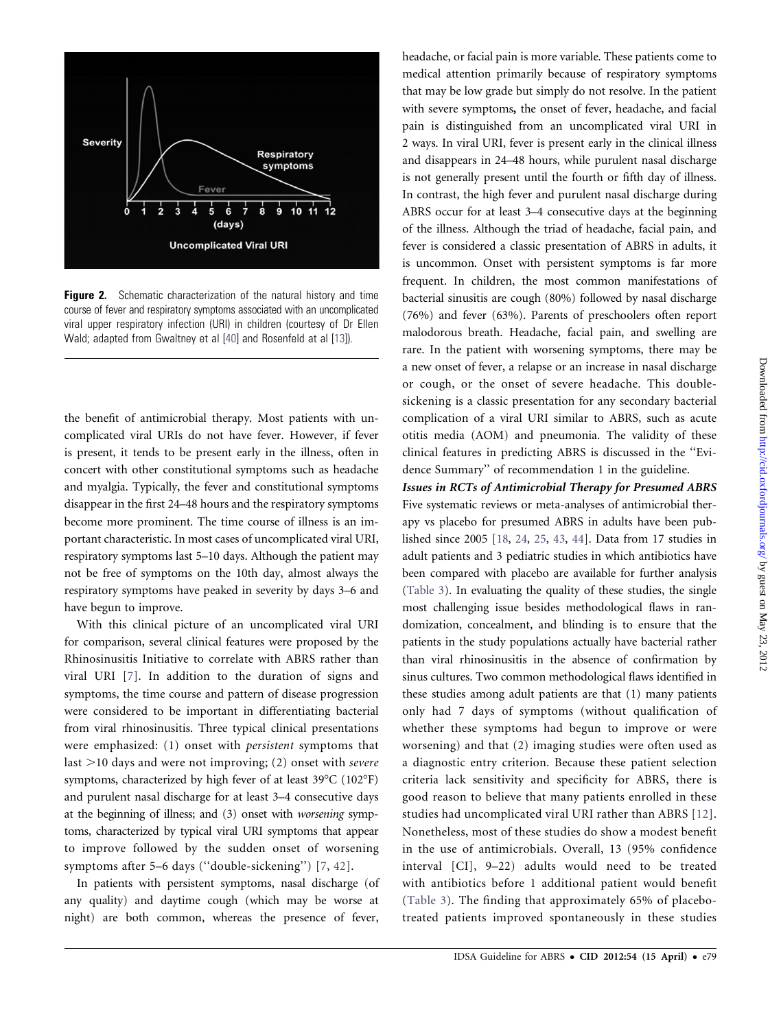<span id="page-7-0"></span>

**Figure 2.** Schematic characterization of the natural history and time course of fever and respiratory symptoms associated with an uncomplicated viral upper respiratory infection (URI) in children (courtesy of Dr Ellen Wald; adapted from Gwaltney et al [[40\]](#page-36-0) and Rosenfeld at al [\[13](#page-35-0)]).

the benefit of antimicrobial therapy. Most patients with uncomplicated viral URIs do not have fever. However, if fever is present, it tends to be present early in the illness, often in concert with other constitutional symptoms such as headache and myalgia. Typically, the fever and constitutional symptoms disappear in the first 24–48 hours and the respiratory symptoms become more prominent. The time course of illness is an important characteristic. In most cases of uncomplicated viral URI, respiratory symptoms last 5–10 days. Although the patient may not be free of symptoms on the 10th day, almost always the respiratory symptoms have peaked in severity by days 3–6 and have begun to improve.

With this clinical picture of an uncomplicated viral URI for comparison, several clinical features were proposed by the Rhinosinusitis Initiative to correlate with ABRS rather than viral URI [[7\]](#page-35-0). In addition to the duration of signs and symptoms, the time course and pattern of disease progression were considered to be important in differentiating bacterial from viral rhinosinusitis. Three typical clinical presentations were emphasized: (1) onset with persistent symptoms that last  $>$ 10 days and were not improving; (2) onset with severe symptoms, characterized by high fever of at least 39°C (102°F) and purulent nasal discharge for at least 3–4 consecutive days at the beginning of illness; and (3) onset with worsening symptoms, characterized by typical viral URI symptoms that appear to improve followed by the sudden onset of worsening symptoms after 5–6 days (''double-sickening'') [[7,](#page-35-0) [42](#page-36-0)].

In patients with persistent symptoms, nasal discharge (of any quality) and daytime cough (which may be worse at night) are both common, whereas the presence of fever,

headache, or facial pain is more variable. These patients come to medical attention primarily because of respiratory symptoms that may be low grade but simply do not resolve. In the patient with severe symptoms, the onset of fever, headache, and facial pain is distinguished from an uncomplicated viral URI in 2 ways. In viral URI, fever is present early in the clinical illness and disappears in 24–48 hours, while purulent nasal discharge is not generally present until the fourth or fifth day of illness. In contrast, the high fever and purulent nasal discharge during ABRS occur for at least 3–4 consecutive days at the beginning of the illness. Although the triad of headache, facial pain, and fever is considered a classic presentation of ABRS in adults, it is uncommon. Onset with persistent symptoms is far more frequent. In children, the most common manifestations of bacterial sinusitis are cough (80%) followed by nasal discharge (76%) and fever (63%). Parents of preschoolers often report malodorous breath. Headache, facial pain, and swelling are rare. In the patient with worsening symptoms, there may be a new onset of fever, a relapse or an increase in nasal discharge or cough, or the onset of severe headache. This doublesickening is a classic presentation for any secondary bacterial complication of a viral URI similar to ABRS, such as acute otitis media (AOM) and pneumonia. The validity of these clinical features in predicting ABRS is discussed in the ''Evidence Summary'' of recommendation 1 in the guideline.

Issues in RCTs of Antimicrobial Therapy for Presumed ABRS Five systematic reviews or meta-analyses of antimicrobial therapy vs placebo for presumed ABRS in adults have been published since 2005 [[18](#page-35-0), [24,](#page-35-0) [25](#page-35-0), [43,](#page-36-0) [44](#page-36-0)]. Data from 17 studies in adult patients and 3 pediatric studies in which antibiotics have been compared with placebo are available for further analysis [\(Table 3\)](#page-8-0). In evaluating the quality of these studies, the single most challenging issue besides methodological flaws in randomization, concealment, and blinding is to ensure that the patients in the study populations actually have bacterial rather than viral rhinosinusitis in the absence of confirmation by sinus cultures. Two common methodological flaws identified in these studies among adult patients are that (1) many patients only had 7 days of symptoms (without qualification of whether these symptoms had begun to improve or were worsening) and that (2) imaging studies were often used as a diagnostic entry criterion. Because these patient selection criteria lack sensitivity and specificity for ABRS, there is good reason to believe that many patients enrolled in these studies had uncomplicated viral URI rather than ABRS [[12](#page-35-0)]. Nonetheless, most of these studies do show a modest benefit in the use of antimicrobials. Overall, 13 (95% confidence interval [CI], 9–22) adults would need to be treated with antibiotics before 1 additional patient would benefit ([Table 3\)](#page-8-0). The finding that approximately 65% of placebotreated patients improved spontaneously in these studies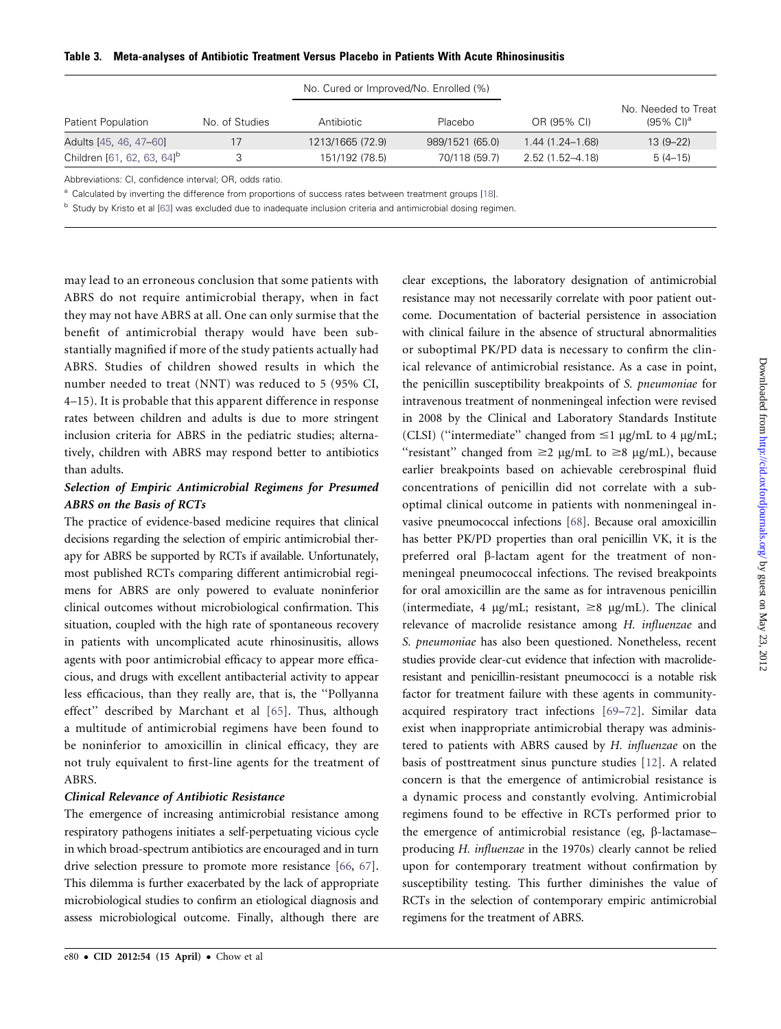<span id="page-8-0"></span>

|                                        |                | No. Cured or Improved/No. Enrolled (%) |                 |                     |                                              |
|----------------------------------------|----------------|----------------------------------------|-----------------|---------------------|----------------------------------------------|
| <b>Patient Population</b>              | No. of Studies | Antibiotic                             | Placebo         | OR (95% CI)         | No. Needed to Treat<br>$(95\% \text{ Cl})^a$ |
| Adults [45, 46, 47-60]                 |                | 1213/1665 (72.9)                       | 989/1521 (65.0) | $1.44(1.24 - 1.68)$ | $13(9 - 22)$                                 |
| Children [61, 62, 63, 64] <sup>b</sup> |                | 151/192 (78.5)                         | 70/118 (59.7)   | $2.52(1.52 - 4.18)$ | $5(4-15)$                                    |

Abbreviations: CI, confidence interval; OR, odds ratio.

<sup>a</sup> Calculated by inverting the difference from proportions of success rates between treatment groups [\[18](#page-35-0)].

<sup>b</sup> Study by Kristo et al [[63\]](#page-36-0) was excluded due to inadequate inclusion criteria and antimicrobial dosing regimen.

may lead to an erroneous conclusion that some patients with ABRS do not require antimicrobial therapy, when in fact they may not have ABRS at all. One can only surmise that the benefit of antimicrobial therapy would have been substantially magnified if more of the study patients actually had ABRS. Studies of children showed results in which the number needed to treat (NNT) was reduced to 5 (95% CI, 4–15). It is probable that this apparent difference in response rates between children and adults is due to more stringent inclusion criteria for ABRS in the pediatric studies; alternatively, children with ABRS may respond better to antibiotics than adults.

## Selection of Empiric Antimicrobial Regimens for Presumed ABRS on the Basis of RCTs

The practice of evidence-based medicine requires that clinical decisions regarding the selection of empiric antimicrobial therapy for ABRS be supported by RCTs if available. Unfortunately, most published RCTs comparing different antimicrobial regimens for ABRS are only powered to evaluate noninferior clinical outcomes without microbiological confirmation. This situation, coupled with the high rate of spontaneous recovery in patients with uncomplicated acute rhinosinusitis, allows agents with poor antimicrobial efficacy to appear more efficacious, and drugs with excellent antibacterial activity to appear less efficacious, than they really are, that is, the ''Pollyanna effect'' described by Marchant et al [\[65\]](#page-36-0). Thus, although a multitude of antimicrobial regimens have been found to be noninferior to amoxicillin in clinical efficacy, they are not truly equivalent to first-line agents for the treatment of ABRS.

#### Clinical Relevance of Antibiotic Resistance

The emergence of increasing antimicrobial resistance among respiratory pathogens initiates a self-perpetuating vicious cycle in which broad-spectrum antibiotics are encouraged and in turn drive selection pressure to promote more resistance [\[66](#page-36-0), [67](#page-36-0)]. This dilemma is further exacerbated by the lack of appropriate microbiological studies to confirm an etiological diagnosis and assess microbiological outcome. Finally, although there are

clear exceptions, the laboratory designation of antimicrobial resistance may not necessarily correlate with poor patient outcome. Documentation of bacterial persistence in association with clinical failure in the absence of structural abnormalities or suboptimal PK/PD data is necessary to confirm the clinical relevance of antimicrobial resistance. As a case in point, the penicillin susceptibility breakpoints of S. pneumoniae for intravenous treatment of nonmeningeal infection were revised in 2008 by the Clinical and Laboratory Standards Institute (CLSI) ("intermediate" changed from  $\leq$ 1 µg/mL to 4 µg/mL; "resistant" changed from  $\geq$   $\mu$ g/mL to  $\geq$   $\mu$ g/mL), because earlier breakpoints based on achievable cerebrospinal fluid concentrations of penicillin did not correlate with a suboptimal clinical outcome in patients with nonmeningeal invasive pneumococcal infections [\[68\]](#page-36-0). Because oral amoxicillin has better PK/PD properties than oral penicillin VK, it is the preferred oral  $\beta$ -lactam agent for the treatment of nonmeningeal pneumococcal infections. The revised breakpoints for oral amoxicillin are the same as for intravenous penicillin (intermediate, 4  $\mu$ g/mL; resistant,  $\geq$ 8  $\mu$ g/mL). The clinical relevance of macrolide resistance among H. influenzae and S. pneumoniae has also been questioned. Nonetheless, recent studies provide clear-cut evidence that infection with macrolideresistant and penicillin-resistant pneumococci is a notable risk factor for treatment failure with these agents in communityacquired respiratory tract infections [\[69–72](#page-36-0)]. Similar data exist when inappropriate antimicrobial therapy was administered to patients with ABRS caused by H. influenzae on the basis of posttreatment sinus puncture studies [\[12](#page-35-0)]. A related concern is that the emergence of antimicrobial resistance is a dynamic process and constantly evolving. Antimicrobial regimens found to be effective in RCTs performed prior to the emergence of antimicrobial resistance (eg,  $\beta$ -lactamase– producing H. influenzae in the 1970s) clearly cannot be relied upon for contemporary treatment without confirmation by susceptibility testing. This further diminishes the value of RCTs in the selection of contemporary empiric antimicrobial regimens for the treatment of ABRS.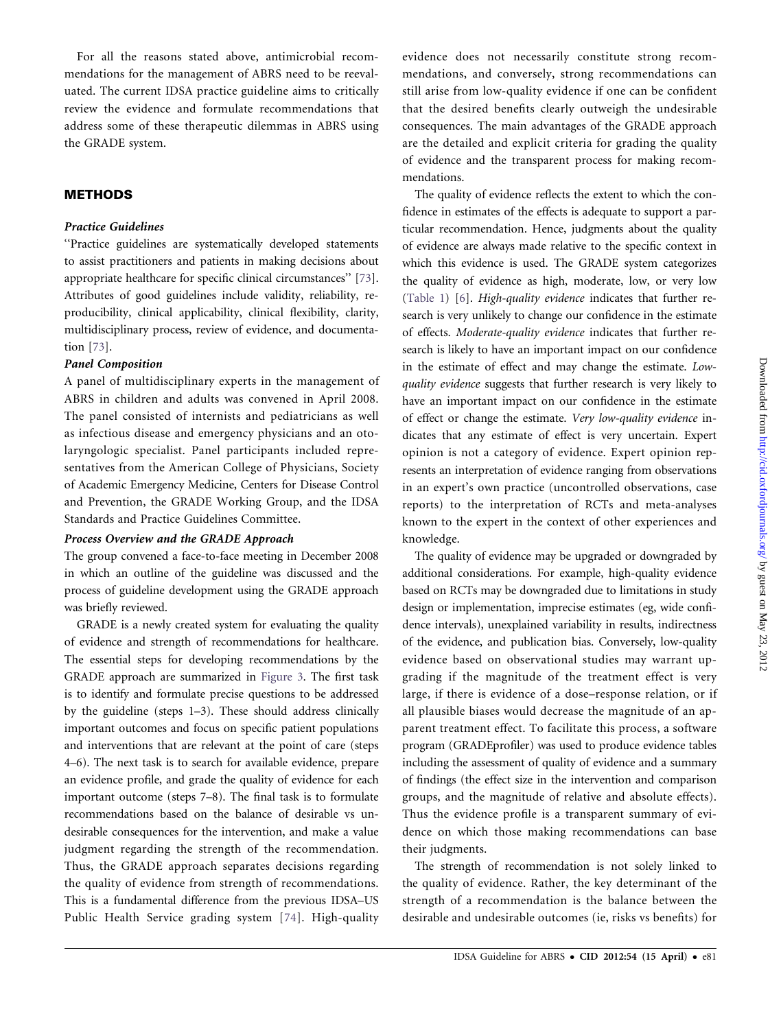For all the reasons stated above, antimicrobial recommendations for the management of ABRS need to be reevaluated. The current IDSA practice guideline aims to critically review the evidence and formulate recommendations that address some of these therapeutic dilemmas in ABRS using the GRADE system.

## METHODS

#### Practice Guidelines

''Practice guidelines are systematically developed statements to assist practitioners and patients in making decisions about appropriate healthcare for specific clinical circumstances'' [\[73](#page-36-0)]. Attributes of good guidelines include validity, reliability, reproducibility, clinical applicability, clinical flexibility, clarity, multidisciplinary process, review of evidence, and documentation [[73](#page-36-0)].

#### Panel Composition

A panel of multidisciplinary experts in the management of ABRS in children and adults was convened in April 2008. The panel consisted of internists and pediatricians as well as infectious disease and emergency physicians and an otolaryngologic specialist. Panel participants included representatives from the American College of Physicians, Society of Academic Emergency Medicine, Centers for Disease Control and Prevention, the GRADE Working Group, and the IDSA Standards and Practice Guidelines Committee.

#### Process Overview and the GRADE Approach

The group convened a face-to-face meeting in December 2008 in which an outline of the guideline was discussed and the process of guideline development using the GRADE approach was briefly reviewed.

GRADE is a newly created system for evaluating the quality of evidence and strength of recommendations for healthcare. The essential steps for developing recommendations by the GRADE approach are summarized in [Figure 3.](#page-10-0) The first task is to identify and formulate precise questions to be addressed by the guideline (steps 1–3). These should address clinically important outcomes and focus on specific patient populations and interventions that are relevant at the point of care (steps 4–6). The next task is to search for available evidence, prepare an evidence profile, and grade the quality of evidence for each important outcome (steps 7–8). The final task is to formulate recommendations based on the balance of desirable vs undesirable consequences for the intervention, and make a value judgment regarding the strength of the recommendation. Thus, the GRADE approach separates decisions regarding the quality of evidence from strength of recommendations. This is a fundamental difference from the previous IDSA–US Public Health Service grading system [[74\]](#page-36-0). High-quality evidence does not necessarily constitute strong recommendations, and conversely, strong recommendations can still arise from low-quality evidence if one can be confident that the desired benefits clearly outweigh the undesirable consequences. The main advantages of the GRADE approach are the detailed and explicit criteria for grading the quality of evidence and the transparent process for making recommendations.

The quality of evidence reflects the extent to which the confidence in estimates of the effects is adequate to support a particular recommendation. Hence, judgments about the quality of evidence are always made relative to the specific context in which this evidence is used. The GRADE system categorizes the quality of evidence as high, moderate, low, or very low [\(Table 1\)](#page-4-0) [\[6\]](#page-35-0). High-quality evidence indicates that further research is very unlikely to change our confidence in the estimate of effects. Moderate-quality evidence indicates that further research is likely to have an important impact on our confidence in the estimate of effect and may change the estimate. Lowquality evidence suggests that further research is very likely to have an important impact on our confidence in the estimate of effect or change the estimate. Very low-quality evidence indicates that any estimate of effect is very uncertain. Expert opinion is not a category of evidence. Expert opinion represents an interpretation of evidence ranging from observations in an expert's own practice (uncontrolled observations, case reports) to the interpretation of RCTs and meta-analyses known to the expert in the context of other experiences and knowledge.

The quality of evidence may be upgraded or downgraded by additional considerations. For example, high-quality evidence based on RCTs may be downgraded due to limitations in study design or implementation, imprecise estimates (eg, wide confidence intervals), unexplained variability in results, indirectness of the evidence, and publication bias. Conversely, low-quality evidence based on observational studies may warrant upgrading if the magnitude of the treatment effect is very large, if there is evidence of a dose–response relation, or if all plausible biases would decrease the magnitude of an apparent treatment effect. To facilitate this process, a software program (GRADEprofiler) was used to produce evidence tables including the assessment of quality of evidence and a summary of findings (the effect size in the intervention and comparison groups, and the magnitude of relative and absolute effects). Thus the evidence profile is a transparent summary of evidence on which those making recommendations can base their judgments.

The strength of recommendation is not solely linked to the quality of evidence. Rather, the key determinant of the strength of a recommendation is the balance between the desirable and undesirable outcomes (ie, risks vs benefits) for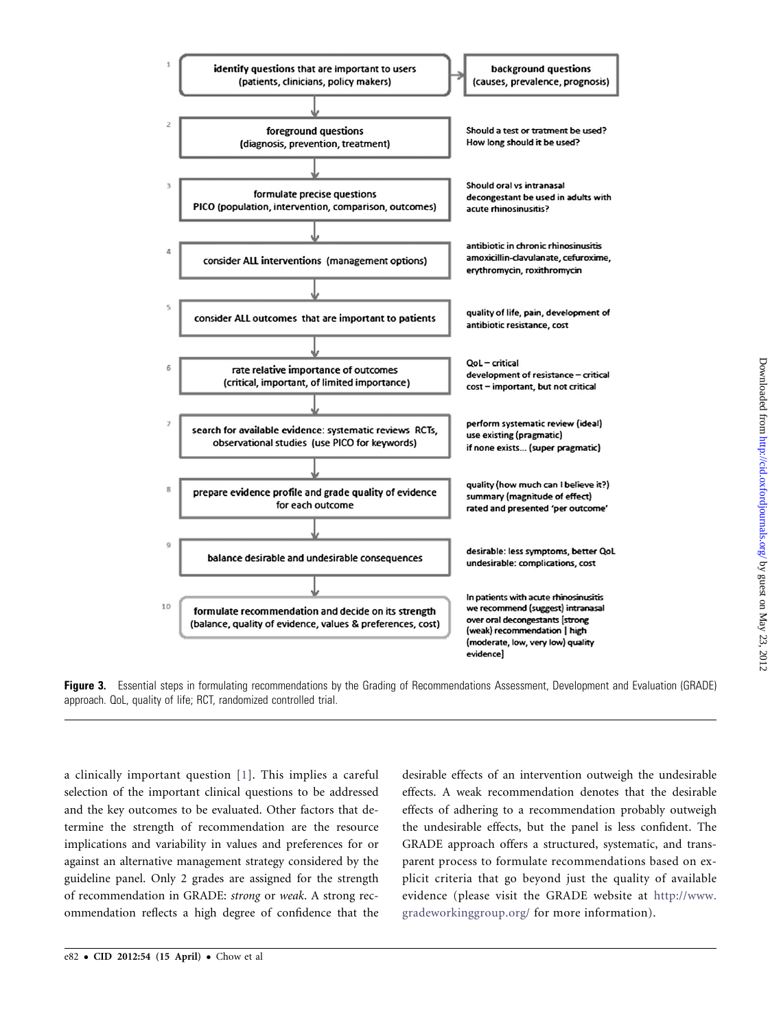<span id="page-10-0"></span>

Figure 3. Essential steps in formulating recommendations by the Grading of Recommendations Assessment, Development and Evaluation (GRADE) approach. QoL, quality of life; RCT, randomized controlled trial.

a clinically important question [[1](#page-35-0)]. This implies a careful selection of the important clinical questions to be addressed and the key outcomes to be evaluated. Other factors that determine the strength of recommendation are the resource implications and variability in values and preferences for or against an alternative management strategy considered by the guideline panel. Only 2 grades are assigned for the strength of recommendation in GRADE: strong or weak. A strong recommendation reflects a high degree of confidence that the

desirable effects of an intervention outweigh the undesirable effects. A weak recommendation denotes that the desirable effects of adhering to a recommendation probably outweigh the undesirable effects, but the panel is less confident. The GRADE approach offers a structured, systematic, and transparent process to formulate recommendations based on explicit criteria that go beyond just the quality of available evidence (please visit the GRADE website at [http://www.](http://www.gradeworkinggroup.org/) [gradeworkinggroup.org/](http://www.gradeworkinggroup.org/) for more information).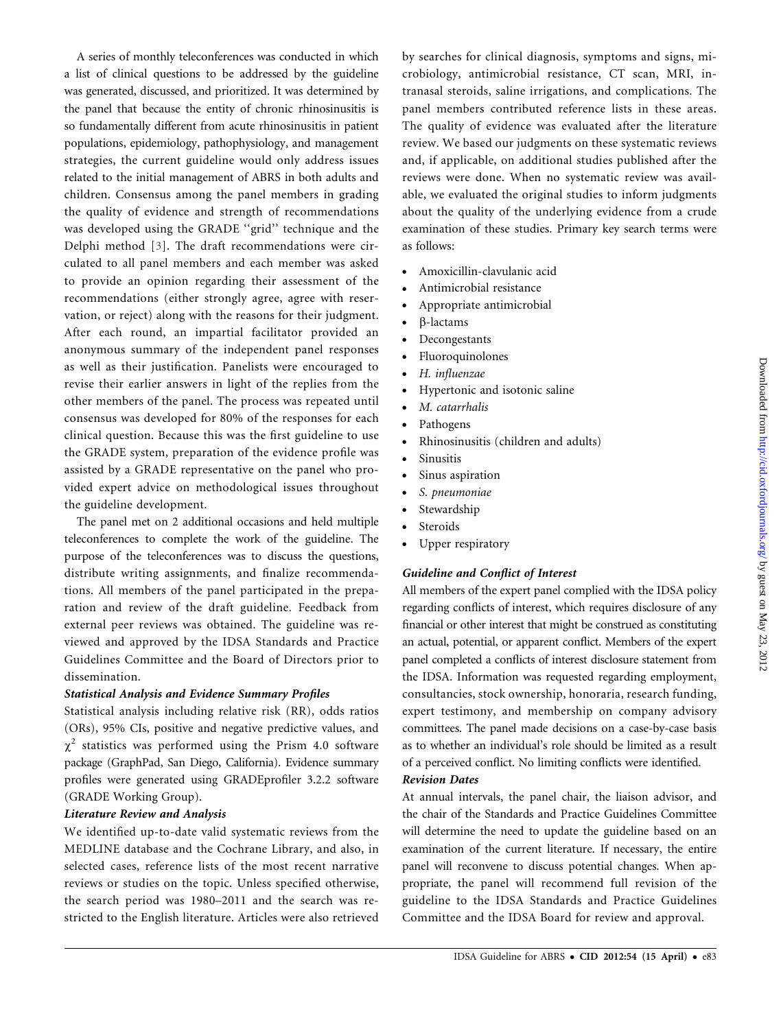A series of monthly teleconferences was conducted in which a list of clinical questions to be addressed by the guideline was generated, discussed, and prioritized. It was determined by the panel that because the entity of chronic rhinosinusitis is so fundamentally different from acute rhinosinusitis in patient populations, epidemiology, pathophysiology, and management strategies, the current guideline would only address issues related to the initial management of ABRS in both adults and children. Consensus among the panel members in grading the quality of evidence and strength of recommendations was developed using the GRADE ''grid'' technique and the Delphi method [\[3](#page-35-0)]. The draft recommendations were circulated to all panel members and each member was asked to provide an opinion regarding their assessment of the recommendations (either strongly agree, agree with reservation, or reject) along with the reasons for their judgment. After each round, an impartial facilitator provided an anonymous summary of the independent panel responses as well as their justification. Panelists were encouraged to revise their earlier answers in light of the replies from the other members of the panel. The process was repeated until consensus was developed for 80% of the responses for each clinical question. Because this was the first guideline to use the GRADE system, preparation of the evidence profile was assisted by a GRADE representative on the panel who provided expert advice on methodological issues throughout the guideline development.

The panel met on 2 additional occasions and held multiple teleconferences to complete the work of the guideline. The purpose of the teleconferences was to discuss the questions, distribute writing assignments, and finalize recommendations. All members of the panel participated in the preparation and review of the draft guideline. Feedback from external peer reviews was obtained. The guideline was reviewed and approved by the IDSA Standards and Practice Guidelines Committee and the Board of Directors prior to dissemination.

# Statistical Analysis and Evidence Summary Profiles

Statistical analysis including relative risk (RR), odds ratios (ORs), 95% CIs, positive and negative predictive values, and  $\chi^2$  statistics was performed using the Prism 4.0 software package (GraphPad, San Diego, California). Evidence summary profiles were generated using GRADEprofiler 3.2.2 software (GRADE Working Group).

#### Literature Review and Analysis

We identified up-to-date valid systematic reviews from the MEDLINE database and the Cochrane Library, and also, in selected cases, reference lists of the most recent narrative reviews or studies on the topic. Unless specified otherwise, the search period was 1980–2011 and the search was restricted to the English literature. Articles were also retrieved by searches for clinical diagnosis, symptoms and signs, microbiology, antimicrobial resistance, CT scan, MRI, intranasal steroids, saline irrigations, and complications. The panel members contributed reference lists in these areas. The quality of evidence was evaluated after the literature review. We based our judgments on these systematic reviews and, if applicable, on additional studies published after the reviews were done. When no systematic review was available, we evaluated the original studies to inform judgments about the quality of the underlying evidence from a crude examination of these studies. Primary key search terms were as follows:

- Amoxicillin-clavulanic acid
- Antimicrobial resistance
- Appropriate antimicrobial
- $\bullet$   $\beta$ -lactams
- Decongestants
- Fluoroquinolones
- $\bullet$  H. influenzae
- Hypertonic and isotonic saline
- M. catarrhalis
- Pathogens
- Rhinosinusitis (children and adults)
- Sinusitis
- Sinus aspiration
- S. pneumoniae
- Stewardship
- Steroids
- Upper respiratory

# Guideline and Conflict of Interest

All members of the expert panel complied with the IDSA policy regarding conflicts of interest, which requires disclosure of any financial or other interest that might be construed as constituting an actual, potential, or apparent conflict. Members of the expert panel completed a conflicts of interest disclosure statement from the IDSA. Information was requested regarding employment, consultancies, stock ownership, honoraria, research funding, expert testimony, and membership on company advisory committees. The panel made decisions on a case-by-case basis as to whether an individual's role should be limited as a result of a perceived conflict. No limiting conflicts were identified.

# Revision Dates

At annual intervals, the panel chair, the liaison advisor, and the chair of the Standards and Practice Guidelines Committee will determine the need to update the guideline based on an examination of the current literature. If necessary, the entire panel will reconvene to discuss potential changes. When appropriate, the panel will recommend full revision of the guideline to the IDSA Standards and Practice Guidelines Committee and the IDSA Board for review and approval.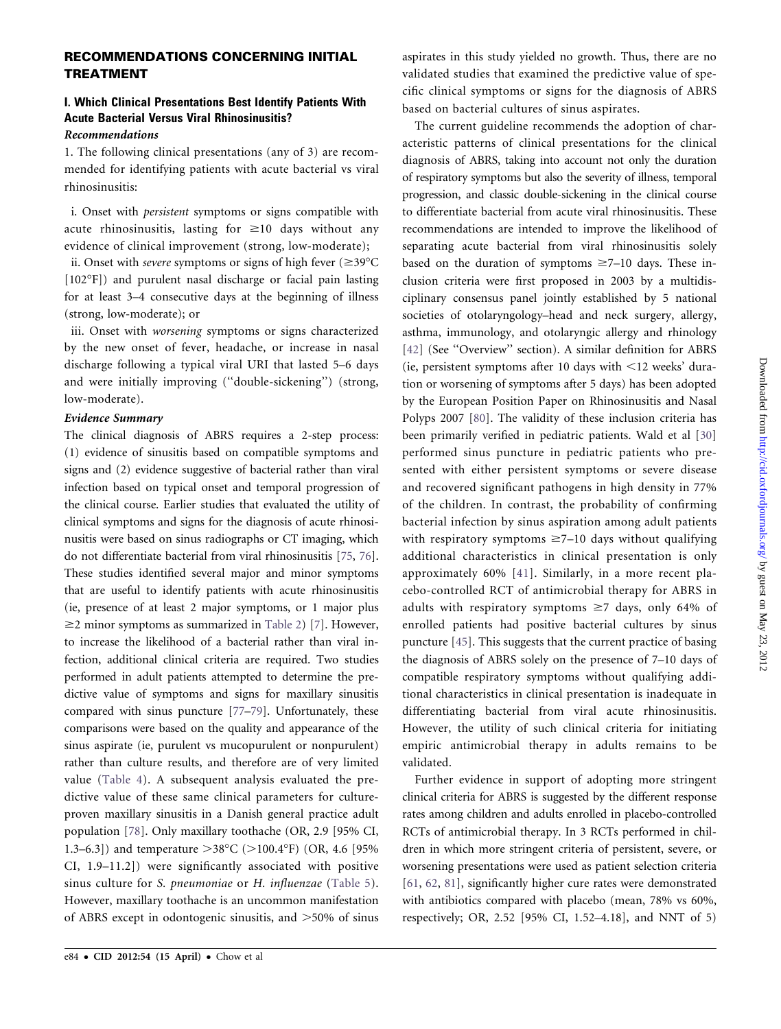# I. Which Clinical Presentations Best Identify Patients With Acute Bacterial Versus Viral Rhinosinusitis?

#### Recommendations

1. The following clinical presentations (any of 3) are recommended for identifying patients with acute bacterial vs viral rhinosinusitis:

i. Onset with persistent symptoms or signs compatible with acute rhinosinusitis, lasting for  $\geq 10$  days without any evidence of clinical improvement (strong, low-moderate);

ii. Onset with *severe* symptoms or signs of high fever ( $\geq$ 39°C [102°F]) and purulent nasal discharge or facial pain lasting for at least 3–4 consecutive days at the beginning of illness (strong, low-moderate); or

iii. Onset with worsening symptoms or signs characterized by the new onset of fever, headache, or increase in nasal discharge following a typical viral URI that lasted 5–6 days and were initially improving (''double-sickening'') (strong, low-moderate).

#### Evidence Summary

The clinical diagnosis of ABRS requires a 2-step process: (1) evidence of sinusitis based on compatible symptoms and signs and (2) evidence suggestive of bacterial rather than viral infection based on typical onset and temporal progression of the clinical course. Earlier studies that evaluated the utility of clinical symptoms and signs for the diagnosis of acute rhinosinusitis were based on sinus radiographs or CT imaging, which do not differentiate bacterial from viral rhinosinusitis [\[75](#page-37-0), [76](#page-37-0)]. These studies identified several major and minor symptoms that are useful to identify patients with acute rhinosinusitis (ie, presence of at least 2 major symptoms, or 1 major plus  $\geq$ 2 minor symptoms as summarized in [Table 2](#page-6-0)) [\[7](#page-35-0)]. However, to increase the likelihood of a bacterial rather than viral infection, additional clinical criteria are required. Two studies performed in adult patients attempted to determine the predictive value of symptoms and signs for maxillary sinusitis compared with sinus puncture [\[77](#page-37-0)–[79\]](#page-37-0). Unfortunately, these comparisons were based on the quality and appearance of the sinus aspirate (ie, purulent vs mucopurulent or nonpurulent) rather than culture results, and therefore are of very limited value ([Table 4\)](#page-13-0). A subsequent analysis evaluated the predictive value of these same clinical parameters for cultureproven maxillary sinusitis in a Danish general practice adult population [[78\]](#page-37-0). Only maxillary toothache (OR, 2.9 [95% CI, 1.3–6.3]) and temperature  $>38^{\circ}$ C ( $>100.4^{\circ}$ F) (OR, 4.6 [95% CI, 1.9–11.2]) were significantly associated with positive sinus culture for S. pneumoniae or H. influenzae ([Table 5](#page-14-0)). However, maxillary toothache is an uncommon manifestation of ABRS except in odontogenic sinusitis, and  $>50\%$  of sinus

validated studies that examined the predictive value of specific clinical symptoms or signs for the diagnosis of ABRS based on bacterial cultures of sinus aspirates.

aspirates in this study yielded no growth. Thus, there are no

The current guideline recommends the adoption of characteristic patterns of clinical presentations for the clinical diagnosis of ABRS, taking into account not only the duration of respiratory symptoms but also the severity of illness, temporal progression, and classic double-sickening in the clinical course to differentiate bacterial from acute viral rhinosinusitis. These recommendations are intended to improve the likelihood of separating acute bacterial from viral rhinosinusitis solely based on the duration of symptoms  $\geq 7-10$  days. These inclusion criteria were first proposed in 2003 by a multidisciplinary consensus panel jointly established by 5 national societies of otolaryngology–head and neck surgery, allergy, asthma, immunology, and otolaryngic allergy and rhinology [[42\]](#page-36-0) (See "Overview" section). A similar definition for ABRS (ie, persistent symptoms after 10 days with  $\leq$  12 weeks' duration or worsening of symptoms after 5 days) has been adopted by the European Position Paper on Rhinosinusitis and Nasal Polyps 2007 [\[80](#page-37-0)]. The validity of these inclusion criteria has been primarily verified in pediatric patients. Wald et al [\[30\]](#page-35-0) performed sinus puncture in pediatric patients who presented with either persistent symptoms or severe disease and recovered significant pathogens in high density in 77% of the children. In contrast, the probability of confirming bacterial infection by sinus aspiration among adult patients with respiratory symptoms  $\geq 7-10$  days without qualifying additional characteristics in clinical presentation is only approximately 60% [[41\]](#page-36-0). Similarly, in a more recent placebo-controlled RCT of antimicrobial therapy for ABRS in adults with respiratory symptoms  $\geq 7$  days, only 64% of enrolled patients had positive bacterial cultures by sinus puncture [[45\]](#page-36-0). This suggests that the current practice of basing the diagnosis of ABRS solely on the presence of 7–10 days of compatible respiratory symptoms without qualifying additional characteristics in clinical presentation is inadequate in differentiating bacterial from viral acute rhinosinusitis. However, the utility of such clinical criteria for initiating empiric antimicrobial therapy in adults remains to be validated.

Further evidence in support of adopting more stringent clinical criteria for ABRS is suggested by the different response rates among children and adults enrolled in placebo-controlled RCTs of antimicrobial therapy. In 3 RCTs performed in children in which more stringent criteria of persistent, severe, or worsening presentations were used as patient selection criteria [\[61,](#page-36-0) [62,](#page-36-0) [81](#page-37-0)], significantly higher cure rates were demonstrated with antibiotics compared with placebo (mean, 78% vs 60%, respectively; OR, 2.52 [95% CI, 1.52–4.18], and NNT of 5)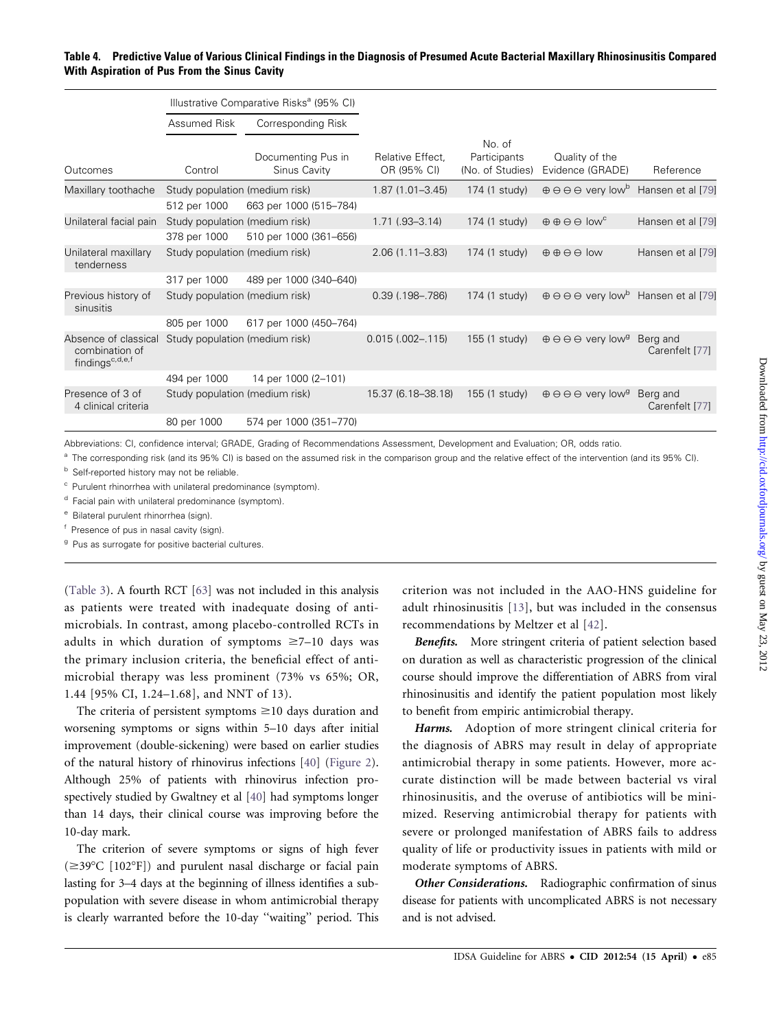#### <span id="page-13-0"></span>Table 4. Predictive Value of Various Clinical Findings in the Diagnosis of Presumed Acute Bacterial Maxillary Rhinosinusitis Compared With Aspiration of Pus From the Sinus Cavity

|                                                                       |                                | Illustrative Comparative Risks <sup>a</sup> (95% CI) |                                 |                                            |                                                                          |                            |
|-----------------------------------------------------------------------|--------------------------------|------------------------------------------------------|---------------------------------|--------------------------------------------|--------------------------------------------------------------------------|----------------------------|
|                                                                       | Assumed Risk                   | Corresponding Risk                                   |                                 |                                            |                                                                          |                            |
| Outcomes                                                              | Control                        | Documenting Pus in<br>Sinus Cavity                   | Relative Effect,<br>OR (95% CI) | No. of<br>Participants<br>(No. of Studies) | Quality of the<br>Evidence (GRADE)                                       | Reference                  |
| Maxillary toothache                                                   | Study population (medium risk) |                                                      | $1.87(1.01 - 3.45)$             | 174 (1 study)                              | $\oplus \ominus \ominus \ominus$ very low <sup>p</sup> Hansen et al [79] |                            |
|                                                                       | 512 per 1000                   | 663 per 1000 (515-784)                               |                                 |                                            |                                                                          |                            |
| Unilateral facial pain                                                | Study population (medium risk) |                                                      | $1.71(.93 - 3.14)$              | 174 (1 study)                              | $\oplus \oplus \ominus \ominus$ low <sup>c</sup>                         | Hansen et al [79]          |
|                                                                       | 378 per 1000                   | 510 per 1000 (361-656)                               |                                 |                                            |                                                                          |                            |
| Unilateral maxillary<br>tenderness                                    | Study population (medium risk) |                                                      | $2.06(1.11 - 3.83)$             | 174 (1 study)                              | $\oplus$ $\oplus$ $\ominus$ $\ominus$ low                                | Hansen et al [79]          |
|                                                                       | 317 per 1000                   | 489 per 1000 (340-640)                               |                                 |                                            |                                                                          |                            |
| Previous history of<br>sinusitis                                      | Study population (medium risk) |                                                      | $0.39(.198 - .786)$             | 174 (1 study)                              | $\oplus \ominus \ominus \ominus$ very low <sup>b</sup> Hansen et al [79] |                            |
|                                                                       | 805 per 1000                   | 617 per 1000 (450-764)                               |                                 |                                            |                                                                          |                            |
| Absence of classical<br>combination of<br>findings <sup>c,d,e,f</sup> | Study population (medium risk) |                                                      | $0.015(.002 - .115)$            | 155 (1 study)                              | $\oplus \ominus \ominus \ominus$ very low <sup>g</sup>                   | Berg and<br>Carenfelt [77] |
|                                                                       | 494 per 1000                   | 14 per 1000 (2-101)                                  |                                 |                                            |                                                                          |                            |
| Presence of 3 of<br>4 clinical criteria                               | Study population (medium risk) |                                                      | 15.37 (6.18-38.18)              | 155 (1 study)                              | $\oplus \ominus \ominus \ominus$ very low <sup>g</sup>                   | Berg and<br>Carenfelt [77] |
|                                                                       | 80 per 1000                    | 574 per 1000 (351-770)                               |                                 |                                            |                                                                          |                            |

Abbreviations: CI, confidence interval; GRADE, Grading of Recommendations Assessment, Development and Evaluation; OR, odds ratio.

a The corresponding risk (and its 95% CI) is based on the assumed risk in the comparison group and the relative effect of the intervention (and its 95% CI).

**b** Self-reported history may not be reliable.

<sup>c</sup> Purulent rhinorrhea with unilateral predominance (symptom).

<sup>d</sup> Facial pain with unilateral predominance (symptom).

<sup>e</sup> Bilateral purulent rhinorrhea (sign).

<sup>f</sup> Presence of pus in nasal cavity (sign).

<sup>g</sup> Pus as surrogate for positive bacterial cultures.

[\(Table 3](#page-8-0)). A fourth RCT [\[63\]](#page-36-0) was not included in this analysis as patients were treated with inadequate dosing of antimicrobials. In contrast, among placebo-controlled RCTs in adults in which duration of symptoms  $\geq 7-10$  days was the primary inclusion criteria, the beneficial effect of antimicrobial therapy was less prominent (73% vs 65%; OR, 1.44 [95% CI, 1.24–1.68], and NNT of 13).

The criteria of persistent symptoms  $\geq$  10 days duration and worsening symptoms or signs within 5–10 days after initial improvement (double-sickening) were based on earlier studies of the natural history of rhinovirus infections [\[40](#page-36-0)] ([Figure 2](#page-7-0)). Although 25% of patients with rhinovirus infection prospectively studied by Gwaltney et al [\[40](#page-36-0)] had symptoms longer than 14 days, their clinical course was improving before the 10-day mark.

The criterion of severe symptoms or signs of high fever  $(\geq 39^{\circ}C$  [102°F]) and purulent nasal discharge or facial pain lasting for 3–4 days at the beginning of illness identifies a subpopulation with severe disease in whom antimicrobial therapy is clearly warranted before the 10-day ''waiting'' period. This

criterion was not included in the AAO-HNS guideline for adult rhinosinusitis [[13\]](#page-35-0), but was included in the consensus recommendations by Meltzer et al [[42](#page-36-0)].

Benefits. More stringent criteria of patient selection based on duration as well as characteristic progression of the clinical course should improve the differentiation of ABRS from viral rhinosinusitis and identify the patient population most likely to benefit from empiric antimicrobial therapy.

Harms. Adoption of more stringent clinical criteria for the diagnosis of ABRS may result in delay of appropriate antimicrobial therapy in some patients. However, more accurate distinction will be made between bacterial vs viral rhinosinusitis, and the overuse of antibiotics will be minimized. Reserving antimicrobial therapy for patients with severe or prolonged manifestation of ABRS fails to address quality of life or productivity issues in patients with mild or moderate symptoms of ABRS.

Other Considerations. Radiographic confirmation of sinus disease for patients with uncomplicated ABRS is not necessary and is not advised.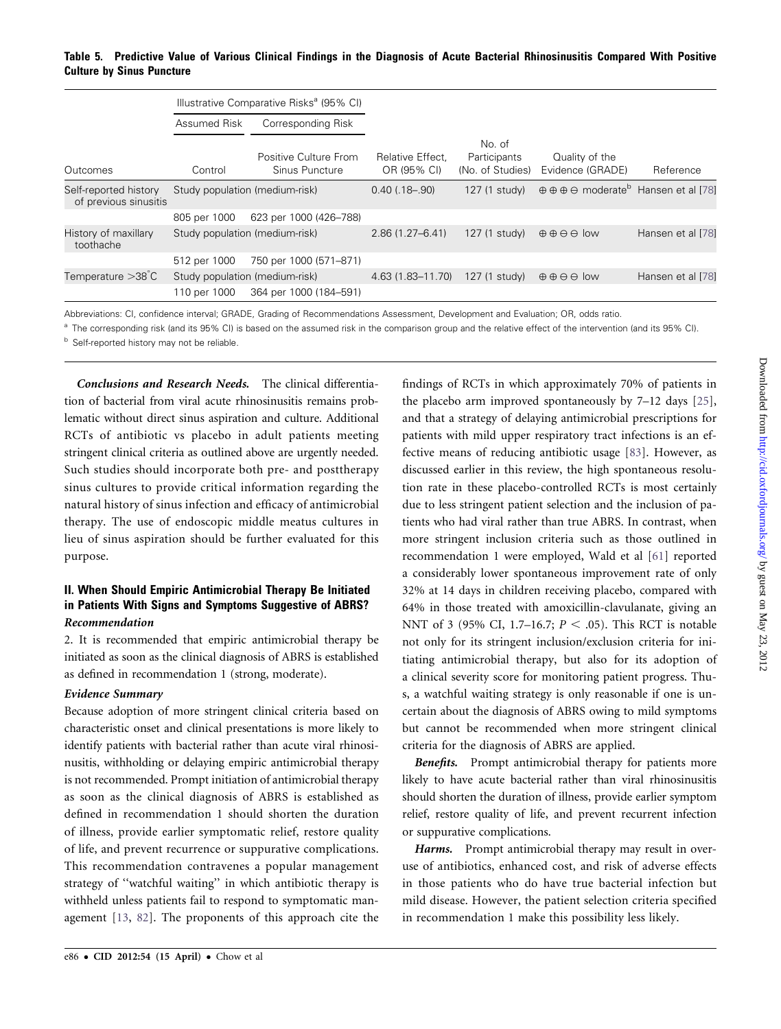#### <span id="page-14-0"></span>Table 5. Predictive Value of Various Clinical Findings in the Diagnosis of Acute Bacterial Rhinosinusitis Compared With Positive Culture by Sinus Puncture

|                                                | Illustrative Comparative Risks <sup>a</sup> (95% CI) |                                         |                                 |                                            |                                                                              |                   |
|------------------------------------------------|------------------------------------------------------|-----------------------------------------|---------------------------------|--------------------------------------------|------------------------------------------------------------------------------|-------------------|
|                                                | Assumed Risk                                         | Corresponding Risk                      |                                 |                                            |                                                                              |                   |
| Outcomes                                       | Control                                              | Positive Culture From<br>Sinus Puncture | Relative Effect.<br>OR (95% CI) | No. of<br>Participants<br>(No. of Studies) | Quality of the<br>Evidence (GRADE)                                           | Reference         |
| Self-reported history<br>of previous sinusitis | Study population (medium-risk)                       |                                         | $0.40$ $(.18 - .90)$            | 127 (1 study)                              | $\oplus$ $\oplus$ $\oplus$ $\ominus$ moderate <sup>b</sup> Hansen et al [78] |                   |
|                                                | 805 per 1000                                         | 623 per 1000 (426-788)                  |                                 |                                            |                                                                              |                   |
| History of maxillary<br>toothache              | Study population (medium-risk)                       |                                         | $2.86(1.27 - 6.41)$             | 127 (1 study)                              | $\oplus$ $\oplus$ $\ominus$ $\ominus$ low                                    | Hansen et al [78] |
|                                                | 512 per 1000                                         | 750 per 1000 (571-871)                  |                                 |                                            |                                                                              |                   |
| Temperature $>38^{\circ}$ C                    | Study population (medium-risk)                       |                                         | 4.63 (1.83–11.70)               | 127 (1 study)                              | $\oplus$ $\oplus$ $\ominus$ $\ominus$ low                                    | Hansen et al [78] |
|                                                | 110 per 1000                                         | 364 per 1000 (184–591)                  |                                 |                                            |                                                                              |                   |

Abbreviations: CI, confidence interval; GRADE, Grading of Recommendations Assessment, Development and Evaluation; OR, odds ratio.

a The corresponding risk (and its 95% CI) is based on the assumed risk in the comparison group and the relative effect of the intervention (and its 95% CI).

b Self-reported history may not be reliable.

Conclusions and Research Needs. The clinical differentiation of bacterial from viral acute rhinosinusitis remains problematic without direct sinus aspiration and culture. Additional RCTs of antibiotic vs placebo in adult patients meeting stringent clinical criteria as outlined above are urgently needed. Such studies should incorporate both pre- and posttherapy sinus cultures to provide critical information regarding the natural history of sinus infection and efficacy of antimicrobial therapy. The use of endoscopic middle meatus cultures in lieu of sinus aspiration should be further evaluated for this purpose.

## II. When Should Empiric Antimicrobial Therapy Be Initiated in Patients With Signs and Symptoms Suggestive of ABRS? Recommendation

2. It is recommended that empiric antimicrobial therapy be initiated as soon as the clinical diagnosis of ABRS is established as defined in recommendation 1 (strong, moderate).

#### Evidence Summary

Because adoption of more stringent clinical criteria based on characteristic onset and clinical presentations is more likely to identify patients with bacterial rather than acute viral rhinosinusitis, withholding or delaying empiric antimicrobial therapy is not recommended. Prompt initiation of antimicrobial therapy as soon as the clinical diagnosis of ABRS is established as defined in recommendation 1 should shorten the duration of illness, provide earlier symptomatic relief, restore quality of life, and prevent recurrence or suppurative complications. This recommendation contravenes a popular management strategy of ''watchful waiting'' in which antibiotic therapy is withheld unless patients fail to respond to symptomatic management [[13,](#page-35-0) [82](#page-37-0)]. The proponents of this approach cite the

findings of RCTs in which approximately 70% of patients in the placebo arm improved spontaneously by 7–12 days [\[25](#page-35-0)], and that a strategy of delaying antimicrobial prescriptions for patients with mild upper respiratory tract infections is an effective means of reducing antibiotic usage [[83\]](#page-37-0). However, as discussed earlier in this review, the high spontaneous resolution rate in these placebo-controlled RCTs is most certainly due to less stringent patient selection and the inclusion of patients who had viral rather than true ABRS. In contrast, when more stringent inclusion criteria such as those outlined in recommendation 1 were employed, Wald et al [\[61](#page-36-0)] reported a considerably lower spontaneous improvement rate of only 32% at 14 days in children receiving placebo, compared with 64% in those treated with amoxicillin-clavulanate, giving an NNT of 3 (95% CI, 1.7-16.7;  $P < .05$ ). This RCT is notable not only for its stringent inclusion/exclusion criteria for initiating antimicrobial therapy, but also for its adoption of a clinical severity score for monitoring patient progress. Thus, a watchful waiting strategy is only reasonable if one is uncertain about the diagnosis of ABRS owing to mild symptoms but cannot be recommended when more stringent clinical criteria for the diagnosis of ABRS are applied.

Benefits. Prompt antimicrobial therapy for patients more likely to have acute bacterial rather than viral rhinosinusitis should shorten the duration of illness, provide earlier symptom relief, restore quality of life, and prevent recurrent infection or suppurative complications.

Harms. Prompt antimicrobial therapy may result in overuse of antibiotics, enhanced cost, and risk of adverse effects in those patients who do have true bacterial infection but mild disease. However, the patient selection criteria specified in recommendation 1 make this possibility less likely.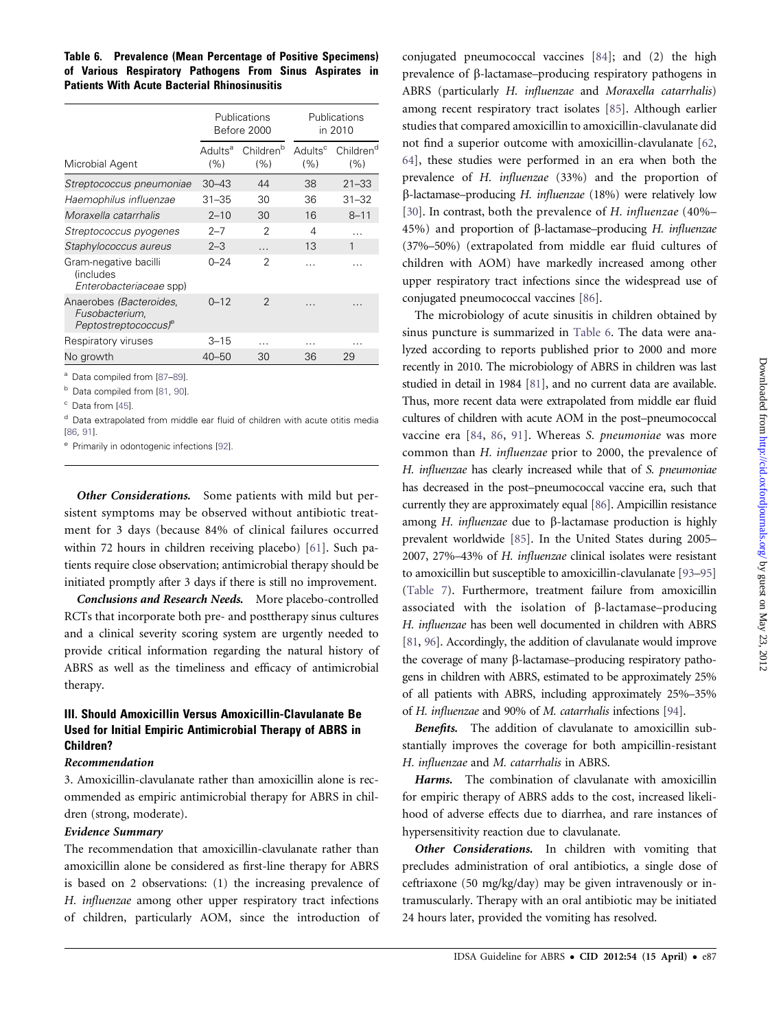<span id="page-15-0"></span>Table 6. Prevalence (Mean Percentage of Positive Specimens) of Various Respiratory Pathogens From Sinus Aspirates in Patients With Acute Bacterial Rhinosinusitis

|                                                                               |                            | Publications<br>Before 2000  | Publications<br>in 2010    |                              |  |  |
|-------------------------------------------------------------------------------|----------------------------|------------------------------|----------------------------|------------------------------|--|--|
| Microbial Agent                                                               | Adults <sup>a</sup><br>(%) | Children <sup>b</sup><br>(%) | Adults <sup>c</sup><br>(%) | Children <sup>d</sup><br>(%) |  |  |
| Streptococcus pneumoniae                                                      | $30 - 43$                  | 44                           | 38                         | $21 - 33$                    |  |  |
| Haemophilus influenzae                                                        | $31 - 35$                  | 30                           | 36                         | $31 - 32$                    |  |  |
| Moraxella catarrhalis                                                         | $2 - 10$                   | 30                           | 16                         | $8 - 11$                     |  |  |
| Streptococcus pyogenes                                                        | $2 - 7$                    | 2                            | 4                          |                              |  |  |
| Staphylococcus aureus                                                         | $2 - 3$                    | .                            | 13                         | 1                            |  |  |
| Gram-negative bacilli<br><i>lincludes</i><br>Enterobacteriaceae spp)          | $0 - 24$                   | 2                            | .                          |                              |  |  |
| Anaerobes (Bacteroides,<br>Fusobacterium,<br>Peptostreptococcus) <sup>e</sup> | $0 - 12$                   | $\mathcal{P}$                |                            |                              |  |  |
| Respiratory viruses                                                           | $3 - 15$                   |                              |                            |                              |  |  |
| No growth                                                                     | $40 - 50$                  | 30                           | 36                         | 29                           |  |  |

<sup>a</sup> Data compiled from [\[87](#page-37-0)-[89](#page-37-0)].

b Data compiled from [[81](#page-37-0), [90](#page-37-0)].

<sup>c</sup> Data from [\[45\]](#page-36-0).

<sup>d</sup> Data extrapolated from middle ear fluid of children with acute otitis media [[86,](#page-37-0) [91](#page-37-0)].

<sup>e</sup> Primarily in odontogenic infections [[92\]](#page-37-0).

Other Considerations. Some patients with mild but persistent symptoms may be observed without antibiotic treatment for 3 days (because 84% of clinical failures occurred within 72 hours in children receiving placebo) [[61](#page-36-0)]. Such patients require close observation; antimicrobial therapy should be initiated promptly after 3 days if there is still no improvement.

Conclusions and Research Needs. More placebo-controlled RCTs that incorporate both pre- and posttherapy sinus cultures and a clinical severity scoring system are urgently needed to provide critical information regarding the natural history of ABRS as well as the timeliness and efficacy of antimicrobial therapy.

# III. Should Amoxicillin Versus Amoxicillin-Clavulanate Be Used for Initial Empiric Antimicrobial Therapy of ABRS in Children?

#### Recommendation

3. Amoxicillin-clavulanate rather than amoxicillin alone is recommended as empiric antimicrobial therapy for ABRS in children (strong, moderate).

#### Evidence Summary

The recommendation that amoxicillin-clavulanate rather than amoxicillin alone be considered as first-line therapy for ABRS is based on 2 observations: (1) the increasing prevalence of H. influenzae among other upper respiratory tract infections of children, particularly AOM, since the introduction of

conjugated pneumococcal vaccines [\[84](#page-37-0)]; and (2) the high prevalence of b-lactamase–producing respiratory pathogens in ABRS (particularly H. influenzae and Moraxella catarrhalis) among recent respiratory tract isolates [[85](#page-37-0)]. Although earlier studies that compared amoxicillin to amoxicillin-clavulanate did not find a superior outcome with amoxicillin-clavulanate [[62,](#page-36-0) [64\]](#page-36-0), these studies were performed in an era when both the prevalence of H. influenzae (33%) and the proportion of  $\beta$ -lactamase–producing H. influenzae (18%) were relatively low [\[30\]](#page-35-0). In contrast, both the prevalence of H. influenzae (40%– 45%) and proportion of  $\beta$ -lactamase–producing H. influenzae (37%–50%) (extrapolated from middle ear fluid cultures of children with AOM) have markedly increased among other upper respiratory tract infections since the widespread use of conjugated pneumococcal vaccines [[86](#page-37-0)].

The microbiology of acute sinusitis in children obtained by sinus puncture is summarized in Table 6. The data were analyzed according to reports published prior to 2000 and more recently in 2010. The microbiology of ABRS in children was last studied in detail in 1984 [\[81\]](#page-37-0), and no current data are available. Thus, more recent data were extrapolated from middle ear fluid cultures of children with acute AOM in the post–pneumococcal vaccine era [[84](#page-37-0), [86,](#page-37-0) [91](#page-37-0)]. Whereas S. pneumoniae was more common than H. influenzae prior to 2000, the prevalence of H. influenzae has clearly increased while that of S. pneumoniae has decreased in the post–pneumococcal vaccine era, such that currently they are approximately equal [[86](#page-37-0)]. Ampicillin resistance among H. influenzae due to  $\beta$ -lactamase production is highly prevalent worldwide [\[85](#page-37-0)]. In the United States during 2005– 2007, 27%–43% of H. influenzae clinical isolates were resistant to amoxicillin but susceptible to amoxicillin-clavulanate [\[93](#page-37-0)–[95\]](#page-37-0) [\(Table 7](#page-16-0)). Furthermore, treatment failure from amoxicillin associated with the isolation of  $\beta$ -lactamase–producing H. influenzae has been well documented in children with ABRS [\[81,](#page-37-0) [96](#page-37-0)]. Accordingly, the addition of clavulanate would improve the coverage of many  $\beta$ -lactamase–producing respiratory pathogens in children with ABRS, estimated to be approximately 25% of all patients with ABRS, including approximately 25%–35% of H. influenzae and 90% of M. catarrhalis infections [[94](#page-37-0)].

Benefits. The addition of clavulanate to amoxicillin substantially improves the coverage for both ampicillin-resistant H. influenzae and M. catarrhalis in ABRS.

Harms. The combination of clavulanate with amoxicillin for empiric therapy of ABRS adds to the cost, increased likelihood of adverse effects due to diarrhea, and rare instances of hypersensitivity reaction due to clavulanate.

Other Considerations. In children with vomiting that precludes administration of oral antibiotics, a single dose of ceftriaxone (50 mg/kg/day) may be given intravenously or intramuscularly. Therapy with an oral antibiotic may be initiated 24 hours later, provided the vomiting has resolved.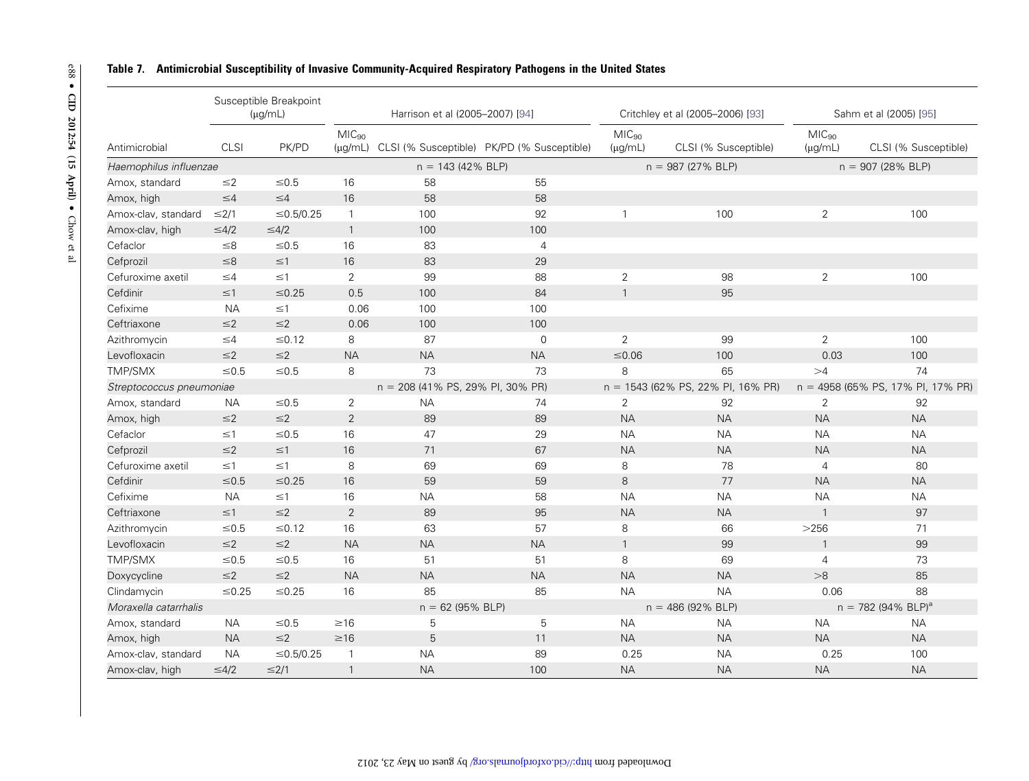|                          |                      | Susceptible Breakpoint<br>$(\mu g/mL)$ |                   | Harrison et al (2005-2007) [94]  |                                                    |                                   | Critchley et al (2005-2006) [93]  |                                   | Sahm et al (2005) [95]            |
|--------------------------|----------------------|----------------------------------------|-------------------|----------------------------------|----------------------------------------------------|-----------------------------------|-----------------------------------|-----------------------------------|-----------------------------------|
| Antimicrobial            | CLSI                 | PK/PD                                  | MIC <sub>90</sub> |                                  | (µg/mL) CLSI (% Susceptible) PK/PD (% Susceptible) | MIC <sub>90</sub><br>$(\mu g/mL)$ | CLSI (% Susceptible)              | MIC <sub>90</sub><br>$(\mu g/mL)$ | CLSI (% Susceptible)              |
| Haemophilus influenzae   | $n = 143 (42\% BLP)$ |                                        |                   | $n = 987(27\% \text{ BLP})$      | $n = 907 (28\% BLP)$                               |                                   |                                   |                                   |                                   |
| Amox, standard           | $\leq$ 2             | $≤0.5$                                 | 16                | 58                               | 55                                                 |                                   |                                   |                                   |                                   |
| Amox, high               | $\leq 4$             | $\leq 4$                               | 16                | 58                               | 58                                                 |                                   |                                   |                                   |                                   |
| Amox-clav, standard      | $\leq$ 2/1           | ≤0.5/0.25                              | $\mathbf{1}$      | 100                              | 92                                                 | $\mathbf{1}$                      | 100                               | $\overline{2}$                    | 100                               |
| Amox-clav, high          | $\leq 4/2$           | $\leq 4/2$                             | $\overline{1}$    | 100                              | 100                                                |                                   |                                   |                                   |                                   |
| Cefaclor                 | $\leq 8$             | $\leq 0.5$                             | 16                | 83                               | $\overline{4}$                                     |                                   |                                   |                                   |                                   |
| Cefprozil                | $\leq 8$             | $\leq$ 1                               | 16                | 83                               | 29                                                 |                                   |                                   |                                   |                                   |
| Cefuroxime axetil        | $\leq 4$             | $\leq$ 1                               | 2                 | 99                               | 88                                                 | 2                                 | 98                                | 2                                 | 100                               |
| Cefdinir                 | $\leq$ 1             | $≤0.25$                                | 0.5               | 100                              | 84                                                 | $\mathbf{1}$                      | 95                                |                                   |                                   |
| Cefixime                 | <b>NA</b>            | $\leq$ 1                               | 0.06              | 100                              | 100                                                |                                   |                                   |                                   |                                   |
| Ceftriaxone              | $\leq$ 2             | $\leq$ 2                               | 0.06              | 100                              | 100                                                |                                   |                                   |                                   |                                   |
| Azithromycin             | $\leq 4$             | $\leq 0.12$                            | 8                 | 87                               | $\overline{0}$                                     | 2                                 | 99                                | 2                                 | 100                               |
| Levofloxacin             | $\leq$ 2             | $\leq$ 2                               | <b>NA</b>         | <b>NA</b>                        | <b>NA</b>                                          | ≤0.06                             | 100                               | 0.03                              | 100                               |
| TMP/SMX                  | $≤0.5$               | $≤0.5$                                 | 8                 | 73                               | 73                                                 | 8                                 | 65                                | >4                                | 74                                |
| Streptococcus pneumoniae |                      |                                        |                   | n = 208 (41% PS, 29% PI, 30% PR) |                                                    |                                   | n = 1543 (62% PS, 22% PI, 16% PR) |                                   | n = 4958 (65% PS, 17% PI, 17% PR) |
| Amox, standard           | <b>NA</b>            | $\leq 0.5$                             | 2                 | <b>NA</b>                        | 74                                                 | 2                                 | 92                                | 2                                 | 92                                |
| Amox, high               | $\leq$ 2             | $\leq$ 2                               | 2                 | 89                               | 89                                                 | <b>NA</b>                         | <b>NA</b>                         | <b>NA</b>                         | <b>NA</b>                         |
| Cefaclor                 | $\leq$ 1             | $≤0.5$                                 | 16                | 47                               | 29                                                 | <b>NA</b>                         | <b>NA</b>                         | <b>NA</b>                         | <b>NA</b>                         |
| Cefprozil                | $\leq$ 2             | $\leq$ 1                               | 16                | 71                               | 67                                                 | <b>NA</b>                         | <b>NA</b>                         | <b>NA</b>                         | <b>NA</b>                         |
| Cefuroxime axetil        | $\leq$ 1             | $\leq$ 1                               | 8                 | 69                               | 69                                                 | 8                                 | 78                                | $\overline{4}$                    | 80                                |
| Cefdinir                 | $\leq 0.5$           | $≤0.25$                                | 16                | 59                               | 59                                                 | 8                                 | 77                                | <b>NA</b>                         | <b>NA</b>                         |
| Cefixime                 | <b>NA</b>            | $\leq$ 1                               | 16                | <b>NA</b>                        | 58                                                 | <b>NA</b>                         | <b>NA</b>                         | <b>NA</b>                         | <b>NA</b>                         |
| Ceftriaxone              | $\leq$ 1             | $\leq$ 2                               | 2                 | 89                               | 95                                                 | <b>NA</b>                         | <b>NA</b>                         | $\overline{1}$                    | 97                                |
| Azithromycin             | $\leq 0.5$           | $\leq 0.12$                            | 16                | 63                               | 57                                                 | 8                                 | 66                                | >256                              | 71                                |
| Levofloxacin             | ${\leq}2$            | $\leq$ 2                               | <b>NA</b>         | <b>NA</b>                        | <b>NA</b>                                          | $\mathbf{1}$                      | 99                                | $\overline{1}$                    | 99                                |
| TMP/SMX                  | $≤0.5$               | $≤0.5$                                 | 16                | 51                               | 51                                                 | 8                                 | 69                                | $\overline{4}$                    | 73                                |
| Doxycycline              | $\leq$ 2             | $\leq$ 2                               | <b>NA</b>         | <b>NA</b>                        | <b>NA</b>                                          | <b>NA</b>                         | <b>NA</b>                         | >8                                | 85                                |
| Clindamycin              | $≤0.25$              | $≤0.25$                                | 16                | 85                               | 85                                                 | <b>NA</b>                         | <b>NA</b>                         | 0.06                              | 88                                |
| Moraxella catarrhalis    |                      |                                        |                   | $n = 62 (95\% BLP)$              |                                                    |                                   | $n = 486 (92\% BLP)$              |                                   | $n = 782 (94\% BLP)^a$            |
| Amox, standard           | <b>NA</b>            | $≤0.5$                                 | $\geq 16$         | 5                                | 5                                                  | <b>NA</b>                         | <b>NA</b>                         | <b>NA</b>                         | <b>NA</b>                         |
| Amox, high               | <b>NA</b>            | $\leq$ 2                               | $\geq 16$         | 5                                | 11                                                 | <b>NA</b>                         | <b>NA</b>                         | <b>NA</b>                         | <b>NA</b>                         |
| Amox-clav, standard      | <b>NA</b>            | ≤0.5/0.25                              | $\overline{1}$    | <b>NA</b>                        | 89                                                 | 0.25                              | <b>NA</b>                         | 0.25                              | 100                               |
| Amox-clav, high          | $\leq 4/2$           | $\leq$ 2/1                             | $\mathbf{1}$      | <b>NA</b>                        | 100                                                | <b>NA</b>                         | <b>NA</b>                         | <b>NA</b>                         | <b>NA</b>                         |

# <span id="page-16-0"></span>Table 7. Antimicrobial Susceptibility of Invasive Community-Acquired Respiratory Pathogens in the United States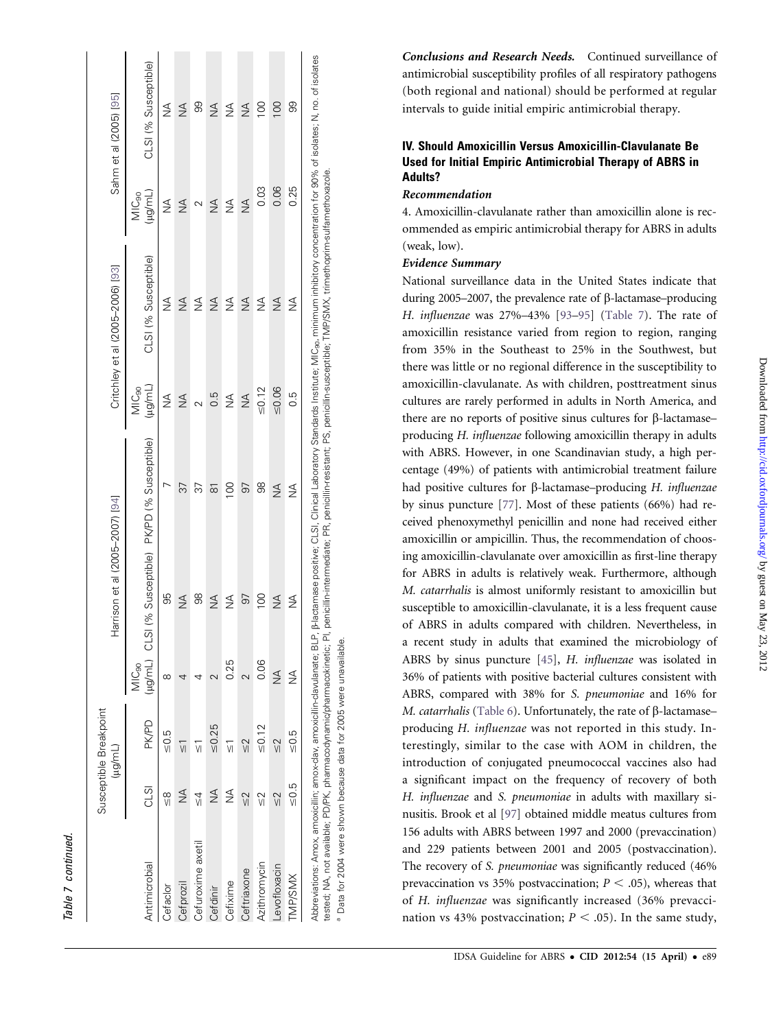| г |
|---|
| г |
| r |
| г |
|   |

|                                                                                                                                                      |                          | Susceptible Breakpoint<br>(Lud/brt) |                          | Harrison et al (2005-2007) [94] |                                       |                     | Critchley et al (2005-2006) [93]                                                                                                                                                                                                                                                            |                             | Sahm et al (2005) [95] |
|------------------------------------------------------------------------------------------------------------------------------------------------------|--------------------------|-------------------------------------|--------------------------|---------------------------------|---------------------------------------|---------------------|---------------------------------------------------------------------------------------------------------------------------------------------------------------------------------------------------------------------------------------------------------------------------------------------|-----------------------------|------------------------|
| Antimicrobial                                                                                                                                        | CLSI                     | <b>PK/PD</b>                        | (µg/mL) CLSI<br>S<br>⊠IM |                                 | (% Susceptible) PK/PD (% Susceptible) | (Lught)<br>®<br>⊠I⊠ | CLSI (% Susceptible)                                                                                                                                                                                                                                                                        | ug/mL)<br>MIC <sub>90</sub> | CLSI (% Susceptible)   |
| Cefaclor                                                                                                                                             | 8<br>Vl                  | 9.0≥                                | $^\infty$                | 95                              |                                       | $\frac{1}{2}$       | $\frac{1}{2}$                                                                                                                                                                                                                                                                               | $\frac{1}{2}$               | ≸                      |
| Cefprozil                                                                                                                                            | $\frac{1}{2}$            | $\overline{V}$                      |                          | ≸                               | 37                                    | $\frac{1}{2}$       | $\frac{4}{2}$                                                                                                                                                                                                                                                                               | $\frac{1}{2}$               | $\frac{1}{2}$          |
| Cefuroxime axetil                                                                                                                                    | $\frac{4}{3}$            |                                     |                          | 88                              | 57                                    | $\mathbf{\Omega}$   | $\frac{1}{2}$                                                                                                                                                                                                                                                                               |                             | 99                     |
| Cefdinir                                                                                                                                             | $\leq$                   | $\leq 0.25$                         |                          | $\frac{4}{2}$                   | $\overline{8}$                        | G.G                 | $\frac{4}{2}$                                                                                                                                                                                                                                                                               | $\frac{1}{2}$               | $\frac{1}{2}$          |
| Cefixime                                                                                                                                             | $\frac{1}{2}$            | VI                                  | 0.25                     | ≸                               | 8                                     | $\frac{4}{2}$       | $\frac{1}{2}$                                                                                                                                                                                                                                                                               | ≸                           | ≸                      |
| Ceftriaxone                                                                                                                                          | $\frac{2}{3}$            |                                     |                          | 97                              | 97                                    | $\frac{4}{2}$       | $\frac{1}{2}$                                                                                                                                                                                                                                                                               | $\frac{1}{2}$               | $\frac{1}{2}$          |
| Azithromycin                                                                                                                                         | 2                        | $\leq 0.12$                         | 0.06                     | $\frac{8}{1}$                   | 88                                    | $\leq 0.12$         | $\frac{1}{2}$                                                                                                                                                                                                                                                                               | 0.03                        | $\frac{8}{1}$          |
| Levotloxacin                                                                                                                                         | $\widetilde{\mathbb{Y}}$ | 2<br>2                              | $\frac{1}{2}$            | $\frac{1}{2}$                   | $\frac{1}{2}$                         | $\leq 0.06$         | $\frac{1}{2}$                                                                                                                                                                                                                                                                               | 0.06                        | $\frac{8}{1}$          |
| <b>MP/SMX</b>                                                                                                                                        | $\frac{5}{20}$           | i<br>Si D                           | ≸                        | ≸                               | $\frac{1}{2}$                         | ς<br>Ο              | $\frac{1}{2}$                                                                                                                                                                                                                                                                               | 0.25                        | 99                     |
| tested; NA, not available; PD/PK, pharmacodynamic/pharmacokinetic; PI,<br>Abbreviations: Amox, amoxicillin; amox-clav, amoxicillin-clavulanate; BLP, |                          |                                     |                          |                                 |                                       |                     | B-lactamase positive; CLSI, Clinical Laboratory Standards Institute; MIC <sub>90</sub> , minimum inhibitory concentration for 90% of isolates; N, no. of isolates<br>penicillin-intermediate; PR, penicillin-resistant; PS, penicillin-susceptible; TMP/SMX, trimethoprim-sulfamethoxazole. |                             |                        |

<sup>a</sup> Data for 2004 were shown because data for 2005 were unavailable Data for 2004 were shown because data for 2005 were unavailable.

Conclusions and Research Needs. Continued surveillance of antimicrobial susceptibility profiles of all respiratory pathogens (both regional and national) should be performed at regular intervals to guide initial empiric antimicrobial therapy.

## IV. Should Amoxicillin Versus Amoxicillin-Clavulanate Be Used for Initial Empiric Antimicrobial Therapy of ABRS in Adults?

# Recommendation

4. Amoxicillin-clavulanate rather than amoxicillin alone is recommended as empiric antimicrobial therapy for ABRS in adults (weak, low).

# Evidence Summary

National surveillance data in the United States indicate that during 2005–2007, the prevalence rate of b-lactamase–producing H. influenzae was 27%–43% [\[93](#page-37-0) –[95\]](#page-37-0) [\(Table 7\)](#page-16-0). The rate of amoxicillin resistance varied from region to region, ranging from 35% in the Southeast to 25% in the Southwest, but there was little or no regional difference in the susceptibility to amoxicillin-clavulanate. As with children, posttreatment sinus cultures are rarely performed in adults in North America, and there are no reports of positive sinus cultures for  $\beta$ -lactamaseproducing H. influenzae following amoxicillin therapy in adults with ABRS. However, in one Scandinavian study, a high percentage (49%) of patients with antimicrobial treatment failure had positive cultures for β-lactamase–producing H. influenzae by sinus puncture [\[77](#page-37-0)]. Most of these patients (66%) had received phenoxymethyl penicillin and none had received either amoxicillin or ampicillin. Thus, the recommendation of choosing amoxicillin-clavulanate over amoxicillin as first-line therapy for ABRS in adults is relatively weak. Furthermore, although M. catarrhalis is almost uniformly resistant to amoxicillin but susceptible to amoxicillin-clavulanate, it is a less frequent cause of ABRS in adults compared with children. Nevertheless, in a recent study in adults that examined the microbiology of ABRS by sinus puncture [[45](#page-36-0)], H. influenzae was isolated in 36% of patients with positive bacterial cultures consistent with ABRS, compared with 38% for S. pneumoniae and 16% for M. catarrhalis ([Table 6](#page-15-0)). Unfortunately, the rate of  $\beta$ -lactamase– producing H. influenzae was not reported in this study. Interestingly, similar to the case with AOM in children, the introduction of conjugated pneumococcal vaccines also had a significant impact on the frequency of recovery of both H. influenzae and S. pneumoniae in adults with maxillary sinusitis. Brook et al [\[97\]](#page-37-0) obtained middle meatus cultures from 156 adults with ABRS between 1997 and 2000 (prevaccination) and 229 patients between 2001 and 2005 (postvaccination). The recovery of S. pneumoniae was significantly reduced (46% prevaccination vs 35% postvaccination;  $P < .05$ ), whereas that of H. influenzae was significantly increased (36% prevaccination vs 43% postvaccination;  $P < .05$ ). In the same study,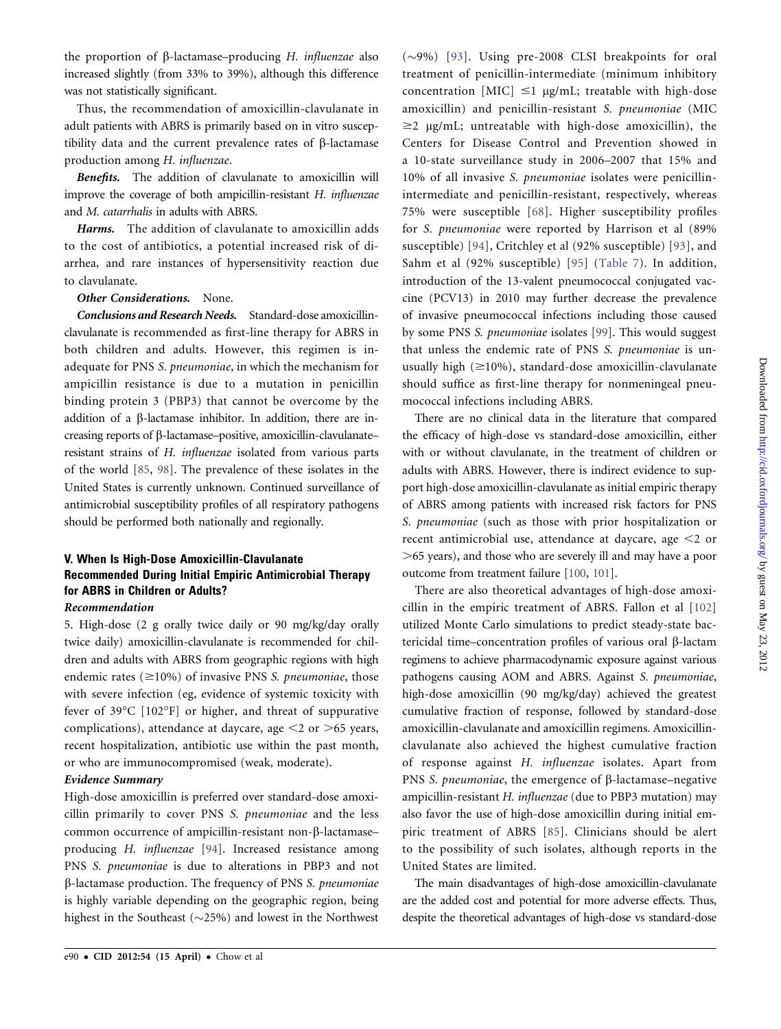the proportion of  $\beta$ -lactamase–producing H. influenzae also increased slightly (from 33% to 39%), although this difference was not statistically significant.

Thus, the recommendation of amoxicillin-clavulanate in adult patients with ABRS is primarily based on in vitro susceptibility data and the current prevalence rates of  $\beta$ -lactamase production among H. influenzae.

Benefits. The addition of clavulanate to amoxicillin will improve the coverage of both ampicillin-resistant H. influenzae and M. catarrhalis in adults with ABRS.

Harms. The addition of clavulanate to amoxicillin adds to the cost of antibiotics, a potential increased risk of diarrhea, and rare instances of hypersensitivity reaction due to clavulanate.

#### Other Considerations. None.

Conclusions and Research Needs. Standard-dose amoxicillinclavulanate is recommended as first-line therapy for ABRS in both children and adults. However, this regimen is inadequate for PNS S. pneumoniae, in which the mechanism for ampicillin resistance is due to a mutation in penicillin binding protein 3 (PBP3) that cannot be overcome by the addition of a  $\beta$ -lactamase inhibitor. In addition, there are increasing reports of b-lactamase–positive, amoxicillin-clavulanate– resistant strains of H. influenzae isolated from various parts of the world [[85,](#page-37-0) [98\]](#page-37-0). The prevalence of these isolates in the United States is currently unknown. Continued surveillance of antimicrobial susceptibility profiles of all respiratory pathogens should be performed both nationally and regionally.

# V. When Is High-Dose Amoxicillin-Clavulanate Recommended During Initial Empiric Antimicrobial Therapy for ABRS in Children or Adults?

## Recommendation

5. High-dose (2 g orally twice daily or 90 mg/kg/day orally twice daily) amoxicillin-clavulanate is recommended for children and adults with ABRS from geographic regions with high endemic rates ( $\geq$ 10%) of invasive PNS S. pneumoniae, those with severe infection (eg, evidence of systemic toxicity with fever of 39°C [102°F] or higher, and threat of suppurative complications), attendance at daycare, age  $\leq$  2 or  $\geq$  65 years, recent hospitalization, antibiotic use within the past month, or who are immunocompromised (weak, moderate).

## Evidence Summary

High-dose amoxicillin is preferred over standard-dose amoxicillin primarily to cover PNS S. pneumoniae and the less common occurrence of ampicillin-resistant non-b-lactamase– producing H. influenzae [[94\]](#page-37-0). Increased resistance among PNS S. pneumoniae is due to alterations in PBP3 and not b-lactamase production. The frequency of PNS S. pneumoniae is highly variable depending on the geographic region, being highest in the Southeast ( $\sim$ 25%) and lowest in the Northwest treatment of penicillin-intermediate (minimum inhibitory concentration [MIC]  $\leq$ 1 µg/mL; treatable with high-dose amoxicillin) and penicillin-resistant S. pneumoniae (MIC  $\geq$ 2 µg/mL; untreatable with high-dose amoxicillin), the Centers for Disease Control and Prevention showed in a 10-state surveillance study in 2006–2007 that 15% and 10% of all invasive S. pneumoniae isolates were penicillinintermediate and penicillin-resistant, respectively, whereas 75% were susceptible [[68](#page-36-0)]. Higher susceptibility profiles for S. pneumoniae were reported by Harrison et al (89% susceptible) [\[94\]](#page-37-0), Critchley et al (92% susceptible) [\[93\]](#page-37-0), and Sahm et al (92% susceptible) [[95](#page-37-0)] ([Table 7](#page-16-0)). In addition, introduction of the 13-valent pneumococcal conjugated vaccine (PCV13) in 2010 may further decrease the prevalence of invasive pneumococcal infections including those caused by some PNS S. pneumoniae isolates [\[99](#page-37-0)]. This would suggest that unless the endemic rate of PNS S. pneumoniae is unusually high  $(\geq 10\%)$ , standard-dose amoxicillin-clavulanate should suffice as first-line therapy for nonmeningeal pneumococcal infections including ABRS.

 $(\sim 9\%)$  [[93](#page-37-0)]. Using pre-2008 CLSI breakpoints for oral

There are no clinical data in the literature that compared the efficacy of high-dose vs standard-dose amoxicillin, either with or without clavulanate, in the treatment of children or adults with ABRS. However, there is indirect evidence to support high-dose amoxicillin-clavulanate as initial empiric therapy of ABRS among patients with increased risk factors for PNS S. pneumoniae (such as those with prior hospitalization or recent antimicrobial use, attendance at daycare, age  $\leq$  or .65 years), and those who are severely ill and may have a poor outcome from treatment failure [\[100,](#page-37-0) [101\]](#page-37-0).

There are also theoretical advantages of high-dose amoxicillin in the empiric treatment of ABRS. Fallon et al [[102\]](#page-37-0) utilized Monte Carlo simulations to predict steady-state bactericidal time–concentration profiles of various oral  $\beta$ -lactam regimens to achieve pharmacodynamic exposure against various pathogens causing AOM and ABRS. Against S. pneumoniae, high-dose amoxicillin (90 mg/kg/day) achieved the greatest cumulative fraction of response, followed by standard-dose amoxicillin-clavulanate and amoxicillin regimens. Amoxicillinclavulanate also achieved the highest cumulative fraction of response against H. influenzae isolates. Apart from PNS S. pneumoniae, the emergence of  $\beta$ -lactamase–negative ampicillin-resistant H. influenzae (due to PBP3 mutation) may also favor the use of high-dose amoxicillin during initial empiric treatment of ABRS [[85\]](#page-37-0). Clinicians should be alert to the possibility of such isolates, although reports in the United States are limited.

The main disadvantages of high-dose amoxicillin-clavulanate are the added cost and potential for more adverse effects. Thus, despite the theoretical advantages of high-dose vs standard-dose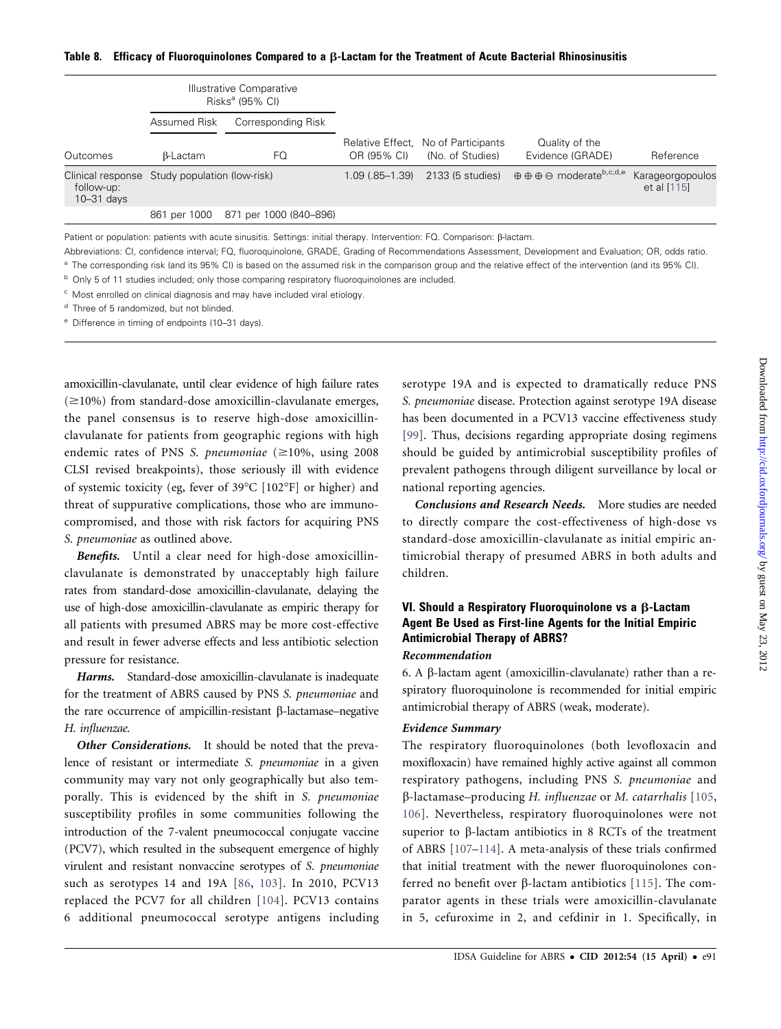<span id="page-19-0"></span>

|                                                                             |              | Illustrative Comparative<br>Risks <sup>a</sup> (95% CI) |             |                                                         |                                                                                            |                                 |
|-----------------------------------------------------------------------------|--------------|---------------------------------------------------------|-------------|---------------------------------------------------------|--------------------------------------------------------------------------------------------|---------------------------------|
|                                                                             | Assumed Risk | Corresponding Risk                                      |             |                                                         |                                                                                            |                                 |
| Outcomes                                                                    | B-Lactam     | FΟ                                                      | OR (95% CI) | Relative Effect, No of Participants<br>(No. of Studies) | Quality of the<br>Evidence (GRADE)                                                         | Reference                       |
| Clinical response Study population (low-risk)<br>follow-up:<br>$10-31$ days |              |                                                         |             |                                                         | 1.09 (.85–1.39) 2133 (5 studies) $\oplus \oplus \oplus \oplus$ moderate <sup>b,c,d,e</sup> | Karageorgopoulos<br>et al [115] |
|                                                                             |              | 861 per 1000 871 per 1000 (840–896)                     |             |                                                         |                                                                                            |                                 |

Patient or population: patients with acute sinusitis. Settings: initial therapy. Intervention: FQ. Comparison: B-lactam.

Abbreviations: CI, confidence interval; FQ, fluoroquinolone, GRADE, Grading of Recommendations Assessment, Development and Evaluation; OR, odds ratio.

<sup>a</sup> The corresponding risk (and its 95% CI) is based on the assumed risk in the comparison group and the relative effect of the intervention (and its 95% CI).

b Only 5 of 11 studies included; only those comparing respiratory fluoroquinolones are included.

<sup>c</sup> Most enrolled on clinical diagnosis and may have included viral etiology.

<sup>d</sup> Three of 5 randomized, but not blinded.

<sup>e</sup> Difference in timing of endpoints (10–31 days).

amoxicillin-clavulanate, until clear evidence of high failure rates  $(\geq 10\%)$  from standard-dose amoxicillin-clavulanate emerges, the panel consensus is to reserve high-dose amoxicillinclavulanate for patients from geographic regions with high endemic rates of PNS S. pneumoniae  $(\geq 10\%$ , using 2008 CLSI revised breakpoints), those seriously ill with evidence of systemic toxicity (eg, fever of 39°C [102°F] or higher) and threat of suppurative complications, those who are immunocompromised, and those with risk factors for acquiring PNS S. pneumoniae as outlined above.

Benefits. Until a clear need for high-dose amoxicillinclavulanate is demonstrated by unacceptably high failure rates from standard-dose amoxicillin-clavulanate, delaying the use of high-dose amoxicillin-clavulanate as empiric therapy for all patients with presumed ABRS may be more cost-effective and result in fewer adverse effects and less antibiotic selection pressure for resistance.

Harms. Standard-dose amoxicillin-clavulanate is inadequate for the treatment of ABRS caused by PNS S. pneumoniae and the rare occurrence of ampicillin-resistant  $\beta$ -lactamase–negative H. influenzae.

Other Considerations. It should be noted that the prevalence of resistant or intermediate S. pneumoniae in a given community may vary not only geographically but also temporally. This is evidenced by the shift in S. pneumoniae susceptibility profiles in some communities following the introduction of the 7-valent pneumococcal conjugate vaccine (PCV7), which resulted in the subsequent emergence of highly virulent and resistant nonvaccine serotypes of S. pneumoniae such as serotypes 14 and 19A [[86,](#page-37-0) [103](#page-37-0)]. In 2010, PCV13 replaced the PCV7 for all children [[104\]](#page-37-0). PCV13 contains 6 additional pneumococcal serotype antigens including serotype 19A and is expected to dramatically reduce PNS S. pneumoniae disease. Protection against serotype 19A disease has been documented in a PCV13 vaccine effectiveness study [\[99\]](#page-37-0). Thus, decisions regarding appropriate dosing regimens should be guided by antimicrobial susceptibility profiles of prevalent pathogens through diligent surveillance by local or national reporting agencies.

Conclusions and Research Needs. More studies are needed to directly compare the cost-effectiveness of high-dose vs standard-dose amoxicillin-clavulanate as initial empiric antimicrobial therapy of presumed ABRS in both adults and children.

# VI. Should a Respiratory Fluoroquinolone vs a  $\beta$ -Lactam Agent Be Used as First-line Agents for the Initial Empiric Antimicrobial Therapy of ABRS?

# Recommendation

6. A  $\beta$ -lactam agent (amoxicillin-clavulanate) rather than a respiratory fluoroquinolone is recommended for initial empiric antimicrobial therapy of ABRS (weak, moderate).

#### Evidence Summary

The respiratory fluoroquinolones (both levofloxacin and moxifloxacin) have remained highly active against all common respiratory pathogens, including PNS S. pneumoniae and b-lactamase–producing H. influenzae or M. catarrhalis [[105,](#page-37-0) [106](#page-37-0)]. Nevertheless, respiratory fluoroquinolones were not superior to  $\beta$ -lactam antibiotics in 8 RCTs of the treatment of ABRS [[107](#page-37-0)–[114\]](#page-37-0). A meta-analysis of these trials confirmed that initial treatment with the newer fluoroquinolones conferred no benefit over  $\beta$ -lactam antibiotics [[115](#page-37-0)]. The comparator agents in these trials were amoxicillin-clavulanate in 5, cefuroxime in 2, and cefdinir in 1. Specifically, in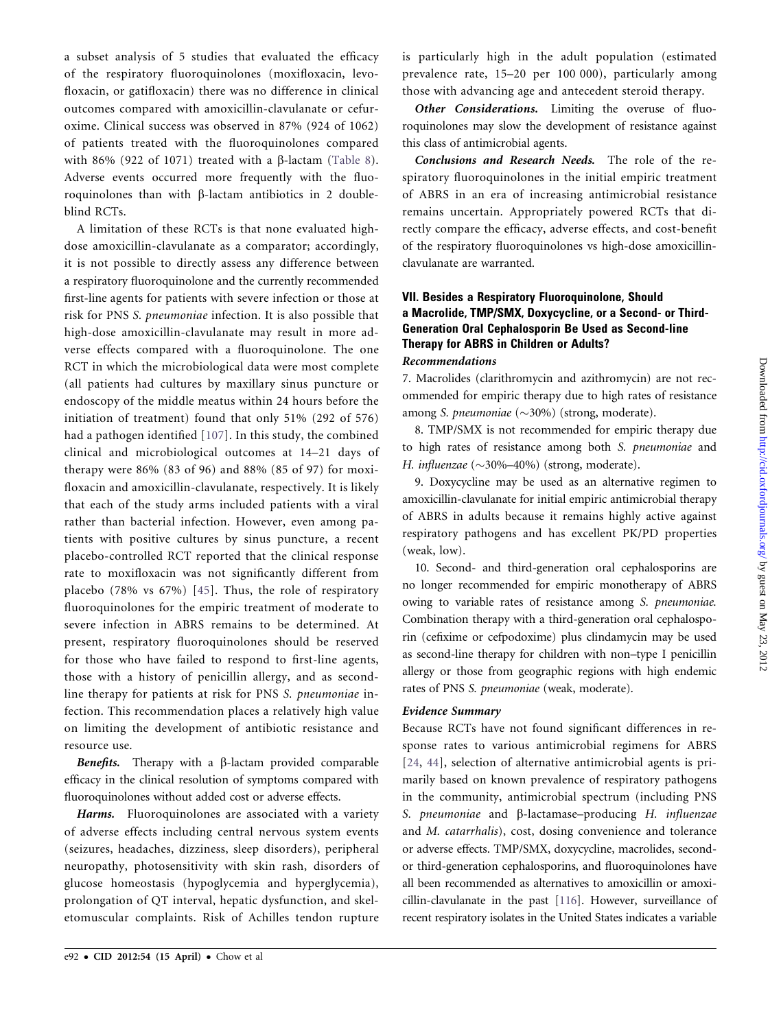a subset analysis of 5 studies that evaluated the efficacy of the respiratory fluoroquinolones (moxifloxacin, levofloxacin, or gatifloxacin) there was no difference in clinical outcomes compared with amoxicillin-clavulanate or cefuroxime. Clinical success was observed in 87% (924 of 1062) of patients treated with the fluoroquinolones compared with 86% (922 of 1071) treated with a  $\beta$ -lactam ([Table 8](#page-19-0)). Adverse events occurred more frequently with the fluoroquinolones than with  $\beta$ -lactam antibiotics in 2 doubleblind RCTs.

A limitation of these RCTs is that none evaluated highdose amoxicillin-clavulanate as a comparator; accordingly, it is not possible to directly assess any difference between a respiratory fluoroquinolone and the currently recommended first-line agents for patients with severe infection or those at risk for PNS S. pneumoniae infection. It is also possible that high-dose amoxicillin-clavulanate may result in more adverse effects compared with a fluoroquinolone. The one RCT in which the microbiological data were most complete (all patients had cultures by maxillary sinus puncture or endoscopy of the middle meatus within 24 hours before the initiation of treatment) found that only 51% (292 of 576) had a pathogen identified [\[107\]](#page-37-0). In this study, the combined clinical and microbiological outcomes at 14–21 days of therapy were 86% (83 of 96) and 88% (85 of 97) for moxifloxacin and amoxicillin-clavulanate, respectively. It is likely that each of the study arms included patients with a viral rather than bacterial infection. However, even among patients with positive cultures by sinus puncture, a recent placebo-controlled RCT reported that the clinical response rate to moxifloxacin was not significantly different from placebo (78% vs 67%) [\[45\]](#page-36-0). Thus, the role of respiratory fluoroquinolones for the empiric treatment of moderate to severe infection in ABRS remains to be determined. At present, respiratory fluoroquinolones should be reserved for those who have failed to respond to first-line agents, those with a history of penicillin allergy, and as secondline therapy for patients at risk for PNS S. pneumoniae infection. This recommendation places a relatively high value on limiting the development of antibiotic resistance and resource use.

Benefits. Therapy with a  $\beta$ -lactam provided comparable efficacy in the clinical resolution of symptoms compared with fluoroquinolones without added cost or adverse effects.

Harms. Fluoroquinolones are associated with a variety of adverse effects including central nervous system events (seizures, headaches, dizziness, sleep disorders), peripheral neuropathy, photosensitivity with skin rash, disorders of glucose homeostasis (hypoglycemia and hyperglycemia), prolongation of QT interval, hepatic dysfunction, and skeletomuscular complaints. Risk of Achilles tendon rupture

is particularly high in the adult population (estimated prevalence rate, 15–20 per 100 000), particularly among those with advancing age and antecedent steroid therapy.

Other Considerations. Limiting the overuse of fluoroquinolones may slow the development of resistance against this class of antimicrobial agents.

Conclusions and Research Needs. The role of the respiratory fluoroquinolones in the initial empiric treatment of ABRS in an era of increasing antimicrobial resistance remains uncertain. Appropriately powered RCTs that directly compare the efficacy, adverse effects, and cost-benefit of the respiratory fluoroquinolones vs high-dose amoxicillinclavulanate are warranted.

## VII. Besides a Respiratory Fluoroquinolone, Should a Macrolide, TMP/SMX, Doxycycline, or a Second- or Third-Generation Oral Cephalosporin Be Used as Second-line Therapy for ABRS in Children or Adults? Recommendations

7. Macrolides (clarithromycin and azithromycin) are not recommended for empiric therapy due to high rates of resistance among S. pneumoniae  $(\sim 30\%)$  (strong, moderate).

8. TMP/SMX is not recommended for empiric therapy due to high rates of resistance among both S. pneumoniae and H. influenzae  $(\sim 30\% - 40\%)$  (strong, moderate).

9. Doxycycline may be used as an alternative regimen to amoxicillin-clavulanate for initial empiric antimicrobial therapy of ABRS in adults because it remains highly active against respiratory pathogens and has excellent PK/PD properties (weak, low).

10. Second- and third-generation oral cephalosporins are no longer recommended for empiric monotherapy of ABRS owing to variable rates of resistance among S. pneumoniae. Combination therapy with a third-generation oral cephalosporin (cefixime or cefpodoxime) plus clindamycin may be used as second-line therapy for children with non–type I penicillin allergy or those from geographic regions with high endemic rates of PNS S. pneumoniae (weak, moderate).

#### Evidence Summary

Because RCTs have not found significant differences in response rates to various antimicrobial regimens for ABRS [[24,](#page-35-0) [44\]](#page-36-0), selection of alternative antimicrobial agents is primarily based on known prevalence of respiratory pathogens in the community, antimicrobial spectrum (including PNS S. pneumoniae and b-lactamase–producing H. influenzae and M. catarrhalis), cost, dosing convenience and tolerance or adverse effects. TMP/SMX, doxycycline, macrolides, secondor third-generation cephalosporins, and fluoroquinolones have all been recommended as alternatives to amoxicillin or amoxicillin-clavulanate in the past [\[116\]](#page-38-0). However, surveillance of recent respiratory isolates in the United States indicates a variable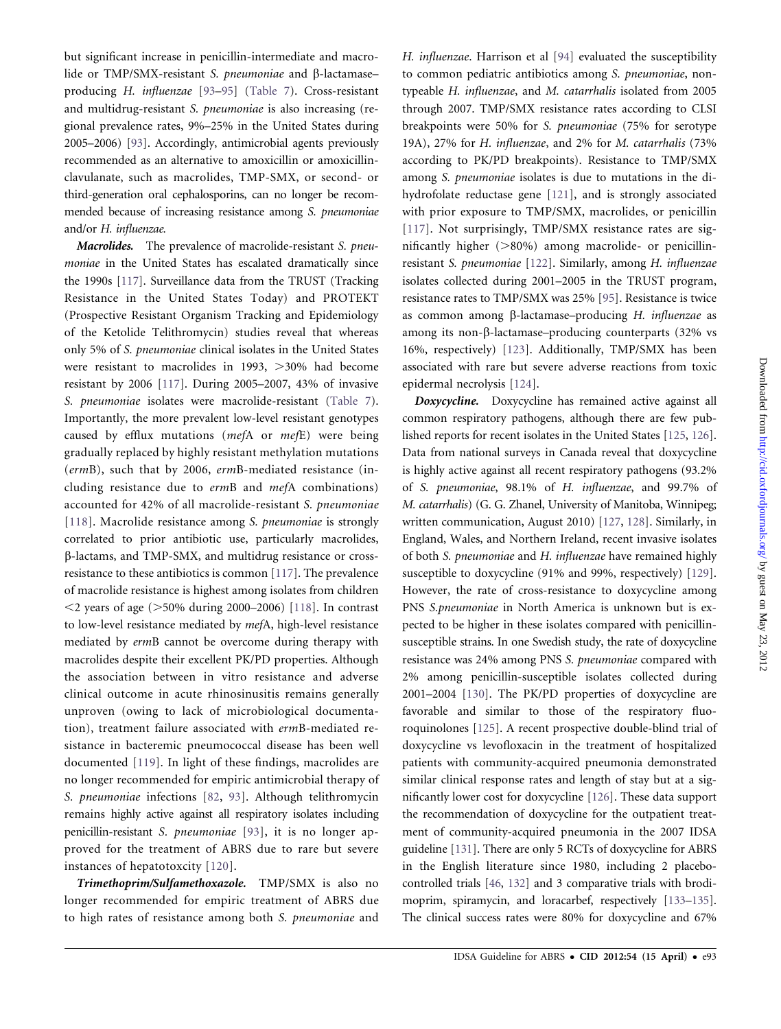but significant increase in penicillin-intermediate and macrolide or TMP/SMX-resistant *S. pneumoniae* and β-lactamaseproducing H. influenzae [[93–95\]](#page-37-0) ([Table 7](#page-16-0)). Cross-resistant and multidrug-resistant S. pneumoniae is also increasing (regional prevalence rates, 9%–25% in the United States during 2005–2006) [[93\]](#page-37-0). Accordingly, antimicrobial agents previously recommended as an alternative to amoxicillin or amoxicillinclavulanate, such as macrolides, TMP-SMX, or second- or third-generation oral cephalosporins, can no longer be recommended because of increasing resistance among S. pneumoniae and/or H. influenzae.

Macrolides. The prevalence of macrolide-resistant S. pneumoniae in the United States has escalated dramatically since the 1990s [\[117](#page-38-0)]. Surveillance data from the TRUST (Tracking Resistance in the United States Today) and PROTEKT (Prospective Resistant Organism Tracking and Epidemiology of the Ketolide Telithromycin) studies reveal that whereas only 5% of S. pneumoniae clinical isolates in the United States were resistant to macrolides in 1993,  $>30\%$  had become resistant by 2006 [\[117\]](#page-38-0). During 2005–2007, 43% of invasive S. pneumoniae isolates were macrolide-resistant [\(Table 7](#page-16-0)). Importantly, the more prevalent low-level resistant genotypes caused by efflux mutations (mefA or mefE) were being gradually replaced by highly resistant methylation mutations (ermB), such that by 2006, ermB-mediated resistance (including resistance due to ermB and mefA combinations) accounted for 42% of all macrolide-resistant S. pneumoniae [[118\]](#page-38-0). Macrolide resistance among S. pneumoniae is strongly correlated to prior antibiotic use, particularly macrolides, b-lactams, and TMP-SMX, and multidrug resistance or crossresistance to these antibiotics is common [\[117](#page-38-0)]. The prevalence of macrolide resistance is highest among isolates from children  $<$ 2 years of age ( $>$ 50% during 2000–2006) [\[118](#page-38-0)]. In contrast to low-level resistance mediated by mefA, high-level resistance mediated by ermB cannot be overcome during therapy with macrolides despite their excellent PK/PD properties. Although the association between in vitro resistance and adverse clinical outcome in acute rhinosinusitis remains generally unproven (owing to lack of microbiological documentation), treatment failure associated with ermB-mediated resistance in bacteremic pneumococcal disease has been well documented [\[119](#page-38-0)]. In light of these findings, macrolides are no longer recommended for empiric antimicrobial therapy of S. pneumoniae infections [[82](#page-37-0), [93](#page-37-0)]. Although telithromycin remains highly active against all respiratory isolates including penicillin-resistant S. pneumoniae [[93\]](#page-37-0), it is no longer approved for the treatment of ABRS due to rare but severe instances of hepatotoxcity [[120](#page-38-0)].

Trimethoprim/Sulfamethoxazole. TMP/SMX is also no longer recommended for empiric treatment of ABRS due to high rates of resistance among both S. pneumoniae and

H. influenzae. Harrison et al [\[94](#page-37-0)] evaluated the susceptibility to common pediatric antibiotics among S. pneumoniae, nontypeable H. influenzae, and M. catarrhalis isolated from 2005 through 2007. TMP/SMX resistance rates according to CLSI breakpoints were 50% for S. pneumoniae (75% for serotype 19A), 27% for H. influenzae, and 2% for M. catarrhalis (73% according to PK/PD breakpoints). Resistance to TMP/SMX among S. pneumoniae isolates is due to mutations in the dihydrofolate reductase gene [\[121\]](#page-38-0), and is strongly associated with prior exposure to TMP/SMX, macrolides, or penicillin [[117](#page-38-0)]. Not surprisingly, TMP/SMX resistance rates are significantly higher  $(>80%)$  among macrolide- or penicillinresistant S. pneumoniae [\[122\]](#page-38-0). Similarly, among H. influenzae isolates collected during 2001–2005 in the TRUST program, resistance rates to TMP/SMX was 25% [\[95](#page-37-0)]. Resistance is twice as common among b-lactamase–producing H. influenzae as among its non-b-lactamase–producing counterparts (32% vs 16%, respectively) [[123](#page-38-0)]. Additionally, TMP/SMX has been associated with rare but severe adverse reactions from toxic epidermal necrolysis [[124\]](#page-38-0).

Doxycycline. Doxycycline has remained active against all common respiratory pathogens, although there are few published reports for recent isolates in the United States [[125](#page-38-0), [126](#page-38-0)]. Data from national surveys in Canada reveal that doxycycline is highly active against all recent respiratory pathogens (93.2% of S. pneumoniae, 98.1% of H. influenzae, and 99.7% of M. catarrhalis) (G. G. Zhanel, University of Manitoba, Winnipeg; written communication, August 2010) [\[127](#page-38-0), [128](#page-38-0)]. Similarly, in England, Wales, and Northern Ireland, recent invasive isolates of both S. pneumoniae and H. influenzae have remained highly susceptible to doxycycline (91% and 99%, respectively) [[129](#page-38-0)]. However, the rate of cross-resistance to doxycycline among PNS S.pneumoniae in North America is unknown but is expected to be higher in these isolates compared with penicillinsusceptible strains. In one Swedish study, the rate of doxycycline resistance was 24% among PNS S. pneumoniae compared with 2% among penicillin-susceptible isolates collected during 2001–2004 [[130\]](#page-38-0). The PK/PD properties of doxycycline are favorable and similar to those of the respiratory fluoroquinolones [[125](#page-38-0)]. A recent prospective double-blind trial of doxycycline vs levofloxacin in the treatment of hospitalized patients with community-acquired pneumonia demonstrated similar clinical response rates and length of stay but at a significantly lower cost for doxycycline [\[126\]](#page-38-0). These data support the recommendation of doxycycline for the outpatient treatment of community-acquired pneumonia in the 2007 IDSA guideline [\[131](#page-38-0)]. There are only 5 RCTs of doxycycline for ABRS in the English literature since 1980, including 2 placebocontrolled trials [\[46,](#page-36-0) [132\]](#page-38-0) and 3 comparative trials with brodimoprim, spiramycin, and loracarbef, respectively [\[133–135](#page-38-0)]. The clinical success rates were 80% for doxycycline and 67%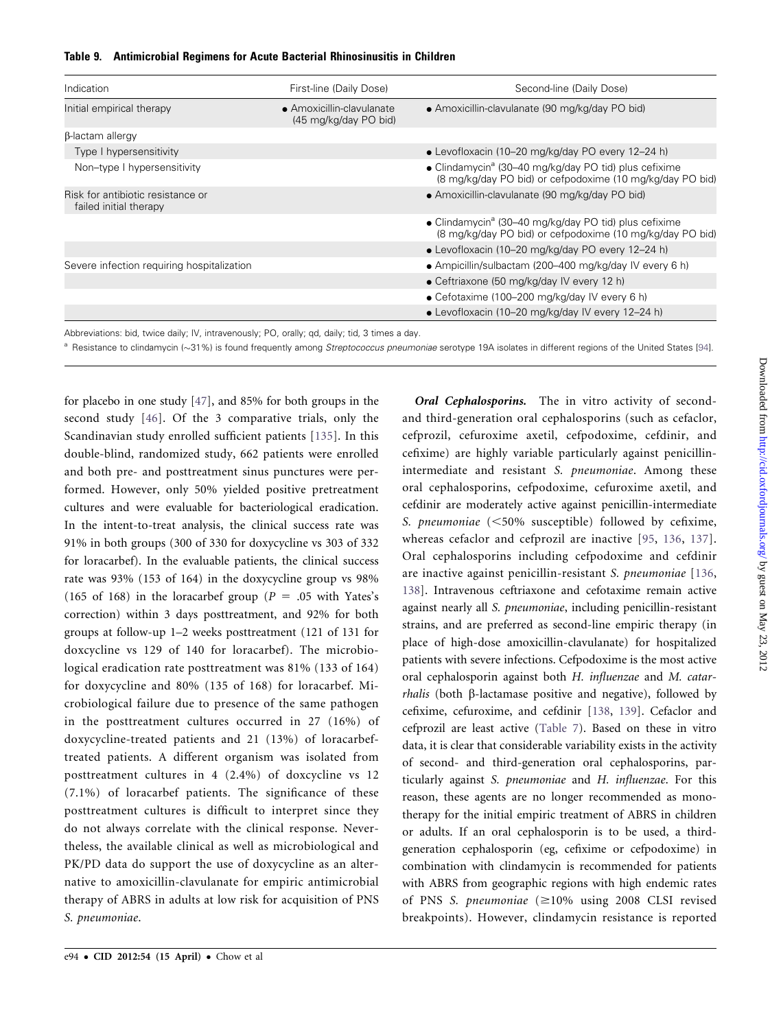<span id="page-22-0"></span>

|  | Table 9. Antimicrobial Regimens for Acute Bacterial Rhinosinusitis in Children |  |  |  |  |  |  |  |  |
|--|--------------------------------------------------------------------------------|--|--|--|--|--|--|--|--|
|--|--------------------------------------------------------------------------------|--|--|--|--|--|--|--|--|

| Indication                                                  | First-line (Daily Dose)                                    | Second-line (Daily Dose)                                                                                                       |
|-------------------------------------------------------------|------------------------------------------------------------|--------------------------------------------------------------------------------------------------------------------------------|
| Initial empirical therapy                                   | $\bullet$ Amoxicillin-clavulanate<br>(45 mg/kg/day PO bid) | • Amoxicillin-clavulanate (90 mg/kg/day PO bid)                                                                                |
| $\beta$ -lactam allergy                                     |                                                            |                                                                                                                                |
| Type I hypersensitivity                                     |                                                            | • Levofloxacin (10-20 mg/kg/day PO every 12-24 h)                                                                              |
| Non-type I hypersensitivity                                 |                                                            | • Clindamycin <sup>a</sup> (30–40 mg/kg/day PO tid) plus cefixime<br>(8 mg/kg/day PO bid) or cefpodoxime (10 mg/kg/day PO bid) |
| Risk for antibiotic resistance or<br>failed initial therapy |                                                            | • Amoxicillin-clavulanate (90 mg/kg/day PO bid)                                                                                |
|                                                             |                                                            | • Clindamycin <sup>a</sup> (30–40 mg/kg/day PO tid) plus cefixime<br>(8 mg/kg/day PO bid) or cefpodoxime (10 mg/kg/day PO bid) |
|                                                             |                                                            | • Levofloxacin (10-20 mg/kg/day PO every 12-24 h)                                                                              |
| Severe infection requiring hospitalization                  |                                                            | • Ampicillin/sulbactam (200–400 mg/kg/day IV every 6 h)                                                                        |
|                                                             |                                                            | • Ceftriaxone (50 mg/kg/day IV every 12 h)                                                                                     |
|                                                             |                                                            | • Cefotaxime (100–200 mg/kg/day IV every 6 h)                                                                                  |
|                                                             |                                                            | • Levofloxacin (10-20 mg/kg/day IV every 12-24 h)                                                                              |

Abbreviations: bid, twice daily; IV, intravenously; PO, orally; qd, daily; tid, 3 times a day.

<sup>a</sup> Resistance to clindamycin (~31%) is found frequently among Streptococcus pneumoniae serotype 19A isolates in different regions of the United States [\[94\]](#page-37-0).

for placebo in one study [\[47](#page-36-0)], and 85% for both groups in the second study [[46](#page-36-0)]. Of the 3 comparative trials, only the Scandinavian study enrolled sufficient patients [\[135](#page-38-0)]. In this double-blind, randomized study, 662 patients were enrolled and both pre- and posttreatment sinus punctures were performed. However, only 50% yielded positive pretreatment cultures and were evaluable for bacteriological eradication. In the intent-to-treat analysis, the clinical success rate was 91% in both groups (300 of 330 for doxycycline vs 303 of 332 for loracarbef). In the evaluable patients, the clinical success rate was 93% (153 of 164) in the doxycycline group vs 98% (165 of 168) in the loracarbef group ( $P = .05$  with Yates's correction) within 3 days posttreatment, and 92% for both groups at follow-up 1–2 weeks posttreatment (121 of 131 for doxcycline vs 129 of 140 for loracarbef). The microbiological eradication rate posttreatment was 81% (133 of 164) for doxycycline and 80% (135 of 168) for loracarbef. Microbiological failure due to presence of the same pathogen in the posttreatment cultures occurred in 27 (16%) of doxycycline-treated patients and 21 (13%) of loracarbeftreated patients. A different organism was isolated from posttreatment cultures in 4 (2.4%) of doxcycline vs 12 (7.1%) of loracarbef patients. The significance of these posttreatment cultures is difficult to interpret since they do not always correlate with the clinical response. Nevertheless, the available clinical as well as microbiological and PK/PD data do support the use of doxycycline as an alternative to amoxicillin-clavulanate for empiric antimicrobial therapy of ABRS in adults at low risk for acquisition of PNS S. pneumoniae.

and third-generation oral cephalosporins (such as cefaclor, cefprozil, cefuroxime axetil, cefpodoxime, cefdinir, and cefixime) are highly variable particularly against penicillinintermediate and resistant S. pneumoniae. Among these oral cephalosporins, cefpodoxime, cefuroxime axetil, and cefdinir are moderately active against penicillin-intermediate S. pneumoniae  $(<50\%$  susceptible) followed by cefixime, whereas cefaclor and cefprozil are inactive [\[95,](#page-37-0) [136,](#page-38-0) [137](#page-38-0)]. Oral cephalosporins including cefpodoxime and cefdinir are inactive against penicillin-resistant S. pneumoniae [[136,](#page-38-0) [138\]](#page-38-0). Intravenous ceftriaxone and cefotaxime remain active against nearly all S. pneumoniae, including penicillin-resistant strains, and are preferred as second-line empiric therapy (in place of high-dose amoxicillin-clavulanate) for hospitalized patients with severe infections. Cefpodoxime is the most active oral cephalosporin against both H. influenzae and M. catar $rhalis$  (both  $\beta$ -lactamase positive and negative), followed by cefixime, cefuroxime, and cefdinir [\[138,](#page-38-0) [139](#page-38-0)]. Cefaclor and cefprozil are least active [\(Table 7](#page-16-0)). Based on these in vitro data, it is clear that considerable variability exists in the activity of second- and third-generation oral cephalosporins, particularly against S. pneumoniae and H. influenzae. For this reason, these agents are no longer recommended as monotherapy for the initial empiric treatment of ABRS in children or adults. If an oral cephalosporin is to be used, a thirdgeneration cephalosporin (eg, cefixime or cefpodoxime) in combination with clindamycin is recommended for patients with ABRS from geographic regions with high endemic rates of PNS S. pneumoniae  $(\geq 10\%$  using 2008 CLSI revised breakpoints). However, clindamycin resistance is reported

Oral Cephalosporins. The in vitro activity of second-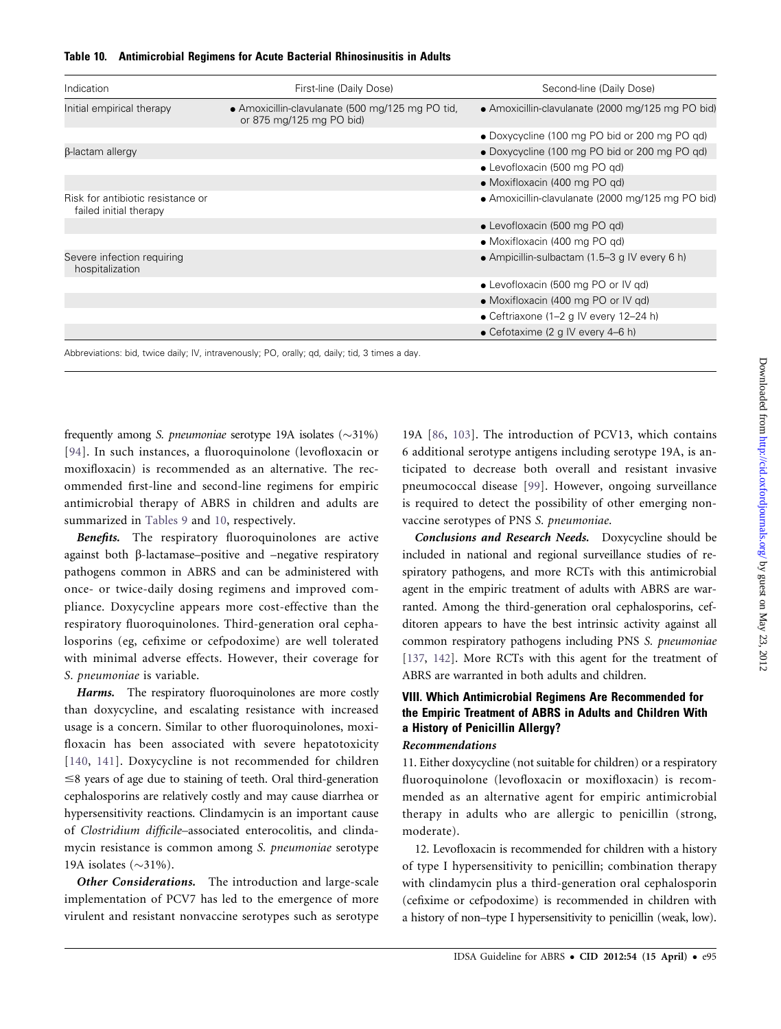<span id="page-23-0"></span>

| Indication                                                  | First-line (Daily Dose)                                                                  | Second-line (Daily Dose)                          |
|-------------------------------------------------------------|------------------------------------------------------------------------------------------|---------------------------------------------------|
| Initial empirical therapy                                   | • Amoxicillin-clavulanate (500 mg/125 mg PO tid,<br>or 875 mg/125 mg PO bid)             | • Amoxicillin-clavulanate (2000 mg/125 mg PO bid) |
|                                                             |                                                                                          | • Doxycycline (100 mg PO bid or 200 mg PO gd)     |
| β-lactam allergy                                            |                                                                                          | • Doxycycline (100 mg PO bid or 200 mg PO gd)     |
|                                                             |                                                                                          | • Levofloxacin (500 mg PO qd)                     |
|                                                             |                                                                                          | • Moxifloxacin (400 mg PO qd)                     |
| Risk for antibiotic resistance or<br>failed initial therapy |                                                                                          | • Amoxicillin-clavulanate (2000 mg/125 mg PO bid) |
|                                                             |                                                                                          | • Levofloxacin (500 mg PO qd)                     |
|                                                             |                                                                                          | • Moxifloxacin (400 mg PO qd)                     |
| Severe infection requiring<br>hospitalization               |                                                                                          | • Ampicillin-sulbactam (1.5–3 g IV every 6 h)     |
|                                                             |                                                                                          | • Levofloxacin (500 mg PO or IV gd)               |
|                                                             |                                                                                          | • Moxifloxacin (400 mg PO or IV gd)               |
|                                                             |                                                                                          | • Ceftriaxone (1-2 g IV every 12-24 h)            |
|                                                             |                                                                                          | • Cefotaxime (2 g IV every 4–6 h)                 |
|                                                             | Abbrovistions: bid twice daily: IV introvenausly: PO erally: ad daily: tid 2 times a day |                                                   |

previations: bid, twice daily; IV, intravenously; PO, orally; qd, daily; tid, 3 times a day

frequently among S. pneumoniae serotype 19A isolates  $(\sim 31\%)$ [[94](#page-37-0)]. In such instances, a fluoroquinolone (levofloxacin or moxifloxacin) is recommended as an alternative. The recommended first-line and second-line regimens for empiric antimicrobial therapy of ABRS in children and adults are summarized in Tables 9 and [10](#page-22-0), respectively.

Benefits. The respiratory fluoroquinolones are active against both  $\beta$ -lactamase–positive and –negative respiratory pathogens common in ABRS and can be administered with once- or twice-daily dosing regimens and improved compliance. Doxycycline appears more cost-effective than the respiratory fluoroquinolones. Third-generation oral cephalosporins (eg, cefixime or cefpodoxime) are well tolerated with minimal adverse effects. However, their coverage for S. pneumoniae is variable.

Harms. The respiratory fluoroquinolones are more costly than doxycycline, and escalating resistance with increased usage is a concern. Similar to other fluoroquinolones, moxifloxacin has been associated with severe hepatotoxicity [[140,](#page-38-0) [141\]](#page-38-0). Doxycycline is not recommended for children  $\leq$ 8 years of age due to staining of teeth. Oral third-generation cephalosporins are relatively costly and may cause diarrhea or hypersensitivity reactions. Clindamycin is an important cause of Clostridium difficile–associated enterocolitis, and clindamycin resistance is common among S. pneumoniae serotype 19A isolates  $(\sim 31\%)$ .

Other Considerations. The introduction and large-scale implementation of PCV7 has led to the emergence of more virulent and resistant nonvaccine serotypes such as serotype

19A [[86](#page-37-0), [103](#page-37-0)]. The introduction of PCV13, which contains 6 additional serotype antigens including serotype 19A, is anticipated to decrease both overall and resistant invasive pneumococcal disease [[99\]](#page-37-0). However, ongoing surveillance is required to detect the possibility of other emerging nonvaccine serotypes of PNS S. pneumoniae.

Conclusions and Research Needs. Doxycycline should be included in national and regional surveillance studies of respiratory pathogens, and more RCTs with this antimicrobial agent in the empiric treatment of adults with ABRS are warranted. Among the third-generation oral cephalosporins, cefditoren appears to have the best intrinsic activity against all common respiratory pathogens including PNS S. pneumoniae [\[137,](#page-38-0) [142\]](#page-38-0). More RCTs with this agent for the treatment of ABRS are warranted in both adults and children.

# VIII. Which Antimicrobial Regimens Are Recommended for the Empiric Treatment of ABRS in Adults and Children With a History of Penicillin Allergy?

# Recommendations

11. Either doxycycline (not suitable for children) or a respiratory fluoroquinolone (levofloxacin or moxifloxacin) is recommended as an alternative agent for empiric antimicrobial therapy in adults who are allergic to penicillin (strong, moderate).

12. Levofloxacin is recommended for children with a history of type I hypersensitivity to penicillin; combination therapy with clindamycin plus a third-generation oral cephalosporin (cefixime or cefpodoxime) is recommended in children with a history of non–type I hypersensitivity to penicillin (weak, low).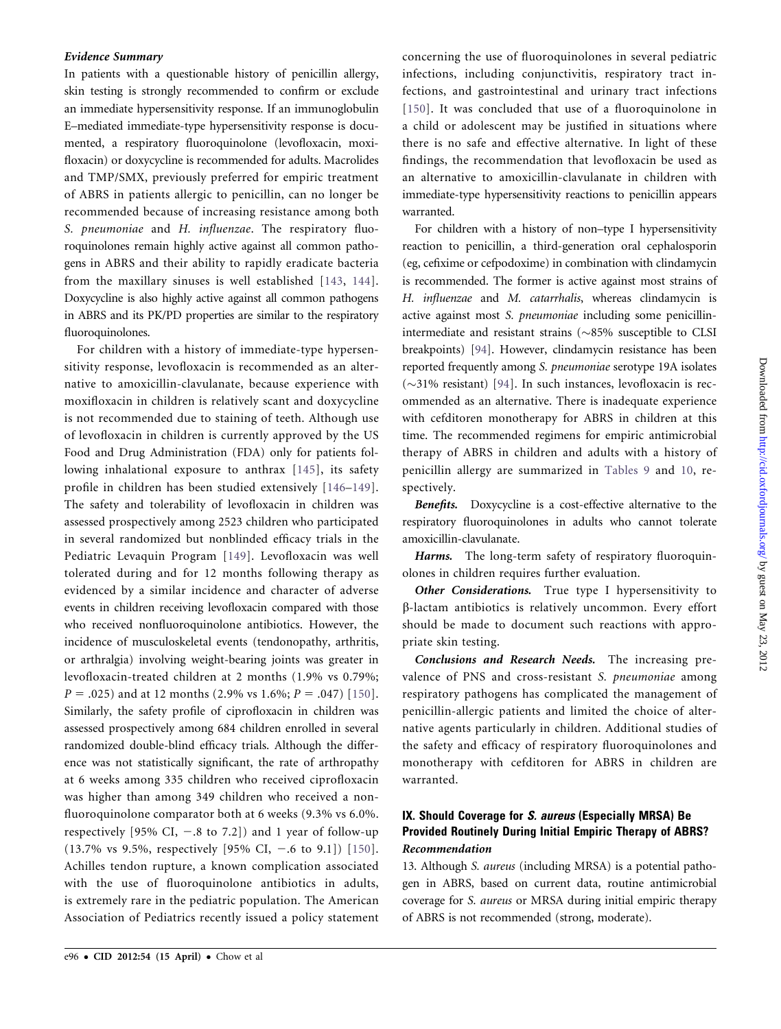#### Evidence Summary

In patients with a questionable history of penicillin allergy, skin testing is strongly recommended to confirm or exclude an immediate hypersensitivity response. If an immunoglobulin E–mediated immediate-type hypersensitivity response is documented, a respiratory fluoroquinolone (levofloxacin, moxifloxacin) or doxycycline is recommended for adults. Macrolides and TMP/SMX, previously preferred for empiric treatment of ABRS in patients allergic to penicillin, can no longer be recommended because of increasing resistance among both S. pneumoniae and H. influenzae. The respiratory fluoroquinolones remain highly active against all common pathogens in ABRS and their ability to rapidly eradicate bacteria from the maxillary sinuses is well established [[143,](#page-38-0) [144](#page-38-0)]. Doxycycline is also highly active against all common pathogens in ABRS and its PK/PD properties are similar to the respiratory fluoroquinolones.

For children with a history of immediate-type hypersensitivity response, levofloxacin is recommended as an alternative to amoxicillin-clavulanate, because experience with moxifloxacin in children is relatively scant and doxycycline is not recommended due to staining of teeth. Although use of levofloxacin in children is currently approved by the US Food and Drug Administration (FDA) only for patients following inhalational exposure to anthrax [[145](#page-38-0)], its safety profile in children has been studied extensively [[146–149](#page-38-0)]. The safety and tolerability of levofloxacin in children was assessed prospectively among 2523 children who participated in several randomized but nonblinded efficacy trials in the Pediatric Levaquin Program [\[149](#page-38-0)]. Levofloxacin was well tolerated during and for 12 months following therapy as evidenced by a similar incidence and character of adverse events in children receiving levofloxacin compared with those who received nonfluoroquinolone antibiotics. However, the incidence of musculoskeletal events (tendonopathy, arthritis, or arthralgia) involving weight-bearing joints was greater in levofloxacin-treated children at 2 months (1.9% vs 0.79%;  $P = .025$ ) and at 12 months (2.9% vs 1.6%;  $P = .047$ ) [[150](#page-38-0)]. Similarly, the safety profile of ciprofloxacin in children was assessed prospectively among 684 children enrolled in several randomized double-blind efficacy trials. Although the difference was not statistically significant, the rate of arthropathy at 6 weeks among 335 children who received ciprofloxacin was higher than among 349 children who received a nonfluoroquinolone comparator both at 6 weeks (9.3% vs 6.0%. respectively [95% CI,  $-.8$  to 7.2]) and 1 year of follow-up (13.7% vs 9.5%, respectively [95% CI,  $-.6$  to 9.1]) [[150](#page-38-0)]. Achilles tendon rupture, a known complication associated with the use of fluoroquinolone antibiotics in adults, is extremely rare in the pediatric population. The American Association of Pediatrics recently issued a policy statement

concerning the use of fluoroquinolones in several pediatric infections, including conjunctivitis, respiratory tract infections, and gastrointestinal and urinary tract infections [[150\]](#page-38-0). It was concluded that use of a fluoroquinolone in a child or adolescent may be justified in situations where there is no safe and effective alternative. In light of these findings, the recommendation that levofloxacin be used as an alternative to amoxicillin-clavulanate in children with immediate-type hypersensitivity reactions to penicillin appears warranted.

For children with a history of non–type I hypersensitivity reaction to penicillin, a third-generation oral cephalosporin (eg, cefixime or cefpodoxime) in combination with clindamycin is recommended. The former is active against most strains of H. influenzae and M. catarrhalis, whereas clindamycin is active against most S. pneumoniae including some penicillinintermediate and resistant strains  $(\sim 85\%$  susceptible to CLSI breakpoints) [\[94](#page-37-0)]. However, clindamycin resistance has been reported frequently among S. pneumoniae serotype 19A isolates  $(\sim$ 31% resistant) [\[94\]](#page-37-0). In such instances, levofloxacin is recommended as an alternative. There is inadequate experience with cefditoren monotherapy for ABRS in children at this time. The recommended regimens for empiric antimicrobial therapy of ABRS in children and adults with a history of penicillin allergy are summarized in [Tables 9](#page-23-0) and [10](#page-22-0), respectively.

Benefits. Doxycycline is a cost-effective alternative to the respiratory fluoroquinolones in adults who cannot tolerate amoxicillin-clavulanate.

Harms. The long-term safety of respiratory fluoroquinolones in children requires further evaluation.

Other Considerations. True type I hypersensitivity to b-lactam antibiotics is relatively uncommon. Every effort should be made to document such reactions with appropriate skin testing.

Conclusions and Research Needs. The increasing prevalence of PNS and cross-resistant S. pneumoniae among respiratory pathogens has complicated the management of penicillin-allergic patients and limited the choice of alternative agents particularly in children. Additional studies of the safety and efficacy of respiratory fluoroquinolones and monotherapy with cefditoren for ABRS in children are warranted.

## IX. Should Coverage for S. aureus (Especially MRSA) Be Provided Routinely During Initial Empiric Therapy of ABRS? Recommendation

13. Although S. aureus (including MRSA) is a potential pathogen in ABRS, based on current data, routine antimicrobial coverage for S. aureus or MRSA during initial empiric therapy of ABRS is not recommended (strong, moderate).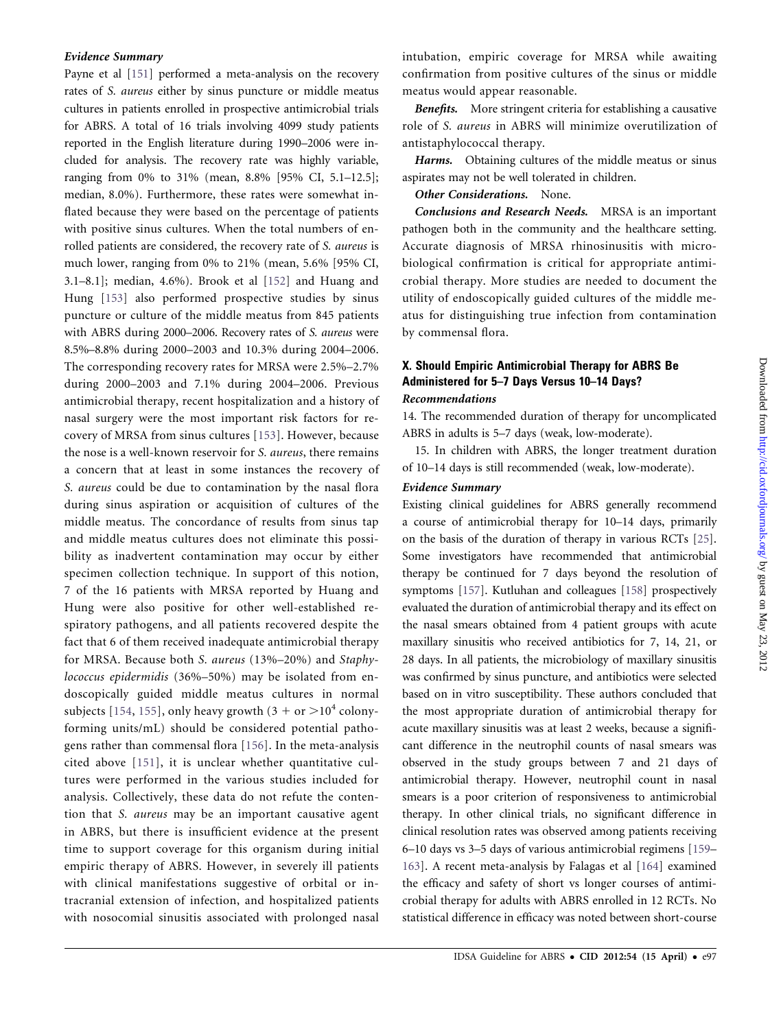#### Evidence Summary

Payne et al [[151](#page-38-0)] performed a meta-analysis on the recovery rates of S. aureus either by sinus puncture or middle meatus cultures in patients enrolled in prospective antimicrobial trials for ABRS. A total of 16 trials involving 4099 study patients reported in the English literature during 1990–2006 were included for analysis. The recovery rate was highly variable, ranging from 0% to 31% (mean, 8.8% [95% CI, 5.1–12.5]; median, 8.0%). Furthermore, these rates were somewhat inflated because they were based on the percentage of patients with positive sinus cultures. When the total numbers of enrolled patients are considered, the recovery rate of S. aureus is much lower, ranging from 0% to 21% (mean, 5.6% [95% CI, 3.1–8.1]; median, 4.6%). Brook et al [[152](#page-38-0)] and Huang and Hung [\[153\]](#page-38-0) also performed prospective studies by sinus puncture or culture of the middle meatus from 845 patients with ABRS during 2000–2006. Recovery rates of S. aureus were 8.5%–8.8% during 2000–2003 and 10.3% during 2004–2006. The corresponding recovery rates for MRSA were 2.5%–2.7% during 2000–2003 and 7.1% during 2004–2006. Previous antimicrobial therapy, recent hospitalization and a history of nasal surgery were the most important risk factors for recovery of MRSA from sinus cultures [\[153](#page-38-0)]. However, because the nose is a well-known reservoir for S. aureus, there remains a concern that at least in some instances the recovery of S. aureus could be due to contamination by the nasal flora during sinus aspiration or acquisition of cultures of the middle meatus. The concordance of results from sinus tap and middle meatus cultures does not eliminate this possibility as inadvertent contamination may occur by either specimen collection technique. In support of this notion, 7 of the 16 patients with MRSA reported by Huang and Hung were also positive for other well-established respiratory pathogens, and all patients recovered despite the fact that 6 of them received inadequate antimicrobial therapy for MRSA. Because both S. aureus (13%–20%) and Staphylococcus epidermidis (36%–50%) may be isolated from endoscopically guided middle meatus cultures in normal subjects [\[154](#page-39-0), [155](#page-39-0)], only heavy growth  $(3 + or >10<sup>4</sup>$  colonyforming units/mL) should be considered potential pathogens rather than commensal flora [[156\]](#page-39-0). In the meta-analysis cited above [[151](#page-38-0)], it is unclear whether quantitative cultures were performed in the various studies included for analysis. Collectively, these data do not refute the contention that S. aureus may be an important causative agent in ABRS, but there is insufficient evidence at the present time to support coverage for this organism during initial empiric therapy of ABRS. However, in severely ill patients with clinical manifestations suggestive of orbital or intracranial extension of infection, and hospitalized patients with nosocomial sinusitis associated with prolonged nasal

intubation, empiric coverage for MRSA while awaiting confirmation from positive cultures of the sinus or middle meatus would appear reasonable.

Benefits. More stringent criteria for establishing a causative role of S. aureus in ABRS will minimize overutilization of antistaphylococcal therapy.

Harms. Obtaining cultures of the middle meatus or sinus aspirates may not be well tolerated in children.

#### Other Considerations. None.

Conclusions and Research Needs. MRSA is an important pathogen both in the community and the healthcare setting. Accurate diagnosis of MRSA rhinosinusitis with microbiological confirmation is critical for appropriate antimicrobial therapy. More studies are needed to document the utility of endoscopically guided cultures of the middle meatus for distinguishing true infection from contamination by commensal flora.

## X. Should Empiric Antimicrobial Therapy for ABRS Be Administered for 5–7 Days Versus 10–14 Days? Recommendations

# 14. The recommended duration of therapy for uncomplicated ABRS in adults is 5–7 days (weak, low-moderate).

15. In children with ABRS, the longer treatment duration of 10–14 days is still recommended (weak, low-moderate).

## Evidence Summary

Existing clinical guidelines for ABRS generally recommend a course of antimicrobial therapy for 10–14 days, primarily on the basis of the duration of therapy in various RCTs [\[25](#page-35-0)]. Some investigators have recommended that antimicrobial therapy be continued for 7 days beyond the resolution of symptoms [[157](#page-39-0)]. Kutluhan and colleagues [[158\]](#page-39-0) prospectively evaluated the duration of antimicrobial therapy and its effect on the nasal smears obtained from 4 patient groups with acute maxillary sinusitis who received antibiotics for 7, 14, 21, or 28 days. In all patients, the microbiology of maxillary sinusitis was confirmed by sinus puncture, and antibiotics were selected based on in vitro susceptibility. These authors concluded that the most appropriate duration of antimicrobial therapy for acute maxillary sinusitis was at least 2 weeks, because a significant difference in the neutrophil counts of nasal smears was observed in the study groups between 7 and 21 days of antimicrobial therapy. However, neutrophil count in nasal smears is a poor criterion of responsiveness to antimicrobial therapy. In other clinical trials, no significant difference in clinical resolution rates was observed among patients receiving 6–10 days vs 3–5 days of various antimicrobial regimens [[159](#page-39-0)– [163\]](#page-39-0). A recent meta-analysis by Falagas et al [\[164](#page-39-0)] examined the efficacy and safety of short vs longer courses of antimicrobial therapy for adults with ABRS enrolled in 12 RCTs. No statistical difference in efficacy was noted between short-course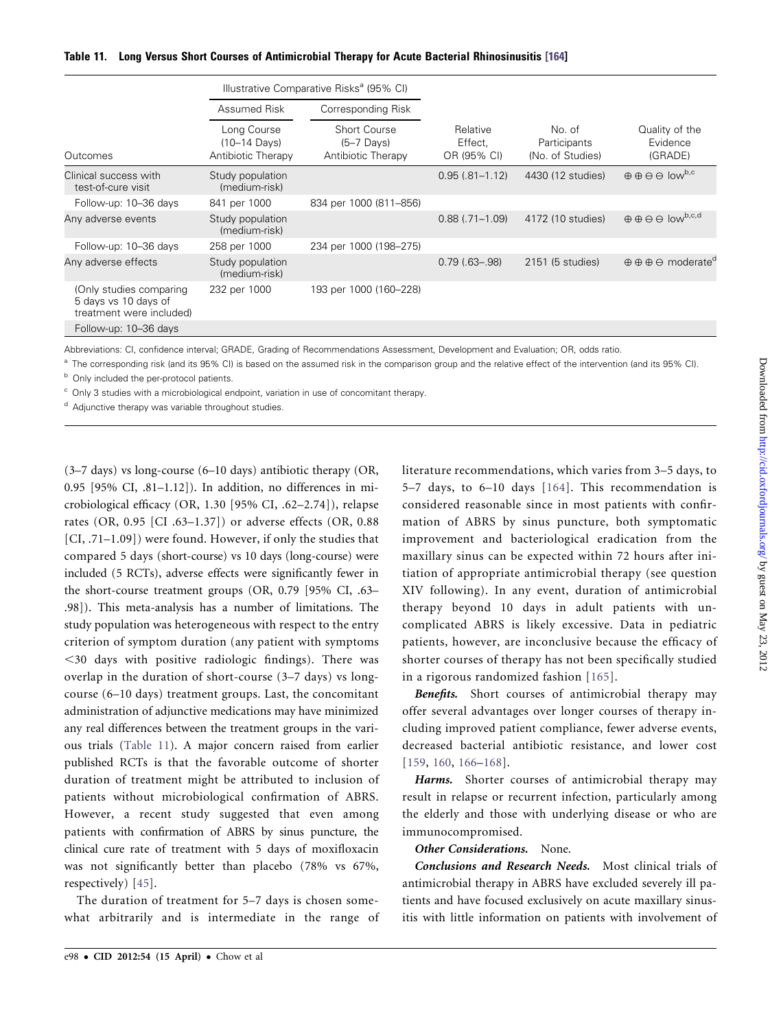#### Table 11. Long Versus Short Courses of Antimicrobial Therapy for Acute Bacterial Rhinosinusitis [\[164](#page-39-0)]

|                                                                             | Illustrative Comparative Risks <sup>a</sup> (95% CI)         |                                                           |                                    |                                            |                                                                 |
|-----------------------------------------------------------------------------|--------------------------------------------------------------|-----------------------------------------------------------|------------------------------------|--------------------------------------------|-----------------------------------------------------------------|
|                                                                             | Assumed Risk                                                 | Corresponding Risk                                        |                                    |                                            |                                                                 |
| Outcomes                                                                    | Long Course<br>$(10-14 \text{ Davis})$<br>Antibiotic Therapy | <b>Short Course</b><br>$(5-7$ Days)<br>Antibiotic Therapy | Relative<br>Effect,<br>OR (95% CI) | No. of<br>Participants<br>(No. of Studies) | Quality of the<br>Evidence<br>(GRADE)                           |
| Clinical success with<br>test-of-cure visit                                 | Study population<br>(medium-risk)                            |                                                           | $0.95(.81 - 1.12)$                 | 4430 (12 studies)                          | $\oplus$ $\oplus$ $\ominus$ $\ominus$ $\text{low}^{\text{b,c}}$ |
| Follow-up: 10-36 days                                                       | 841 per 1000                                                 | 834 per 1000 (811-856)                                    |                                    |                                            |                                                                 |
| Any adverse events                                                          | Study population<br>(medium-risk)                            |                                                           | $0.88$ $(.71 - 1.09)$              | 4172 (10 studies)                          | $\oplus$ $\oplus$ $\ominus$ $\ominus$ low <sup>b,c,d</sup>      |
| Follow-up: 10-36 days                                                       | 258 per 1000                                                 | 234 per 1000 (198-275)                                    |                                    |                                            |                                                                 |
| Any adverse effects                                                         | Study population<br>(medium-risk)                            |                                                           | $0.79(.63-.98)$                    | 2151 (5 studies)                           | $\oplus$ $\oplus$ $\oplus$ moderate <sup>d</sup>                |
| (Only studies comparing<br>5 days vs 10 days of<br>treatment were included) | 232 per 1000                                                 | 193 per 1000 (160-228)                                    |                                    |                                            |                                                                 |
| Follow-up: 10-36 days                                                       |                                                              |                                                           |                                    |                                            |                                                                 |

Abbreviations: CI, confidence interval; GRADE, Grading of Recommendations Assessment, Development and Evaluation; OR, odds ratio.

a The corresponding risk (and its 95% CI) is based on the assumed risk in the comparison group and the relative effect of the intervention (and its 95% CI). **b** Only included the per-protocol patients.

<sup>c</sup> Only 3 studies with a microbiological endpoint, variation in use of concomitant therapy.

<sup>d</sup> Adjunctive therapy was variable throughout studies.

(3–7 days) vs long-course (6–10 days) antibiotic therapy (OR, 0.95 [95% CI, .81–1.12]). In addition, no differences in microbiological efficacy (OR, 1.30 [95% CI, .62–2.74]), relapse rates (OR, 0.95 [CI .63–1.37]) or adverse effects (OR, 0.88 [CI, .71–1.09]) were found. However, if only the studies that compared 5 days (short-course) vs 10 days (long-course) were included (5 RCTs), adverse effects were significantly fewer in the short-course treatment groups (OR, 0.79 [95% CI, .63– .98]). This meta-analysis has a number of limitations. The study population was heterogeneous with respect to the entry criterion of symptom duration (any patient with symptoms ,30 days with positive radiologic findings). There was overlap in the duration of short-course (3–7 days) vs longcourse (6–10 days) treatment groups. Last, the concomitant administration of adjunctive medications may have minimized any real differences between the treatment groups in the various trials (Table 11). A major concern raised from earlier published RCTs is that the favorable outcome of shorter duration of treatment might be attributed to inclusion of patients without microbiological confirmation of ABRS. However, a recent study suggested that even among patients with confirmation of ABRS by sinus puncture, the clinical cure rate of treatment with 5 days of moxifloxacin was not significantly better than placebo (78% vs 67%, respectively) [\[45](#page-36-0)].

The duration of treatment for 5–7 days is chosen somewhat arbitrarily and is intermediate in the range of literature recommendations, which varies from 3–5 days, to 5–7 days, to 6–10 days [[164](#page-39-0)]. This recommendation is considered reasonable since in most patients with confirmation of ABRS by sinus puncture, both symptomatic improvement and bacteriological eradication from the maxillary sinus can be expected within 72 hours after initiation of appropriate antimicrobial therapy (see question XIV following). In any event, duration of antimicrobial therapy beyond 10 days in adult patients with uncomplicated ABRS is likely excessive. Data in pediatric patients, however, are inconclusive because the efficacy of shorter courses of therapy has not been specifically studied in a rigorous randomized fashion [\[165\]](#page-39-0).

Benefits. Short courses of antimicrobial therapy may offer several advantages over longer courses of therapy including improved patient compliance, fewer adverse events, decreased bacterial antibiotic resistance, and lower cost [[159,](#page-39-0) [160](#page-39-0), [166–168\]](#page-39-0).

Harms. Shorter courses of antimicrobial therapy may result in relapse or recurrent infection, particularly among the elderly and those with underlying disease or who are immunocompromised.

## Other Considerations. None.

Conclusions and Research Needs. Most clinical trials of antimicrobial therapy in ABRS have excluded severely ill patients and have focused exclusively on acute maxillary sinusitis with little information on patients with involvement of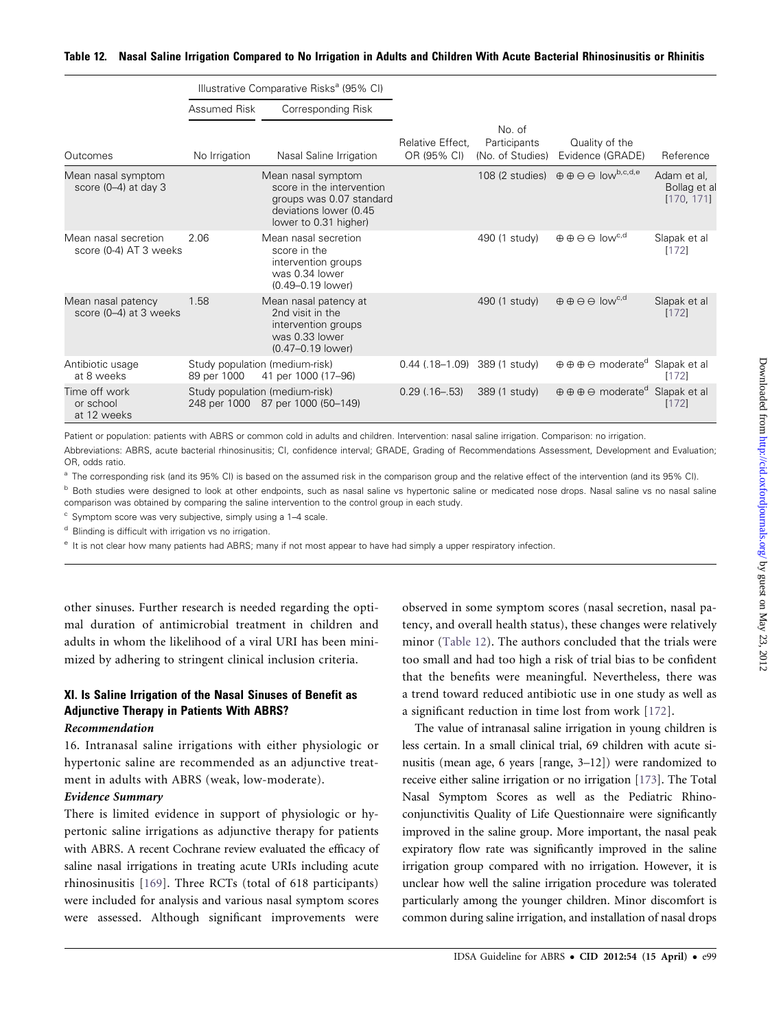|                                                | Illustrative Comparative Risks <sup>a</sup> (95% CI) |                                                                                                                                |                                 |                                            |                                                                                  |                                           |
|------------------------------------------------|------------------------------------------------------|--------------------------------------------------------------------------------------------------------------------------------|---------------------------------|--------------------------------------------|----------------------------------------------------------------------------------|-------------------------------------------|
|                                                | Assumed Risk                                         | Corresponding Risk                                                                                                             |                                 |                                            |                                                                                  |                                           |
| Outcomes                                       | No Irrigation                                        | Nasal Saline Irrigation                                                                                                        | Relative Effect,<br>OR (95% CI) | No. of<br>Participants<br>(No. of Studies) | Quality of the<br>Evidence (GRADE)                                               | Reference                                 |
| Mean nasal symptom<br>score $(0-4)$ at day 3   |                                                      | Mean nasal symptom<br>score in the intervention<br>groups was 0.07 standard<br>deviations lower (0.45<br>lower to 0.31 higher) |                                 | 108 (2 studies)                            | $\oplus$ $\oplus$ $\ominus$ lowb,c,d,e                                           | Adam et al.<br>Bollag et al<br>[170, 171] |
| Mean nasal secretion<br>score (0-4) AT 3 weeks | 2.06                                                 | Mean nasal secretion<br>score in the<br>intervention groups<br>was 0.34 lower<br>(0.49-0.19 lower)                             |                                 | 490 (1 study)                              | $\oplus$ $\oplus$ $\ominus$ $\oplus$ low <sup>c,d</sup>                          | Slapak et al<br>[172]                     |
| Mean nasal patency<br>score (0-4) at 3 weeks   | 1.58                                                 | Mean nasal patency at<br>2nd visit in the<br>intervention groups<br>was 0.33 lower<br>$(0.47 - 0.19$ lower)                    |                                 | 490 (1 study)                              | $\oplus$ $\oplus$ $\ominus$ $\ominus$ $\text{low}^{\scriptscriptstyle \rm c, d}$ | Slapak et al<br>[172]                     |
| Antibiotic usage<br>at 8 weeks                 | 89 per 1000                                          | Study population (medium-risk)<br>41 per 1000 (17-96)                                                                          | $0.44$ (.18-1.09)               | 389 (1 study)                              | $\oplus$ $\oplus$ $\oplus$ $\oplus$ moderate <sup>d</sup> Slapak et al           | [172]                                     |
| Time off work<br>or school<br>at 12 weeks      |                                                      | Study population (medium-risk)<br>248 per 1000 87 per 1000 (50-149)                                                            | $0.29$ $(.16 - .53)$            | 389 (1 study)                              | $\oplus$ $\oplus$ $\oplus$ $\oplus$ moderate <sup>d</sup> Slapak et al           | [172]                                     |

Patient or population: patients with ABRS or common cold in adults and children. Intervention: nasal saline irrigation. Comparison: no irrigation.

Abbreviations: ABRS, acute bacterial rhinosinusitis; CI, confidence interval; GRADE, Grading of Recommendations Assessment, Development and Evaluation; OR, odds ratio.

a The corresponding risk (and its 95% CI) is based on the assumed risk in the comparison group and the relative effect of the intervention (and its 95% CI). <sup>b</sup> Both studies were designed to look at other endpoints, such as nasal saline vs hypertonic saline or medicated nose drops. Nasal saline vs no nasal saline comparison was obtained by comparing the saline intervention to the control group in each study.

<sup>c</sup> Symptom score was very subjective, simply using a 1–4 scale.

<sup>d</sup> Blinding is difficult with irrigation vs no irrigation.

<sup>e</sup> It is not clear how many patients had ABRS; many if not most appear to have had simply a upper respiratory infection.

other sinuses. Further research is needed regarding the optimal duration of antimicrobial treatment in children and adults in whom the likelihood of a viral URI has been minimized by adhering to stringent clinical inclusion criteria.

# XI. Is Saline Irrigation of the Nasal Sinuses of Benefit as Adjunctive Therapy in Patients With ABRS?

#### Recommendation

16. Intranasal saline irrigations with either physiologic or hypertonic saline are recommended as an adjunctive treatment in adults with ABRS (weak, low-moderate).

#### Evidence Summary

There is limited evidence in support of physiologic or hypertonic saline irrigations as adjunctive therapy for patients with ABRS. A recent Cochrane review evaluated the efficacy of saline nasal irrigations in treating acute URIs including acute rhinosinusitis [\[169](#page-39-0)]. Three RCTs (total of 618 participants) were included for analysis and various nasal symptom scores were assessed. Although significant improvements were

observed in some symptom scores (nasal secretion, nasal patency, and overall health status), these changes were relatively minor (Table 12). The authors concluded that the trials were too small and had too high a risk of trial bias to be confident that the benefits were meaningful. Nevertheless, there was a trend toward reduced antibiotic use in one study as well as a significant reduction in time lost from work [\[172](#page-39-0)].

The value of intranasal saline irrigation in young children is less certain. In a small clinical trial, 69 children with acute sinusitis (mean age, 6 years [range, 3–12]) were randomized to receive either saline irrigation or no irrigation [\[173](#page-39-0)]. The Total Nasal Symptom Scores as well as the Pediatric Rhinoconjunctivitis Quality of Life Questionnaire were significantly improved in the saline group. More important, the nasal peak expiratory flow rate was significantly improved in the saline irrigation group compared with no irrigation. However, it is unclear how well the saline irrigation procedure was tolerated particularly among the younger children. Minor discomfort is common during saline irrigation, and installation of nasal drops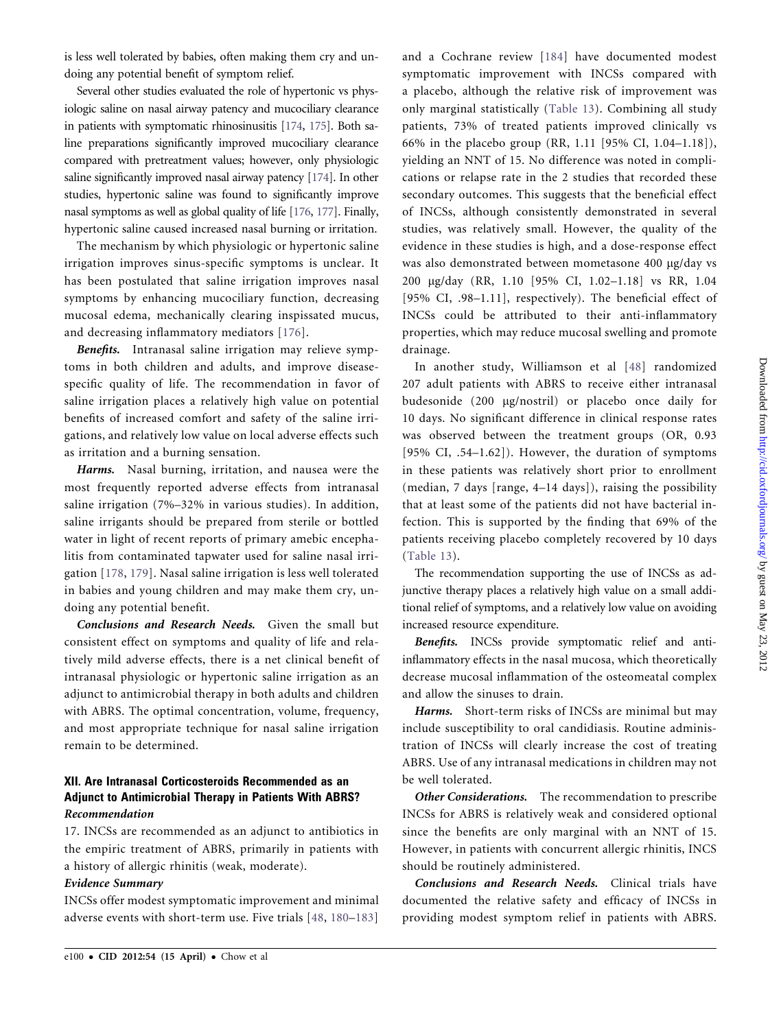is less well tolerated by babies, often making them cry and undoing any potential benefit of symptom relief.

Several other studies evaluated the role of hypertonic vs physiologic saline on nasal airway patency and mucociliary clearance in patients with symptomatic rhinosinusitis [\[174,](#page-39-0) [175](#page-39-0)]. Both saline preparations significantly improved mucociliary clearance compared with pretreatment values; however, only physiologic saline significantly improved nasal airway patency [\[174](#page-39-0)]. In other studies, hypertonic saline was found to significantly improve nasal symptoms as well as global quality of life [\[176](#page-39-0), [177\]](#page-39-0). Finally, hypertonic saline caused increased nasal burning or irritation.

The mechanism by which physiologic or hypertonic saline irrigation improves sinus-specific symptoms is unclear. It has been postulated that saline irrigation improves nasal symptoms by enhancing mucociliary function, decreasing mucosal edema, mechanically clearing inspissated mucus, and decreasing inflammatory mediators [[176\]](#page-39-0).

Benefits. Intranasal saline irrigation may relieve symptoms in both children and adults, and improve diseasespecific quality of life. The recommendation in favor of saline irrigation places a relatively high value on potential benefits of increased comfort and safety of the saline irrigations, and relatively low value on local adverse effects such as irritation and a burning sensation.

Harms. Nasal burning, irritation, and nausea were the most frequently reported adverse effects from intranasal saline irrigation (7%–32% in various studies). In addition, saline irrigants should be prepared from sterile or bottled water in light of recent reports of primary amebic encephalitis from contaminated tapwater used for saline nasal irrigation [[178](#page-39-0), [179\]](#page-39-0). Nasal saline irrigation is less well tolerated in babies and young children and may make them cry, undoing any potential benefit.

Conclusions and Research Needs. Given the small but consistent effect on symptoms and quality of life and relatively mild adverse effects, there is a net clinical benefit of intranasal physiologic or hypertonic saline irrigation as an adjunct to antimicrobial therapy in both adults and children with ABRS. The optimal concentration, volume, frequency, and most appropriate technique for nasal saline irrigation remain to be determined.

## XII. Are Intranasal Corticosteroids Recommended as an Adjunct to Antimicrobial Therapy in Patients With ABRS? Recommendation

17. INCSs are recommended as an adjunct to antibiotics in the empiric treatment of ABRS, primarily in patients with a history of allergic rhinitis (weak, moderate).

## Evidence Summary

INCSs offer modest symptomatic improvement and minimal adverse events with short-term use. Five trials [[48](#page-36-0), [180–183](#page-39-0)]

and a Cochrane review [\[184](#page-39-0)] have documented modest symptomatic improvement with INCSs compared with a placebo, although the relative risk of improvement was only marginal statistically [\(Table 13](#page-29-0)). Combining all study patients, 73% of treated patients improved clinically vs 66% in the placebo group (RR, 1.11 [95% CI, 1.04–1.18]), yielding an NNT of 15. No difference was noted in complications or relapse rate in the 2 studies that recorded these secondary outcomes. This suggests that the beneficial effect of INCSs, although consistently demonstrated in several studies, was relatively small. However, the quality of the evidence in these studies is high, and a dose-response effect was also demonstrated between mometasone 400 µg/day vs 200 lg/day (RR, 1.10 [95% CI, 1.02–1.18] vs RR, 1.04 [95% CI, .98–1.11], respectively). The beneficial effect of INCSs could be attributed to their anti-inflammatory properties, which may reduce mucosal swelling and promote drainage.

In another study, Williamson et al [\[48\]](#page-36-0) randomized 207 adult patients with ABRS to receive either intranasal budesonide (200 µg/nostril) or placebo once daily for 10 days. No significant difference in clinical response rates was observed between the treatment groups (OR, 0.93 [95% CI, .54–1.62]). However, the duration of symptoms in these patients was relatively short prior to enrollment (median, 7 days [range, 4–14 days]), raising the possibility that at least some of the patients did not have bacterial infection. This is supported by the finding that 69% of the patients receiving placebo completely recovered by 10 days ([Table 13\)](#page-29-0).

The recommendation supporting the use of INCSs as adjunctive therapy places a relatively high value on a small additional relief of symptoms, and a relatively low value on avoiding increased resource expenditure.

Benefits. INCSs provide symptomatic relief and antiinflammatory effects in the nasal mucosa, which theoretically decrease mucosal inflammation of the osteomeatal complex and allow the sinuses to drain.

Harms. Short-term risks of INCSs are minimal but may include susceptibility to oral candidiasis. Routine administration of INCSs will clearly increase the cost of treating ABRS. Use of any intranasal medications in children may not be well tolerated.

Other Considerations. The recommendation to prescribe INCSs for ABRS is relatively weak and considered optional since the benefits are only marginal with an NNT of 15. However, in patients with concurrent allergic rhinitis, INCS should be routinely administered.

Conclusions and Research Needs. Clinical trials have documented the relative safety and efficacy of INCSs in providing modest symptom relief in patients with ABRS.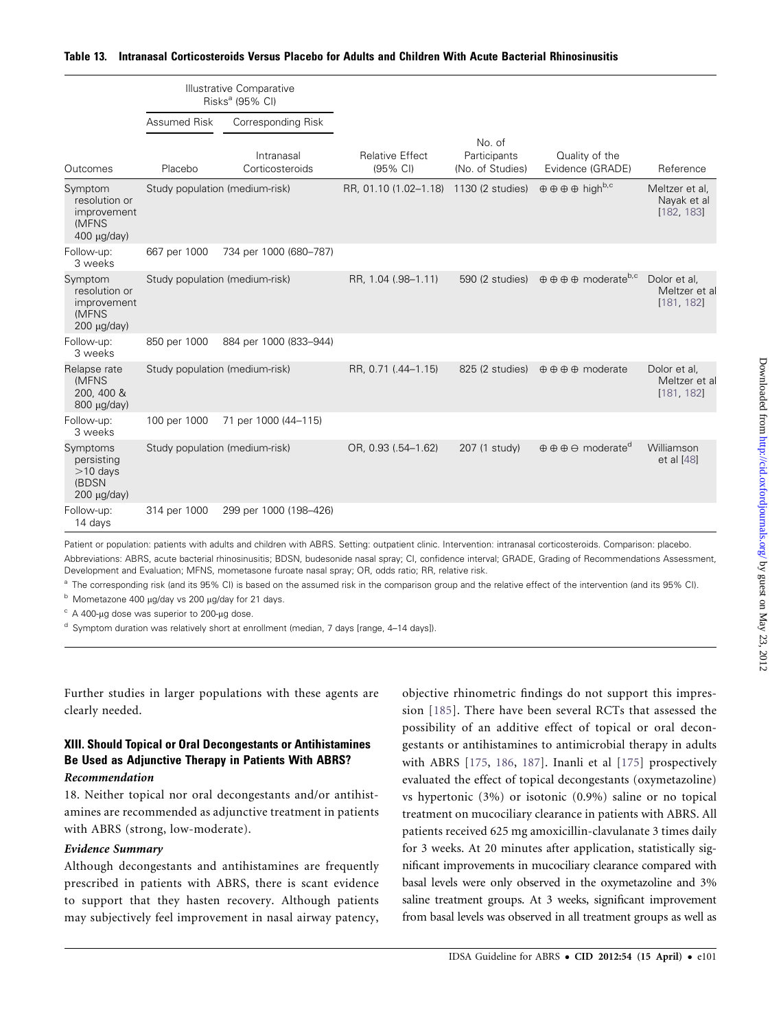<span id="page-29-0"></span>

|                                                                     |                                | <b>Illustrative Comparative</b><br>Risks <sup>a</sup> (95% CI) |                                    |                                            |                                                           |                                             |
|---------------------------------------------------------------------|--------------------------------|----------------------------------------------------------------|------------------------------------|--------------------------------------------|-----------------------------------------------------------|---------------------------------------------|
|                                                                     | Assumed Risk                   | Corresponding Risk                                             |                                    |                                            |                                                           |                                             |
| Outcomes                                                            | Placebo                        | Intranasal<br>Corticosteroids                                  | <b>Relative Effect</b><br>(95% CI) | No. of<br>Participants<br>(No. of Studies) | Quality of the<br>Evidence (GRADE)                        | Reference                                   |
| Symptom<br>resolution or<br>improvement<br>(MFNS<br>$400 \mu g/day$ | Study population (medium-risk) |                                                                | RR, 01.10 (1.02-1.18)              | 1130 (2 studies)                           | $\oplus$ $\oplus$ $\oplus$ high <sup>b,c</sup>            | Meltzer et al,<br>Nayak et al<br>[182, 183] |
| Follow-up:<br>3 weeks                                               | 667 per 1000                   | 734 per 1000 (680-787)                                         |                                    |                                            |                                                           |                                             |
| Symptom<br>resolution or<br>improvement<br>(MFNS<br>$200 \mu g/day$ | Study population (medium-risk) |                                                                | RR, 1.04 (.98-1.11)                | 590 (2 studies)                            | $\oplus$ $\oplus$ $\oplus$ moderate <sup>b,c</sup>        | Dolor et al,<br>Meltzer et al<br>[181, 182] |
| Follow-up:<br>3 weeks                                               | 850 per 1000                   | 884 per 1000 (833-944)                                         |                                    |                                            |                                                           |                                             |
| Relapse rate<br><b>IMFNS</b><br>200, 400 &<br>800 μg/day)           | Study population (medium-risk) |                                                                | RR, 0.71 (.44-1.15)                | 825 (2 studies)                            | $\oplus$ $\oplus$ $\oplus$ moderate                       | Dolor et al,<br>Meltzer et al<br>[181, 182] |
| Follow-up:<br>3 weeks                                               | 100 per 1000                   | 71 per 1000 (44-115)                                           |                                    |                                            |                                                           |                                             |
| Symptoms<br>persisting<br>$>10$ days<br>(BDSN<br>$200 \mu g/day$    | Study population (medium-risk) |                                                                | OR, 0.93 (.54-1.62)                | 207 (1 study)                              | $\oplus$ $\oplus$ $\oplus$ $\oplus$ moderate <sup>d</sup> | Williamson<br>et al [48]                    |
| Follow-up:<br>14 days                                               | 314 per 1000                   | 299 per 1000 (198-426)                                         |                                    |                                            |                                                           |                                             |

Patient or population: patients with adults and children with ABRS. Setting: outpatient clinic. Intervention: intranasal corticosteroids. Comparison: placebo. Abbreviations: ABRS, acute bacterial rhinosinusitis; BDSN, budesonide nasal spray; CI, confidence interval; GRADE, Grading of Recommendations Assessment, Development and Evaluation; MFNS, mometasone furoate nasal spray; OR, odds ratio; RR, relative risk.

a The corresponding risk (and its 95% CI) is based on the assumed risk in the comparison group and the relative effect of the intervention (and its 95% CI).

 $<sup>b</sup>$  Mometazone 400 µg/day vs 200 µg/day for 21 days.</sup>

 $\degree$  A 400-µg dose was superior to 200-µg dose.

<sup>d</sup> Symptom duration was relatively short at enrollment (median, 7 days [range, 4-14 days]).

Further studies in larger populations with these agents are clearly needed.

## XIII. Should Topical or Oral Decongestants or Antihistamines Be Used as Adjunctive Therapy in Patients With ABRS? Recommendation

18. Neither topical nor oral decongestants and/or antihistamines are recommended as adjunctive treatment in patients with ABRS (strong, low-moderate).

# Evidence Summary

Although decongestants and antihistamines are frequently prescribed in patients with ABRS, there is scant evidence to support that they hasten recovery. Although patients may subjectively feel improvement in nasal airway patency,

objective rhinometric findings do not support this impression [[185\]](#page-39-0). There have been several RCTs that assessed the possibility of an additive effect of topical or oral decongestants or antihistamines to antimicrobial therapy in adults with ABRS [[175,](#page-39-0) [186,](#page-39-0) [187\]](#page-39-0). Inanli et al [[175](#page-39-0)] prospectively evaluated the effect of topical decongestants (oxymetazoline) vs hypertonic (3%) or isotonic (0.9%) saline or no topical treatment on mucociliary clearance in patients with ABRS. All patients received 625 mg amoxicillin-clavulanate 3 times daily for 3 weeks. At 20 minutes after application, statistically significant improvements in mucociliary clearance compared with basal levels were only observed in the oxymetazoline and 3% saline treatment groups. At 3 weeks, significant improvement from basal levels was observed in all treatment groups as well as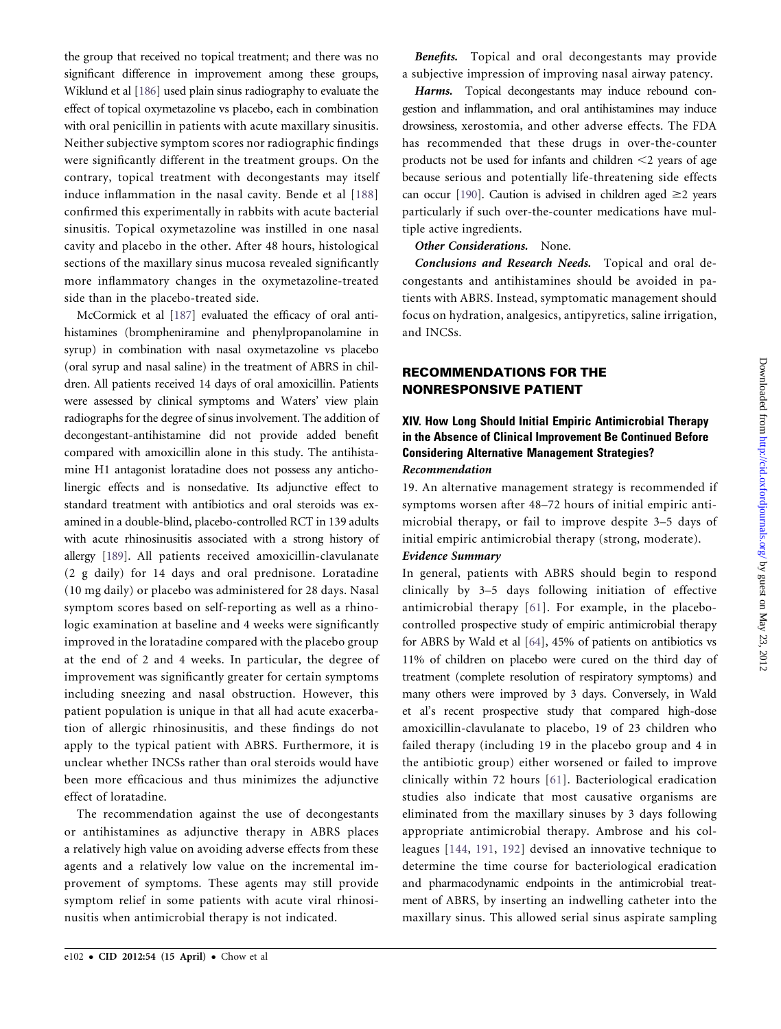the group that received no topical treatment; and there was no significant difference in improvement among these groups, Wiklund et al [\[186\]](#page-39-0) used plain sinus radiography to evaluate the effect of topical oxymetazoline vs placebo, each in combination with oral penicillin in patients with acute maxillary sinusitis. Neither subjective symptom scores nor radiographic findings were significantly different in the treatment groups. On the contrary, topical treatment with decongestants may itself induce inflammation in the nasal cavity. Bende et al [\[188](#page-39-0)] confirmed this experimentally in rabbits with acute bacterial sinusitis. Topical oxymetazoline was instilled in one nasal cavity and placebo in the other. After 48 hours, histological sections of the maxillary sinus mucosa revealed significantly more inflammatory changes in the oxymetazoline-treated side than in the placebo-treated side.

McCormick et al [\[187\]](#page-39-0) evaluated the efficacy of oral antihistamines (brompheniramine and phenylpropanolamine in syrup) in combination with nasal oxymetazoline vs placebo (oral syrup and nasal saline) in the treatment of ABRS in children. All patients received 14 days of oral amoxicillin. Patients were assessed by clinical symptoms and Waters' view plain radiographs for the degree of sinus involvement. The addition of decongestant-antihistamine did not provide added benefit compared with amoxicillin alone in this study. The antihistamine H1 antagonist loratadine does not possess any anticholinergic effects and is nonsedative. Its adjunctive effect to standard treatment with antibiotics and oral steroids was examined in a double-blind, placebo-controlled RCT in 139 adults with acute rhinosinusitis associated with a strong history of allergy [\[189\]](#page-39-0). All patients received amoxicillin-clavulanate (2 g daily) for 14 days and oral prednisone. Loratadine (10 mg daily) or placebo was administered for 28 days. Nasal symptom scores based on self-reporting as well as a rhinologic examination at baseline and 4 weeks were significantly improved in the loratadine compared with the placebo group at the end of 2 and 4 weeks. In particular, the degree of improvement was significantly greater for certain symptoms including sneezing and nasal obstruction. However, this patient population is unique in that all had acute exacerbation of allergic rhinosinusitis, and these findings do not apply to the typical patient with ABRS. Furthermore, it is unclear whether INCSs rather than oral steroids would have been more efficacious and thus minimizes the adjunctive effect of loratadine.

The recommendation against the use of decongestants or antihistamines as adjunctive therapy in ABRS places a relatively high value on avoiding adverse effects from these agents and a relatively low value on the incremental improvement of symptoms. These agents may still provide symptom relief in some patients with acute viral rhinosinusitis when antimicrobial therapy is not indicated.

Benefits. Topical and oral decongestants may provide a subjective impression of improving nasal airway patency.

Harms. Topical decongestants may induce rebound congestion and inflammation, and oral antihistamines may induce drowsiness, xerostomia, and other adverse effects. The FDA has recommended that these drugs in over-the-counter products not be used for infants and children  $\leq$  years of age because serious and potentially life-threatening side effects can occur [\[190\]](#page-39-0). Caution is advised in children aged  $\geq$ 2 years particularly if such over-the-counter medications have multiple active ingredients.

#### Other Considerations. None.

Conclusions and Research Needs. Topical and oral decongestants and antihistamines should be avoided in patients with ABRS. Instead, symptomatic management should focus on hydration, analgesics, antipyretics, saline irrigation, and INCSs.

# RECOMMENDATIONS FOR THE NONRESPONSIVE PATIENT

# XIV. How Long Should Initial Empiric Antimicrobial Therapy in the Absence of Clinical Improvement Be Continued Before Considering Alternative Management Strategies?

## Recommendation

19. An alternative management strategy is recommended if symptoms worsen after 48–72 hours of initial empiric antimicrobial therapy, or fail to improve despite 3–5 days of initial empiric antimicrobial therapy (strong, moderate). Evidence Summary

In general, patients with ABRS should begin to respond clinically by 3–5 days following initiation of effective antimicrobial therapy [[61](#page-36-0)]. For example, in the placebocontrolled prospective study of empiric antimicrobial therapy for ABRS by Wald et al [\[64](#page-36-0)], 45% of patients on antibiotics vs 11% of children on placebo were cured on the third day of treatment (complete resolution of respiratory symptoms) and many others were improved by 3 days. Conversely, in Wald et al's recent prospective study that compared high-dose amoxicillin-clavulanate to placebo, 19 of 23 children who failed therapy (including 19 in the placebo group and 4 in the antibiotic group) either worsened or failed to improve clinically within 72 hours [\[61\]](#page-36-0). Bacteriological eradication studies also indicate that most causative organisms are eliminated from the maxillary sinuses by 3 days following appropriate antimicrobial therapy. Ambrose and his colleagues [[144,](#page-38-0) [191,](#page-39-0) [192\]](#page-39-0) devised an innovative technique to determine the time course for bacteriological eradication and pharmacodynamic endpoints in the antimicrobial treatment of ABRS, by inserting an indwelling catheter into the maxillary sinus. This allowed serial sinus aspirate sampling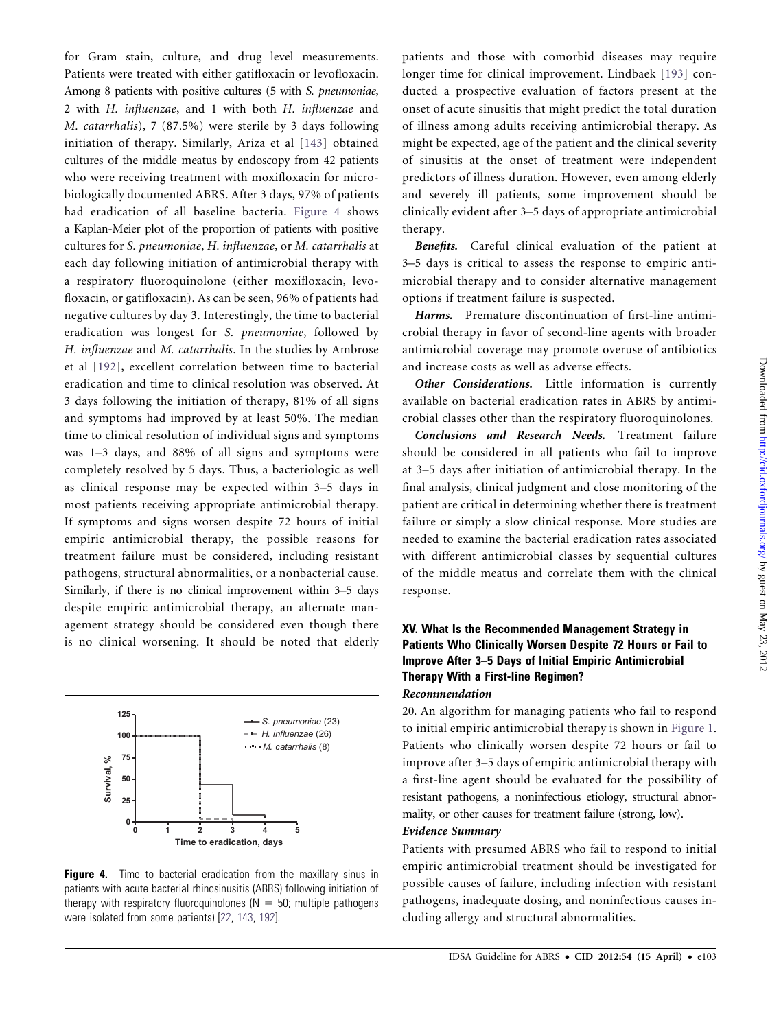for Gram stain, culture, and drug level measurements. Patients were treated with either gatifloxacin or levofloxacin. Among 8 patients with positive cultures (5 with S. pneumoniae, 2 with H. influenzae, and 1 with both H. influenzae and M. catarrhalis), 7 (87.5%) were sterile by 3 days following initiation of therapy. Similarly, Ariza et al [\[143\]](#page-38-0) obtained cultures of the middle meatus by endoscopy from 42 patients who were receiving treatment with moxifloxacin for microbiologically documented ABRS. After 3 days, 97% of patients had eradication of all baseline bacteria. Figure 4 shows a Kaplan-Meier plot of the proportion of patients with positive cultures for S. pneumoniae, H. influenzae, or M. catarrhalis at each day following initiation of antimicrobial therapy with a respiratory fluoroquinolone (either moxifloxacin, levofloxacin, or gatifloxacin). As can be seen, 96% of patients had negative cultures by day 3. Interestingly, the time to bacterial eradication was longest for S. pneumoniae, followed by H. influenzae and M. catarrhalis. In the studies by Ambrose et al [\[192](#page-39-0)], excellent correlation between time to bacterial eradication and time to clinical resolution was observed. At 3 days following the initiation of therapy, 81% of all signs and symptoms had improved by at least 50%. The median time to clinical resolution of individual signs and symptoms was 1–3 days, and 88% of all signs and symptoms were completely resolved by 5 days. Thus, a bacteriologic as well as clinical response may be expected within 3–5 days in most patients receiving appropriate antimicrobial therapy. If symptoms and signs worsen despite 72 hours of initial empiric antimicrobial therapy, the possible reasons for treatment failure must be considered, including resistant pathogens, structural abnormalities, or a nonbacterial cause. Similarly, if there is no clinical improvement within 3–5 days despite empiric antimicrobial therapy, an alternate management strategy should be considered even though there is no clinical worsening. It should be noted that elderly



**Figure 4.** Time to bacterial eradication from the maxillary sinus in patients with acute bacterial rhinosinusitis (ABRS) following initiation of therapy with respiratory fluoroquinolones ( $N = 50$ ; multiple pathogens were isolated from some patients) [[22,](#page-35-0) [143,](#page-38-0) [192](#page-39-0)].

patients and those with comorbid diseases may require longer time for clinical improvement. Lindbaek [[193](#page-40-0)] conducted a prospective evaluation of factors present at the onset of acute sinusitis that might predict the total duration of illness among adults receiving antimicrobial therapy. As might be expected, age of the patient and the clinical severity of sinusitis at the onset of treatment were independent predictors of illness duration. However, even among elderly and severely ill patients, some improvement should be clinically evident after 3–5 days of appropriate antimicrobial therapy.

Benefits. Careful clinical evaluation of the patient at 3–5 days is critical to assess the response to empiric antimicrobial therapy and to consider alternative management options if treatment failure is suspected.

Harms. Premature discontinuation of first-line antimicrobial therapy in favor of second-line agents with broader antimicrobial coverage may promote overuse of antibiotics and increase costs as well as adverse effects.

Other Considerations. Little information is currently available on bacterial eradication rates in ABRS by antimicrobial classes other than the respiratory fluoroquinolones.

Conclusions and Research Needs. Treatment failure should be considered in all patients who fail to improve at 3–5 days after initiation of antimicrobial therapy. In the final analysis, clinical judgment and close monitoring of the patient are critical in determining whether there is treatment failure or simply a slow clinical response. More studies are needed to examine the bacterial eradication rates associated with different antimicrobial classes by sequential cultures of the middle meatus and correlate them with the clinical response.

# XV. What Is the Recommended Management Strategy in Patients Who Clinically Worsen Despite 72 Hours or Fail to Improve After 3–5 Days of Initial Empiric Antimicrobial Therapy With a First-line Regimen?

# Recommendation

20. An algorithm for managing patients who fail to respond to initial empiric antimicrobial therapy is shown in [Figure 1.](#page-1-0) Patients who clinically worsen despite 72 hours or fail to improve after 3–5 days of empiric antimicrobial therapy with a first-line agent should be evaluated for the possibility of resistant pathogens, a noninfectious etiology, structural abnormality, or other causes for treatment failure (strong, low).

#### Evidence Summary

Patients with presumed ABRS who fail to respond to initial empiric antimicrobial treatment should be investigated for possible causes of failure, including infection with resistant pathogens, inadequate dosing, and noninfectious causes including allergy and structural abnormalities.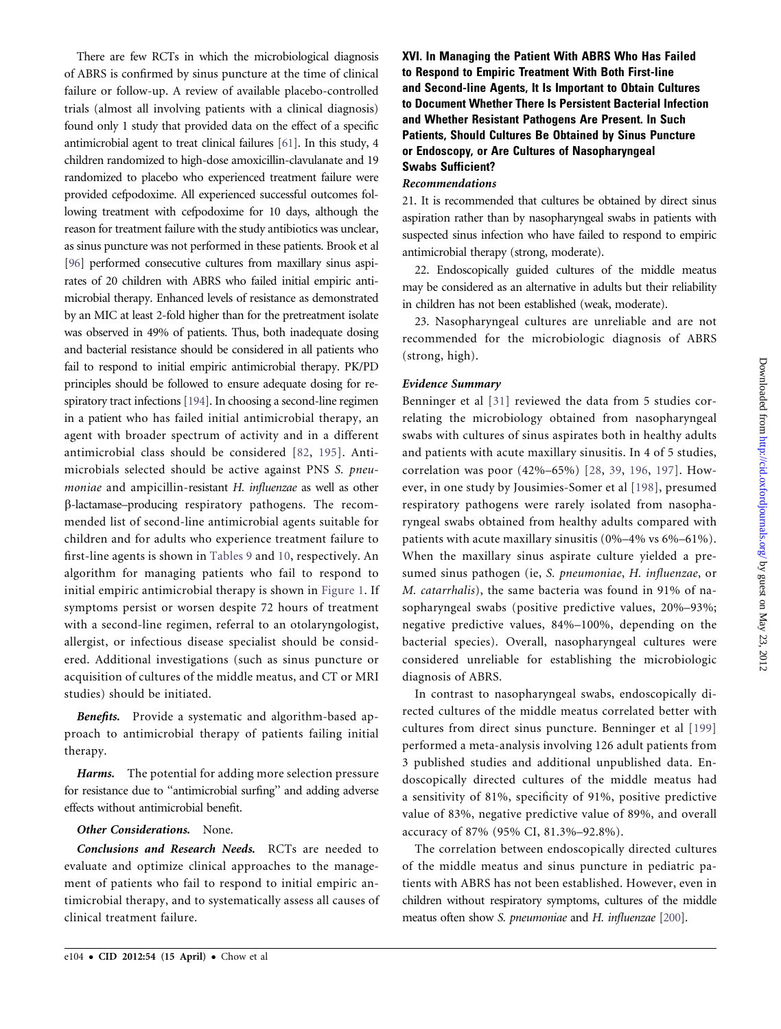There are few RCTs in which the microbiological diagnosis of ABRS is confirmed by sinus puncture at the time of clinical failure or follow-up. A review of available placebo-controlled trials (almost all involving patients with a clinical diagnosis) found only 1 study that provided data on the effect of a specific antimicrobial agent to treat clinical failures [\[61](#page-36-0)]. In this study, 4 children randomized to high-dose amoxicillin-clavulanate and 19 randomized to placebo who experienced treatment failure were provided cefpodoxime. All experienced successful outcomes following treatment with cefpodoxime for 10 days, although the reason for treatment failure with the study antibiotics was unclear, as sinus puncture was not performed in these patients. Brook et al [\[96](#page-37-0)] performed consecutive cultures from maxillary sinus aspirates of 20 children with ABRS who failed initial empiric antimicrobial therapy. Enhanced levels of resistance as demonstrated by an MIC at least 2-fold higher than for the pretreatment isolate was observed in 49% of patients. Thus, both inadequate dosing and bacterial resistance should be considered in all patients who fail to respond to initial empiric antimicrobial therapy. PK/PD principles should be followed to ensure adequate dosing for respiratory tract infections [\[194\]](#page-40-0). In choosing a second-line regimen in a patient who has failed initial antimicrobial therapy, an agent with broader spectrum of activity and in a different antimicrobial class should be considered [[82](#page-37-0), [195](#page-40-0)]. Antimicrobials selected should be active against PNS S. pneumoniae and ampicillin-resistant H. influenzae as well as other b-lactamase–producing respiratory pathogens. The recommended list of second-line antimicrobial agents suitable for children and for adults who experience treatment failure to first-line agents is shown in [Tables 9](#page-23-0) and [10,](#page-22-0) respectively. An algorithm for managing patients who fail to respond to initial empiric antimicrobial therapy is shown in [Figure 1](#page-1-0). If symptoms persist or worsen despite 72 hours of treatment with a second-line regimen, referral to an otolaryngologist, allergist, or infectious disease specialist should be considered. Additional investigations (such as sinus puncture or acquisition of cultures of the middle meatus, and CT or MRI studies) should be initiated.

Benefits. Provide a systematic and algorithm-based approach to antimicrobial therapy of patients failing initial therapy.

Harms. The potential for adding more selection pressure for resistance due to ''antimicrobial surfing'' and adding adverse effects without antimicrobial benefit.

#### **Other Considerations.** None.

Conclusions and Research Needs. RCTs are needed to evaluate and optimize clinical approaches to the management of patients who fail to respond to initial empiric antimicrobial therapy, and to systematically assess all causes of clinical treatment failure.

# XVI. In Managing the Patient With ABRS Who Has Failed to Respond to Empiric Treatment With Both First-line and Second-line Agents, It Is Important to Obtain Cultures to Document Whether There Is Persistent Bacterial Infection and Whether Resistant Pathogens Are Present. In Such Patients, Should Cultures Be Obtained by Sinus Puncture or Endoscopy, or Are Cultures of Nasopharyngeal Swabs Sufficient?

## Recommendations

21. It is recommended that cultures be obtained by direct sinus aspiration rather than by nasopharyngeal swabs in patients with suspected sinus infection who have failed to respond to empiric antimicrobial therapy (strong, moderate).

22. Endoscopically guided cultures of the middle meatus may be considered as an alternative in adults but their reliability in children has not been established (weak, moderate).

23. Nasopharyngeal cultures are unreliable and are not recommended for the microbiologic diagnosis of ABRS (strong, high).

#### Evidence Summary

Benninger et al [[31](#page-35-0)] reviewed the data from 5 studies correlating the microbiology obtained from nasopharyngeal swabs with cultures of sinus aspirates both in healthy adults and patients with acute maxillary sinusitis. In 4 of 5 studies, correlation was poor (42%–65%) [\[28,](#page-35-0) [39,](#page-36-0) [196,](#page-40-0) [197\]](#page-40-0). However, in one study by Jousimies-Somer et al [\[198\]](#page-40-0), presumed respiratory pathogens were rarely isolated from nasopharyngeal swabs obtained from healthy adults compared with patients with acute maxillary sinusitis (0%–4% vs 6%–61%). When the maxillary sinus aspirate culture yielded a presumed sinus pathogen (ie, S. pneumoniae, H. influenzae, or M. catarrhalis), the same bacteria was found in 91% of nasopharyngeal swabs (positive predictive values, 20%–93%; negative predictive values, 84%–100%, depending on the bacterial species). Overall, nasopharyngeal cultures were considered unreliable for establishing the microbiologic diagnosis of ABRS.

In contrast to nasopharyngeal swabs, endoscopically directed cultures of the middle meatus correlated better with cultures from direct sinus puncture. Benninger et al [\[199\]](#page-40-0) performed a meta-analysis involving 126 adult patients from 3 published studies and additional unpublished data. Endoscopically directed cultures of the middle meatus had a sensitivity of 81%, specificity of 91%, positive predictive value of 83%, negative predictive value of 89%, and overall accuracy of 87% (95% CI, 81.3%–92.8%).

The correlation between endoscopically directed cultures of the middle meatus and sinus puncture in pediatric patients with ABRS has not been established. However, even in children without respiratory symptoms, cultures of the middle meatus often show S. pneumoniae and H. influenzae [[200\]](#page-40-0).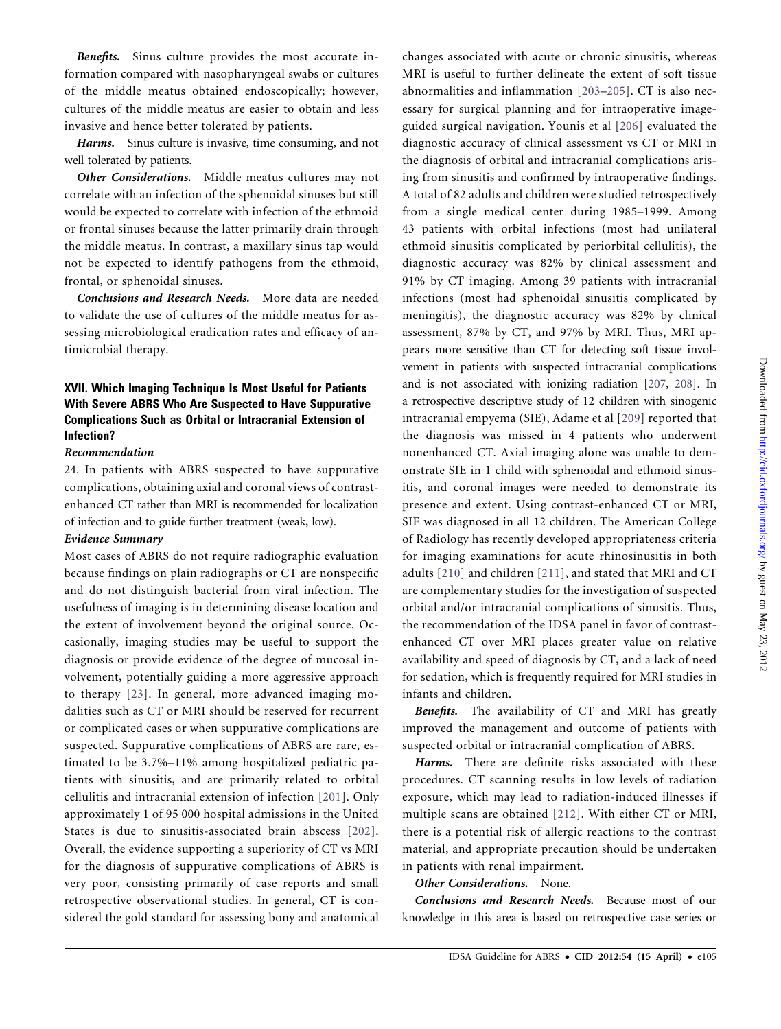Benefits. Sinus culture provides the most accurate information compared with nasopharyngeal swabs or cultures of the middle meatus obtained endoscopically; however, cultures of the middle meatus are easier to obtain and less invasive and hence better tolerated by patients.

Harms. Sinus culture is invasive, time consuming, and not well tolerated by patients.

Other Considerations. Middle meatus cultures may not correlate with an infection of the sphenoidal sinuses but still would be expected to correlate with infection of the ethmoid or frontal sinuses because the latter primarily drain through the middle meatus. In contrast, a maxillary sinus tap would not be expected to identify pathogens from the ethmoid, frontal, or sphenoidal sinuses.

Conclusions and Research Needs. More data are needed to validate the use of cultures of the middle meatus for assessing microbiological eradication rates and efficacy of antimicrobial therapy.

## XVII. Which Imaging Technique Is Most Useful for Patients With Severe ABRS Who Are Suspected to Have Suppurative Complications Such as Orbital or Intracranial Extension of Infection?

#### Recommendation

24. In patients with ABRS suspected to have suppurative complications, obtaining axial and coronal views of contrastenhanced CT rather than MRI is recommended for localization of infection and to guide further treatment (weak, low).

#### Evidence Summary

Most cases of ABRS do not require radiographic evaluation because findings on plain radiographs or CT are nonspecific and do not distinguish bacterial from viral infection. The usefulness of imaging is in determining disease location and the extent of involvement beyond the original source. Occasionally, imaging studies may be useful to support the diagnosis or provide evidence of the degree of mucosal involvement, potentially guiding a more aggressive approach to therapy [[23](#page-35-0)]. In general, more advanced imaging modalities such as CT or MRI should be reserved for recurrent or complicated cases or when suppurative complications are suspected. Suppurative complications of ABRS are rare, estimated to be 3.7%–11% among hospitalized pediatric patients with sinusitis, and are primarily related to orbital cellulitis and intracranial extension of infection [[201\]](#page-40-0). Only approximately 1 of 95 000 hospital admissions in the United States is due to sinusitis-associated brain abscess [[202](#page-40-0)]. Overall, the evidence supporting a superiority of CT vs MRI for the diagnosis of suppurative complications of ABRS is very poor, consisting primarily of case reports and small retrospective observational studies. In general, CT is considered the gold standard for assessing bony and anatomical

changes associated with acute or chronic sinusitis, whereas MRI is useful to further delineate the extent of soft tissue abnormalities and inflammation [[203–205\]](#page-40-0). CT is also necessary for surgical planning and for intraoperative imageguided surgical navigation. Younis et al [\[206\]](#page-40-0) evaluated the diagnostic accuracy of clinical assessment vs CT or MRI in the diagnosis of orbital and intracranial complications arising from sinusitis and confirmed by intraoperative findings. A total of 82 adults and children were studied retrospectively from a single medical center during 1985–1999. Among 43 patients with orbital infections (most had unilateral ethmoid sinusitis complicated by periorbital cellulitis), the diagnostic accuracy was 82% by clinical assessment and 91% by CT imaging. Among 39 patients with intracranial infections (most had sphenoidal sinusitis complicated by meningitis), the diagnostic accuracy was 82% by clinical assessment, 87% by CT, and 97% by MRI. Thus, MRI appears more sensitive than CT for detecting soft tissue involvement in patients with suspected intracranial complications and is not associated with ionizing radiation [\[207](#page-40-0), [208\]](#page-40-0). In a retrospective descriptive study of 12 children with sinogenic intracranial empyema (SIE), Adame et al [[209](#page-40-0)] reported that the diagnosis was missed in 4 patients who underwent nonenhanced CT. Axial imaging alone was unable to demonstrate SIE in 1 child with sphenoidal and ethmoid sinusitis, and coronal images were needed to demonstrate its presence and extent. Using contrast-enhanced CT or MRI, SIE was diagnosed in all 12 children. The American College of Radiology has recently developed appropriateness criteria for imaging examinations for acute rhinosinusitis in both adults [[210](#page-40-0)] and children [[211](#page-40-0)], and stated that MRI and CT are complementary studies for the investigation of suspected orbital and/or intracranial complications of sinusitis. Thus, the recommendation of the IDSA panel in favor of contrastenhanced CT over MRI places greater value on relative availability and speed of diagnosis by CT, and a lack of need for sedation, which is frequently required for MRI studies in infants and children.

Benefits. The availability of CT and MRI has greatly improved the management and outcome of patients with suspected orbital or intracranial complication of ABRS.

Harms. There are definite risks associated with these procedures. CT scanning results in low levels of radiation exposure, which may lead to radiation-induced illnesses if multiple scans are obtained [[212](#page-40-0)]. With either CT or MRI, there is a potential risk of allergic reactions to the contrast material, and appropriate precaution should be undertaken in patients with renal impairment.

#### Other Considerations. None.

Conclusions and Research Needs. Because most of our knowledge in this area is based on retrospective case series or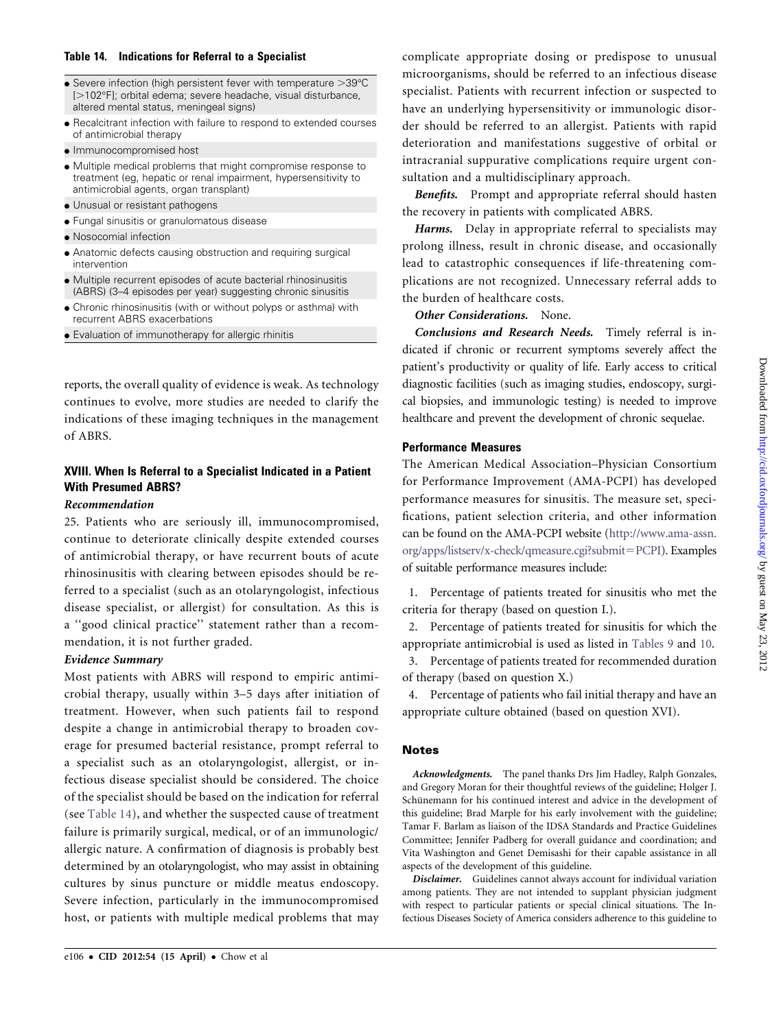#### Table 14. Indications for Referral to a Specialist

- $\bullet$  Severe infection (high persistent fever with temperature  $>$ 39°C [>102°F]; orbital edema; severe headache, visual disturbance, altered mental status, meningeal signs)
- Recalcitrant infection with failure to respond to extended courses of antimicrobial therapy
- $\bullet$  Immunocompromised host
- $\bullet$  Multiple medical problems that might compromise response to treatment (eg, hepatic or renal impairment, hypersensitivity to antimicrobial agents, organ transplant)
- · Unusual or resistant pathogens
- **•** Fungal sinusitis or granulomatous disease
- Nosocomial infection
- Anatomic defects causing obstruction and requiring surgical intervention
- Multiple recurrent episodes of acute bacterial rhinosinusitis (ABRS) (3–4 episodes per year) suggesting chronic sinusitis
- Chronic rhinosinusitis (with or without polyps or asthma) with recurrent ABRS exacerbations
- **Evaluation of immunotherapy for allergic rhinitis**

reports, the overall quality of evidence is weak. As technology continues to evolve, more studies are needed to clarify the indications of these imaging techniques in the management of ABRS.

# XVIII. When Is Referral to a Specialist Indicated in a Patient With Presumed ABRS?

## Recommendation

25. Patients who are seriously ill, immunocompromised, continue to deteriorate clinically despite extended courses of antimicrobial therapy, or have recurrent bouts of acute rhinosinusitis with clearing between episodes should be referred to a specialist (such as an otolaryngologist, infectious disease specialist, or allergist) for consultation. As this is a ''good clinical practice'' statement rather than a recommendation, it is not further graded.

## Evidence Summary

Most patients with ABRS will respond to empiric antimicrobial therapy, usually within 3–5 days after initiation of treatment. However, when such patients fail to respond despite a change in antimicrobial therapy to broaden coverage for presumed bacterial resistance, prompt referral to a specialist such as an otolaryngologist, allergist, or infectious disease specialist should be considered. The choice of the specialist should be based on the indication for referral (see Table 14), and whether the suspected cause of treatment failure is primarily surgical, medical, or of an immunologic/ allergic nature. A confirmation of diagnosis is probably best determined by an otolaryngologist, who may assist in obtaining cultures by sinus puncture or middle meatus endoscopy. Severe infection, particularly in the immunocompromised host, or patients with multiple medical problems that may

complicate appropriate dosing or predispose to unusual microorganisms, should be referred to an infectious disease specialist. Patients with recurrent infection or suspected to have an underlying hypersensitivity or immunologic disorder should be referred to an allergist. Patients with rapid deterioration and manifestations suggestive of orbital or intracranial suppurative complications require urgent consultation and a multidisciplinary approach.

Benefits. Prompt and appropriate referral should hasten the recovery in patients with complicated ABRS.

Harms. Delay in appropriate referral to specialists may prolong illness, result in chronic disease, and occasionally lead to catastrophic consequences if life-threatening complications are not recognized. Unnecessary referral adds to the burden of healthcare costs.

## **Other Considerations.** None.

Conclusions and Research Needs. Timely referral is indicated if chronic or recurrent symptoms severely affect the patient's productivity or quality of life. Early access to critical diagnostic facilities (such as imaging studies, endoscopy, surgical biopsies, and immunologic testing) is needed to improve healthcare and prevent the development of chronic sequelae.

## Performance Measures

The American Medical Association–Physician Consortium for Performance Improvement (AMA-PCPI) has developed performance measures for sinusitis. The measure set, specifications, patient selection criteria, and other information can be found on the AMA-PCPI website [\(http://www.ama-assn.](http://www.ama-assn.org/apps/listserv/x-check/qmeasure.cgi?submit=PCPI) [org/apps/listserv/x-check/qmeasure.cgi?submit](http://www.ama-assn.org/apps/listserv/x-check/qmeasure.cgi?submit=PCPI)=[PCPI\)](http://www.ama-assn.org/apps/listserv/x-check/qmeasure.cgi?submit=PCPI). Examples of suitable performance measures include:

1. Percentage of patients treated for sinusitis who met the criteria for therapy (based on question I.).

2. Percentage of patients treated for sinusitis for which the appropriate antimicrobial is used as listed in [Tables 9](#page-23-0) and [10](#page-22-0).

3. Percentage of patients treated for recommended duration of therapy (based on question X.)

4. Percentage of patients who fail initial therapy and have an appropriate culture obtained (based on question XVI).

## **Notes**

Acknowledgments. The panel thanks Drs Jim Hadley, Ralph Gonzales, and Gregory Moran for their thoughtful reviews of the guideline; Holger J. Schünemann for his continued interest and advice in the development of this guideline; Brad Marple for his early involvement with the guideline; Tamar F. Barlam as liaison of the IDSA Standards and Practice Guidelines Committee; Jennifer Padberg for overall guidance and coordination; and Vita Washington and Genet Demisashi for their capable assistance in all aspects of the development of this guideline.

Disclaimer. Guidelines cannot always account for individual variation among patients. They are not intended to supplant physician judgment with respect to particular patients or special clinical situations. The Infectious Diseases Society of America considers adherence to this guideline to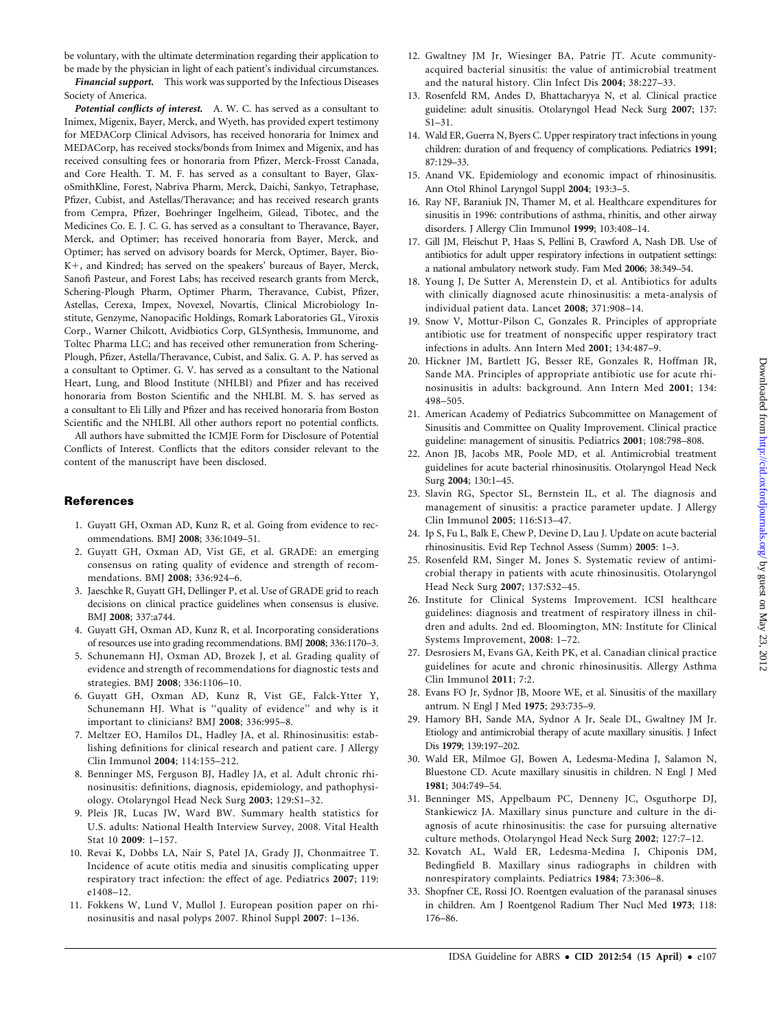<span id="page-35-0"></span>be voluntary, with the ultimate determination regarding their application to be made by the physician in light of each patient's individual circumstances.

Financial support. This work was supported by the Infectious Diseases Society of America.

Potential conflicts of interest. A. W. C. has served as a consultant to Inimex, Migenix, Bayer, Merck, and Wyeth, has provided expert testimony for MEDACorp Clinical Advisors, has received honoraria for Inimex and MEDACorp, has received stocks/bonds from Inimex and Migenix, and has received consulting fees or honoraria from Pfizer, Merck-Frosst Canada, and Core Health. T. M. F. has served as a consultant to Bayer, GlaxoSmithKline, Forest, Nabriva Pharm, Merck, Daichi, Sankyo, Tetraphase, Pfizer, Cubist, and Astellas/Theravance; and has received research grants from Cempra, Pfizer, Boehringer Ingelheim, Gilead, Tibotec, and the Medicines Co. E. J. C. G. has served as a consultant to Theravance, Bayer, Merck, and Optimer; has received honoraria from Bayer, Merck, and Optimer; has served on advisory boards for Merck, Optimer, Bayer, Bio-K+, and Kindred; has served on the speakers' bureaus of Bayer, Merck, Sanofi Pasteur, and Forest Labs; has received research grants from Merck, Schering-Plough Pharm, Optimer Pharm, Theravance, Cubist, Pfizer, Astellas, Cerexa, Impex, Novexel, Novartis, Clinical Microbiology Institute, Genzyme, Nanopacific Holdings, Romark Laboratories GL, Viroxis Corp., Warner Chilcott, Avidbiotics Corp, GLSynthesis, Immunome, and Toltec Pharma LLC; and has received other remuneration from Schering-Plough, Pfizer, Astella/Theravance, Cubist, and Salix. G. A. P. has served as a consultant to Optimer. G. V. has served as a consultant to the National Heart, Lung, and Blood Institute (NHLBI) and Pfizer and has received honoraria from Boston Scientific and the NHLBI. M. S. has served as a consultant to Eli Lilly and Pfizer and has received honoraria from Boston Scientific and the NHLBI. All other authors report no potential conflicts.

All authors have submitted the ICMJE Form for Disclosure of Potential Conflicts of Interest. Conflicts that the editors consider relevant to the content of the manuscript have been disclosed.

#### References

- 1. Guyatt GH, Oxman AD, Kunz R, et al. Going from evidence to recommendations. BMJ 2008; 336:1049–51.
- 2. Guyatt GH, Oxman AD, Vist GE, et al. GRADE: an emerging consensus on rating quality of evidence and strength of recommendations. BMJ 2008; 336:924–6.
- 3. Jaeschke R, Guyatt GH, Dellinger P, et al. Use of GRADE grid to reach decisions on clinical practice guidelines when consensus is elusive. BMJ 2008; 337:a744.
- 4. Guyatt GH, Oxman AD, Kunz R, et al. Incorporating considerations of resources use into grading recommendations. BMJ 2008; 336:1170–3.
- 5. Schunemann HJ, Oxman AD, Brozek J, et al. Grading quality of evidence and strength of recommendations for diagnostic tests and strategies. BMJ 2008; 336:1106–10.
- 6. Guyatt GH, Oxman AD, Kunz R, Vist GE, Falck-Ytter Y, Schunemann HJ. What is ''quality of evidence'' and why is it important to clinicians? BMJ 2008; 336:995–8.
- 7. Meltzer EO, Hamilos DL, Hadley JA, et al. Rhinosinusitis: establishing definitions for clinical research and patient care. J Allergy Clin Immunol 2004; 114:155–212.
- 8. Benninger MS, Ferguson BJ, Hadley JA, et al. Adult chronic rhinosinusitis: definitions, diagnosis, epidemiology, and pathophysiology. Otolaryngol Head Neck Surg 2003; 129:S1–32.
- 9. Pleis JR, Lucas JW, Ward BW. Summary health statistics for U.S. adults: National Health Interview Survey, 2008. Vital Health Stat 10 2009: 1–157.
- 10. Revai K, Dobbs LA, Nair S, Patel JA, Grady JJ, Chonmaitree T. Incidence of acute otitis media and sinusitis complicating upper respiratory tract infection: the effect of age. Pediatrics 2007; 119: e1408–12.
- 11. Fokkens W, Lund V, Mullol J. European position paper on rhinosinusitis and nasal polyps 2007. Rhinol Suppl 2007: 1–136.
- 12. Gwaltney JM Jr, Wiesinger BA, Patrie JT. Acute communityacquired bacterial sinusitis: the value of antimicrobial treatment and the natural history. Clin Infect Dis 2004; 38:227–33.
- 13. Rosenfeld RM, Andes D, Bhattacharyya N, et al. Clinical practice guideline: adult sinusitis. Otolaryngol Head Neck Surg 2007; 137: S1–31.
- 14. Wald ER, Guerra N, Byers C. Upper respiratory tract infections in young children: duration of and frequency of complications. Pediatrics 1991; 87:129–33.
- 15. Anand VK. Epidemiology and economic impact of rhinosinusitis. Ann Otol Rhinol Laryngol Suppl 2004; 193:3–5.
- 16. Ray NF, Baraniuk JN, Thamer M, et al. Healthcare expenditures for sinusitis in 1996: contributions of asthma, rhinitis, and other airway disorders. J Allergy Clin Immunol 1999; 103:408–14.
- 17. Gill JM, Fleischut P, Haas S, Pellini B, Crawford A, Nash DB. Use of antibiotics for adult upper respiratory infections in outpatient settings: a national ambulatory network study. Fam Med 2006; 38:349–54.
- 18. Young J, De Sutter A, Merenstein D, et al. Antibiotics for adults with clinically diagnosed acute rhinosinusitis: a meta-analysis of individual patient data. Lancet 2008; 371:908–14.
- 19. Snow V, Mottur-Pilson C, Gonzales R. Principles of appropriate antibiotic use for treatment of nonspecific upper respiratory tract infections in adults. Ann Intern Med 2001; 134:487–9.
- 20. Hickner JM, Bartlett JG, Besser RE, Gonzales R, Hoffman JR, Sande MA. Principles of appropriate antibiotic use for acute rhinosinusitis in adults: background. Ann Intern Med 2001; 134: 498–505.
- 21. American Academy of Pediatrics Subcommittee on Management of Sinusitis and Committee on Quality Improvement. Clinical practice guideline: management of sinusitis. Pediatrics 2001; 108:798–808.
- 22. Anon JB, Jacobs MR, Poole MD, et al. Antimicrobial treatment guidelines for acute bacterial rhinosinusitis. Otolaryngol Head Neck Surg 2004; 130:1–45.
- 23. Slavin RG, Spector SL, Bernstein IL, et al. The diagnosis and management of sinusitis: a practice parameter update. J Allergy Clin Immunol 2005; 116:S13–47.
- 24. Ip S, Fu L, Balk E, Chew P, Devine D, Lau J. Update on acute bacterial rhinosinusitis. Evid Rep Technol Assess (Summ) 2005: 1–3.
- 25. Rosenfeld RM, Singer M, Jones S. Systematic review of antimicrobial therapy in patients with acute rhinosinusitis. Otolaryngol Head Neck Surg 2007; 137:S32–45.
- 26. Institute for Clinical Systems Improvement. ICSI healthcare guidelines: diagnosis and treatment of respiratory illness in children and adults. 2nd ed. Bloomington, MN: Institute for Clinical Systems Improvement, 2008: 1–72.
- 27. Desrosiers M, Evans GA, Keith PK, et al. Canadian clinical practice guidelines for acute and chronic rhinosinusitis. Allergy Asthma Clin Immunol 2011; 7:2.
- 28. Evans FO Jr, Sydnor JB, Moore WE, et al. Sinusitis of the maxillary antrum. N Engl J Med 1975; 293:735–9.
- 29. Hamory BH, Sande MA, Sydnor A Jr, Seale DL, Gwaltney JM Jr. Etiology and antimicrobial therapy of acute maxillary sinusitis. J Infect Dis 1979; 139:197–202.
- 30. Wald ER, Milmoe GJ, Bowen A, Ledesma-Medina J, Salamon N, Bluestone CD. Acute maxillary sinusitis in children. N Engl J Med 1981; 304:749–54.
- 31. Benninger MS, Appelbaum PC, Denneny JC, Osguthorpe DJ, Stankiewicz JA. Maxillary sinus puncture and culture in the diagnosis of acute rhinosinusitis: the case for pursuing alternative culture methods. Otolaryngol Head Neck Surg 2002; 127:7–12.
- 32. Kovatch AL, Wald ER, Ledesma-Medina J, Chiponis DM, Bedingfield B. Maxillary sinus radiographs in children with nonrespiratory complaints. Pediatrics 1984; 73:306–8.
- 33. Shopfner CE, Rossi JO. Roentgen evaluation of the paranasal sinuses in children. Am J Roentgenol Radium Ther Nucl Med 1973; 118: 176–86.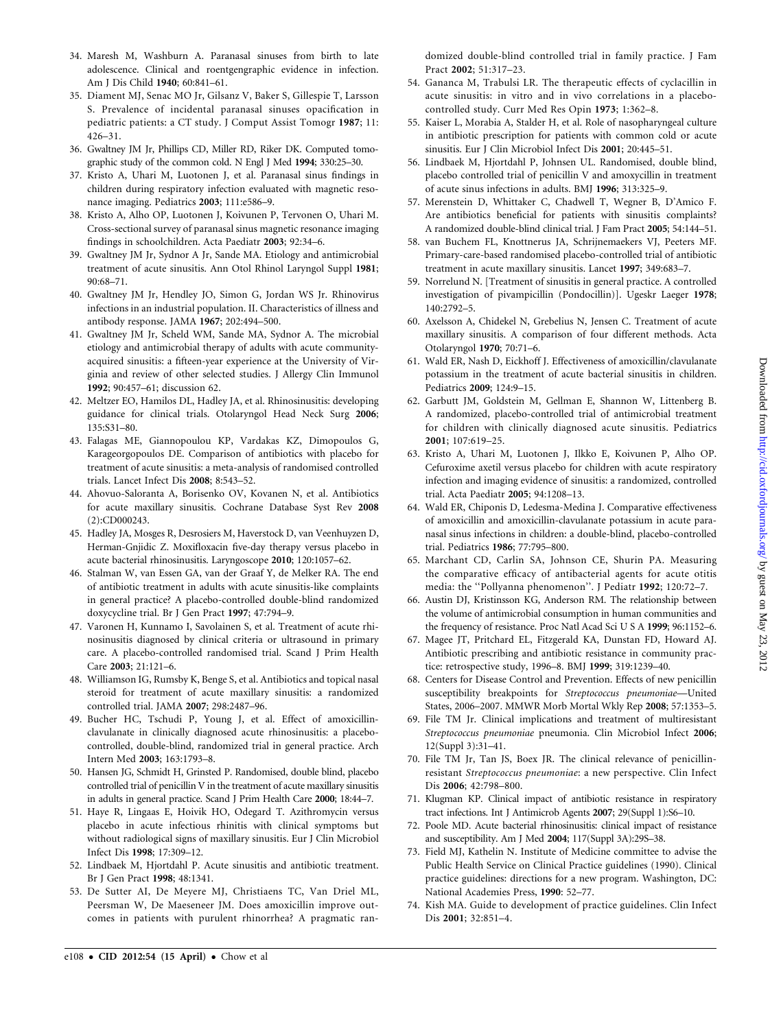- <span id="page-36-0"></span>34. Maresh M, Washburn A. Paranasal sinuses from birth to late adolescence. Clinical and roentgengraphic evidence in infection. Am J Dis Child 1940; 60:841–61.
- 35. Diament MJ, Senac MO Jr, Gilsanz V, Baker S, Gillespie T, Larsson S. Prevalence of incidental paranasal sinuses opacification in pediatric patients: a CT study. J Comput Assist Tomogr 1987; 11: 426–31.
- 36. Gwaltney JM Jr, Phillips CD, Miller RD, Riker DK. Computed tomographic study of the common cold. N Engl J Med 1994; 330:25–30.
- 37. Kristo A, Uhari M, Luotonen J, et al. Paranasal sinus findings in children during respiratory infection evaluated with magnetic resonance imaging. Pediatrics 2003; 111:e586–9.
- 38. Kristo A, Alho OP, Luotonen J, Koivunen P, Tervonen O, Uhari M. Cross-sectional survey of paranasal sinus magnetic resonance imaging findings in schoolchildren. Acta Paediatr 2003; 92:34–6.
- 39. Gwaltney JM Jr, Sydnor A Jr, Sande MA. Etiology and antimicrobial treatment of acute sinusitis. Ann Otol Rhinol Laryngol Suppl 1981; 90:68–71.
- 40. Gwaltney JM Jr, Hendley JO, Simon G, Jordan WS Jr. Rhinovirus infections in an industrial population. II. Characteristics of illness and antibody response. JAMA 1967; 202:494–500.
- 41. Gwaltney JM Jr, Scheld WM, Sande MA, Sydnor A. The microbial etiology and antimicrobial therapy of adults with acute communityacquired sinusitis: a fifteen-year experience at the University of Virginia and review of other selected studies. J Allergy Clin Immunol 1992; 90:457–61; discussion 62.
- 42. Meltzer EO, Hamilos DL, Hadley JA, et al. Rhinosinusitis: developing guidance for clinical trials. Otolaryngol Head Neck Surg 2006; 135:S31–80.
- 43. Falagas ME, Giannopoulou KP, Vardakas KZ, Dimopoulos G, Karageorgopoulos DE. Comparison of antibiotics with placebo for treatment of acute sinusitis: a meta-analysis of randomised controlled trials. Lancet Infect Dis 2008; 8:543–52.
- 44. Ahovuo-Saloranta A, Borisenko OV, Kovanen N, et al. Antibiotics for acute maxillary sinusitis. Cochrane Database Syst Rev 2008 (2):CD000243.
- 45. Hadley JA, Mosges R, Desrosiers M, Haverstock D, van Veenhuyzen D, Herman-Gnjidic Z. Moxifloxacin five-day therapy versus placebo in acute bacterial rhinosinusitis. Laryngoscope 2010; 120:1057–62.
- 46. Stalman W, van Essen GA, van der Graaf Y, de Melker RA. The end of antibiotic treatment in adults with acute sinusitis-like complaints in general practice? A placebo-controlled double-blind randomized doxycycline trial. Br J Gen Pract 1997; 47:794–9.
- 47. Varonen H, Kunnamo I, Savolainen S, et al. Treatment of acute rhinosinusitis diagnosed by clinical criteria or ultrasound in primary care. A placebo-controlled randomised trial. Scand J Prim Health Care 2003; 21:121–6.
- 48. Williamson IG, Rumsby K, Benge S, et al. Antibiotics and topical nasal steroid for treatment of acute maxillary sinusitis: a randomized controlled trial. JAMA 2007; 298:2487–96.
- 49. Bucher HC, Tschudi P, Young J, et al. Effect of amoxicillinclavulanate in clinically diagnosed acute rhinosinusitis: a placebocontrolled, double-blind, randomized trial in general practice. Arch Intern Med 2003; 163:1793–8.
- 50. Hansen JG, Schmidt H, Grinsted P. Randomised, double blind, placebo controlled trial of penicillin V in the treatment of acute maxillary sinusitis in adults in general practice. Scand J Prim Health Care 2000; 18:44–7.
- 51. Haye R, Lingaas E, Hoivik HO, Odegard T. Azithromycin versus placebo in acute infectious rhinitis with clinical symptoms but without radiological signs of maxillary sinusitis. Eur J Clin Microbiol Infect Dis 1998; 17:309–12.
- 52. Lindbaek M, Hjortdahl P. Acute sinusitis and antibiotic treatment. Br J Gen Pract 1998; 48:1341.
- 53. De Sutter AI, De Meyere MJ, Christiaens TC, Van Driel ML, Peersman W, De Maeseneer JM. Does amoxicillin improve outcomes in patients with purulent rhinorrhea? A pragmatic ran-

domized double-blind controlled trial in family practice. J Fam Pract 2002; 51:317–23.

- 54. Gananca M, Trabulsi LR. The therapeutic effects of cyclacillin in acute sinusitis: in vitro and in vivo correlations in a placebocontrolled study. Curr Med Res Opin 1973; 1:362–8.
- 55. Kaiser L, Morabia A, Stalder H, et al. Role of nasopharyngeal culture in antibiotic prescription for patients with common cold or acute sinusitis. Eur J Clin Microbiol Infect Dis 2001; 20:445–51.
- 56. Lindbaek M, Hjortdahl P, Johnsen UL. Randomised, double blind, placebo controlled trial of penicillin V and amoxycillin in treatment of acute sinus infections in adults. BMJ 1996; 313:325–9.
- 57. Merenstein D, Whittaker C, Chadwell T, Wegner B, D'Amico F. Are antibiotics beneficial for patients with sinusitis complaints? A randomized double-blind clinical trial. J Fam Pract 2005; 54:144–51.
- 58. van Buchem FL, Knottnerus JA, Schrijnemaekers VJ, Peeters MF. Primary-care-based randomised placebo-controlled trial of antibiotic treatment in acute maxillary sinusitis. Lancet 1997; 349:683–7.
- 59. Norrelund N. [Treatment of sinusitis in general practice. A controlled investigation of pivampicillin (Pondocillin)]. Ugeskr Laeger 1978; 140:2792–5.
- 60. Axelsson A, Chidekel N, Grebelius N, Jensen C. Treatment of acute maxillary sinusitis. A comparison of four different methods. Acta Otolaryngol 1970; 70:71–6.
- 61. Wald ER, Nash D, Eickhoff J. Effectiveness of amoxicillin/clavulanate potassium in the treatment of acute bacterial sinusitis in children. Pediatrics 2009; 124:9–15.
- 62. Garbutt JM, Goldstein M, Gellman E, Shannon W, Littenberg B. A randomized, placebo-controlled trial of antimicrobial treatment for children with clinically diagnosed acute sinusitis. Pediatrics 2001; 107:619–25.
- 63. Kristo A, Uhari M, Luotonen J, Ilkko E, Koivunen P, Alho OP. Cefuroxime axetil versus placebo for children with acute respiratory infection and imaging evidence of sinusitis: a randomized, controlled trial. Acta Paediatr 2005; 94:1208–13.
- 64. Wald ER, Chiponis D, Ledesma-Medina J. Comparative effectiveness of amoxicillin and amoxicillin-clavulanate potassium in acute paranasal sinus infections in children: a double-blind, placebo-controlled trial. Pediatrics 1986; 77:795–800.
- 65. Marchant CD, Carlin SA, Johnson CE, Shurin PA. Measuring the comparative efficacy of antibacterial agents for acute otitis media: the ''Pollyanna phenomenon''. J Pediatr 1992; 120:72–7.
- 66. Austin DJ, Kristinsson KG, Anderson RM. The relationship between the volume of antimicrobial consumption in human communities and the frequency of resistance. Proc Natl Acad Sci U S A 1999; 96:1152–6.
- 67. Magee JT, Pritchard EL, Fitzgerald KA, Dunstan FD, Howard AJ. Antibiotic prescribing and antibiotic resistance in community practice: retrospective study, 1996–8. BMJ 1999; 319:1239–40.
- 68. Centers for Disease Control and Prevention. Effects of new penicillin susceptibility breakpoints for Streptococcus pneumoniae—United States, 2006–2007. MMWR Morb Mortal Wkly Rep 2008; 57:1353–5.
- 69. File TM Jr. Clinical implications and treatment of multiresistant Streptococcus pneumoniae pneumonia. Clin Microbiol Infect 2006; 12(Suppl 3):31–41.
- 70. File TM Jr, Tan JS, Boex JR. The clinical relevance of penicillinresistant Streptococcus pneumoniae: a new perspective. Clin Infect Dis 2006; 42:798–800.
- 71. Klugman KP. Clinical impact of antibiotic resistance in respiratory tract infections. Int J Antimicrob Agents 2007; 29(Suppl 1):S6–10.
- 72. Poole MD. Acute bacterial rhinosinusitis: clinical impact of resistance and susceptibility. Am J Med 2004; 117(Suppl 3A):29S–38.
- 73. Field MJ, Kathelin N. Institute of Medicine committee to advise the Public Health Service on Clinical Practice guidelines (1990). Clinical practice guidelines: directions for a new program. Washington, DC: National Academies Press, 1990: 52–77.
- 74. Kish MA. Guide to development of practice guidelines. Clin Infect Dis 2001; 32:851–4.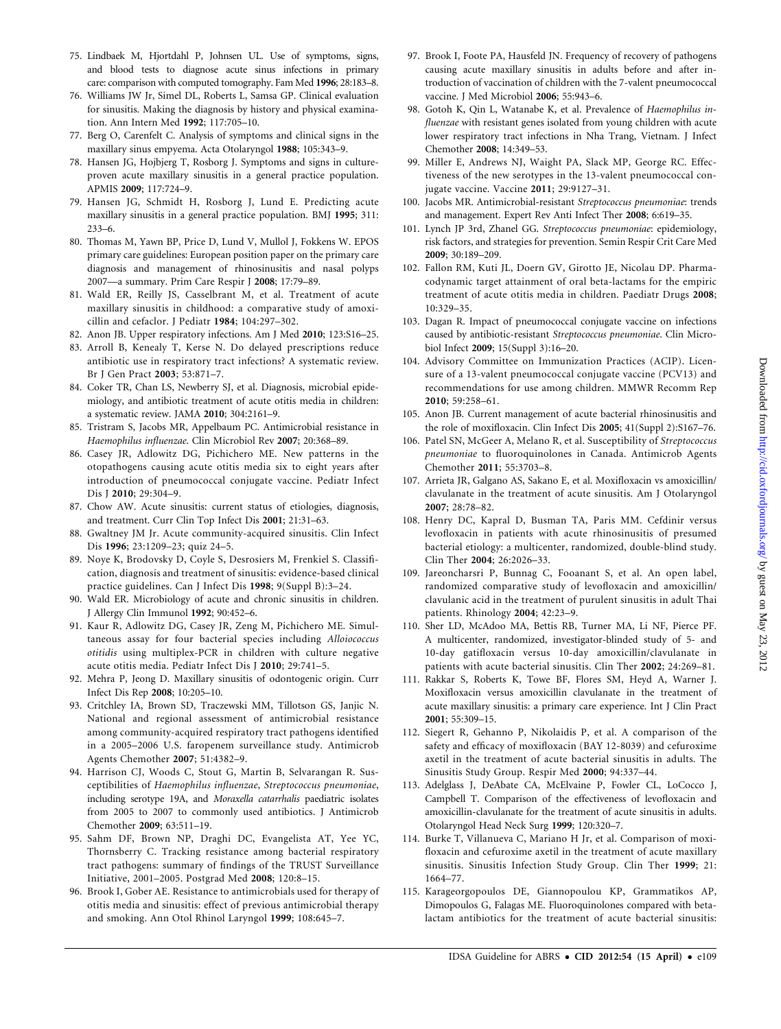- <span id="page-37-0"></span>75. Lindbaek M, Hjortdahl P, Johnsen UL. Use of symptoms, signs, and blood tests to diagnose acute sinus infections in primary care: comparison with computed tomography. Fam Med 1996; 28:183–8.
- 76. Williams JW Jr, Simel DL, Roberts L, Samsa GP. Clinical evaluation for sinusitis. Making the diagnosis by history and physical examination. Ann Intern Med 1992; 117:705–10.
- 77. Berg O, Carenfelt C. Analysis of symptoms and clinical signs in the maxillary sinus empyema. Acta Otolaryngol 1988; 105:343–9.
- 78. Hansen JG, Hojbjerg T, Rosborg J. Symptoms and signs in cultureproven acute maxillary sinusitis in a general practice population. APMIS 2009; 117:724–9.
- 79. Hansen JG, Schmidt H, Rosborg J, Lund E. Predicting acute maxillary sinusitis in a general practice population. BMJ 1995; 311: 233–6.
- 80. Thomas M, Yawn BP, Price D, Lund V, Mullol J, Fokkens W. EPOS primary care guidelines: European position paper on the primary care diagnosis and management of rhinosinusitis and nasal polyps 2007—a summary. Prim Care Respir J 2008; 17:79–89.
- 81. Wald ER, Reilly JS, Casselbrant M, et al. Treatment of acute maxillary sinusitis in childhood: a comparative study of amoxicillin and cefaclor. J Pediatr 1984; 104:297–302.
- 82. Anon JB. Upper respiratory infections. Am J Med 2010; 123:S16–25.
- 83. Arroll B, Kenealy T, Kerse N. Do delayed prescriptions reduce antibiotic use in respiratory tract infections? A systematic review. Br J Gen Pract 2003; 53:871–7.
- 84. Coker TR, Chan LS, Newberry SJ, et al. Diagnosis, microbial epidemiology, and antibiotic treatment of acute otitis media in children: a systematic review. JAMA 2010; 304:2161–9.
- 85. Tristram S, Jacobs MR, Appelbaum PC. Antimicrobial resistance in Haemophilus influenzae. Clin Microbiol Rev 2007; 20:368–89.
- 86. Casey JR, Adlowitz DG, Pichichero ME. New patterns in the otopathogens causing acute otitis media six to eight years after introduction of pneumococcal conjugate vaccine. Pediatr Infect Dis J 2010; 29:304–9.
- 87. Chow AW. Acute sinusitis: current status of etiologies, diagnosis, and treatment. Curr Clin Top Infect Dis 2001; 21:31–63.
- 88. Gwaltney JM Jr. Acute community-acquired sinusitis. Clin Infect Dis 1996; 23:1209–23; quiz 24–5.
- 89. Noye K, Brodovsky D, Coyle S, Desrosiers M, Frenkiel S. Classification, diagnosis and treatment of sinusitis: evidence-based clinical practice guidelines. Can J Infect Dis 1998; 9(Suppl B):3–24.
- 90. Wald ER. Microbiology of acute and chronic sinusitis in children. J Allergy Clin Immunol 1992; 90:452–6.
- 91. Kaur R, Adlowitz DG, Casey JR, Zeng M, Pichichero ME. Simultaneous assay for four bacterial species including Alloiococcus otitidis using multiplex-PCR in children with culture negative acute otitis media. Pediatr Infect Dis J 2010; 29:741–5.
- 92. Mehra P, Jeong D. Maxillary sinusitis of odontogenic origin. Curr Infect Dis Rep 2008; 10:205–10.
- 93. Critchley IA, Brown SD, Traczewski MM, Tillotson GS, Janjic N. National and regional assessment of antimicrobial resistance among community-acquired respiratory tract pathogens identified in a 2005–2006 U.S. faropenem surveillance study. Antimicrob Agents Chemother 2007; 51:4382–9.
- 94. Harrison CJ, Woods C, Stout G, Martin B, Selvarangan R. Susceptibilities of Haemophilus influenzae, Streptococcus pneumoniae, including serotype 19A, and Moraxella catarrhalis paediatric isolates from 2005 to 2007 to commonly used antibiotics. J Antimicrob Chemother 2009; 63:511–19.
- 95. Sahm DF, Brown NP, Draghi DC, Evangelista AT, Yee YC, Thornsberry C. Tracking resistance among bacterial respiratory tract pathogens: summary of findings of the TRUST Surveillance Initiative, 2001–2005. Postgrad Med 2008; 120:8–15.
- 96. Brook I, Gober AE. Resistance to antimicrobials used for therapy of otitis media and sinusitis: effect of previous antimicrobial therapy and smoking. Ann Otol Rhinol Laryngol 1999; 108:645–7.
- 97. Brook I, Foote PA, Hausfeld JN. Frequency of recovery of pathogens causing acute maxillary sinusitis in adults before and after introduction of vaccination of children with the 7-valent pneumococcal vaccine. J Med Microbiol 2006; 55:943–6.
- 98. Gotoh K, Qin L, Watanabe K, et al. Prevalence of Haemophilus influenzae with resistant genes isolated from young children with acute lower respiratory tract infections in Nha Trang, Vietnam. J Infect Chemother 2008; 14:349–53.
- 99. Miller E, Andrews NJ, Waight PA, Slack MP, George RC. Effectiveness of the new serotypes in the 13-valent pneumococcal conjugate vaccine. Vaccine 2011; 29:9127–31.
- 100. Jacobs MR. Antimicrobial-resistant Streptococcus pneumoniae: trends and management. Expert Rev Anti Infect Ther 2008; 6:619–35.
- 101. Lynch JP 3rd, Zhanel GG. Streptococcus pneumoniae: epidemiology, risk factors, and strategies for prevention. Semin Respir Crit Care Med 2009; 30:189–209.
- 102. Fallon RM, Kuti JL, Doern GV, Girotto JE, Nicolau DP. Pharmacodynamic target attainment of oral beta-lactams for the empiric treatment of acute otitis media in children. Paediatr Drugs 2008; 10:329–35.
- 103. Dagan R. Impact of pneumococcal conjugate vaccine on infections caused by antibiotic-resistant Streptococcus pneumoniae. Clin Microbiol Infect 2009; 15(Suppl 3):16–20.
- 104. Advisory Committee on Immunization Practices (ACIP). Licensure of a 13-valent pneumococcal conjugate vaccine (PCV13) and recommendations for use among children. MMWR Recomm Rep 2010; 59:258–61.
- 105. Anon JB. Current management of acute bacterial rhinosinusitis and the role of moxifloxacin. Clin Infect Dis 2005; 41(Suppl 2):S167–76.
- 106. Patel SN, McGeer A, Melano R, et al. Susceptibility of Streptococcus pneumoniae to fluoroquinolones in Canada. Antimicrob Agents Chemother 2011; 55:3703–8.
- 107. Arrieta JR, Galgano AS, Sakano E, et al. Moxifloxacin vs amoxicillin/ clavulanate in the treatment of acute sinusitis. Am J Otolaryngol 2007; 28:78–82.
- 108. Henry DC, Kapral D, Busman TA, Paris MM. Cefdinir versus levofloxacin in patients with acute rhinosinusitis of presumed bacterial etiology: a multicenter, randomized, double-blind study. Clin Ther 2004; 26:2026–33.
- 109. Jareoncharsri P, Bunnag C, Fooanant S, et al. An open label, randomized comparative study of levofloxacin and amoxicillin/ clavulanic acid in the treatment of purulent sinusitis in adult Thai patients. Rhinology 2004; 42:23–9.
- 110. Sher LD, McAdoo MA, Bettis RB, Turner MA, Li NF, Pierce PF. A multicenter, randomized, investigator-blinded study of 5- and 10-day gatifloxacin versus 10-day amoxicillin/clavulanate in patients with acute bacterial sinusitis. Clin Ther 2002; 24:269–81.
- 111. Rakkar S, Roberts K, Towe BF, Flores SM, Heyd A, Warner J. Moxifloxacin versus amoxicillin clavulanate in the treatment of acute maxillary sinusitis: a primary care experience. Int J Clin Pract 2001; 55:309–15.
- 112. Siegert R, Gehanno P, Nikolaidis P, et al. A comparison of the safety and efficacy of moxifloxacin (BAY 12-8039) and cefuroxime axetil in the treatment of acute bacterial sinusitis in adults. The Sinusitis Study Group. Respir Med 2000; 94:337–44.
- 113. Adelglass J, DeAbate CA, McElvaine P, Fowler CL, LoCocco J, Campbell T. Comparison of the effectiveness of levofloxacin and amoxicillin-clavulanate for the treatment of acute sinusitis in adults. Otolaryngol Head Neck Surg 1999; 120:320–7.
- 114. Burke T, Villanueva C, Mariano H Jr, et al. Comparison of moxifloxacin and cefuroxime axetil in the treatment of acute maxillary sinusitis. Sinusitis Infection Study Group. Clin Ther 1999; 21: 1664–77.
- 115. Karageorgopoulos DE, Giannopoulou KP, Grammatikos AP, Dimopoulos G, Falagas ME. Fluoroquinolones compared with betalactam antibiotics for the treatment of acute bacterial sinusitis: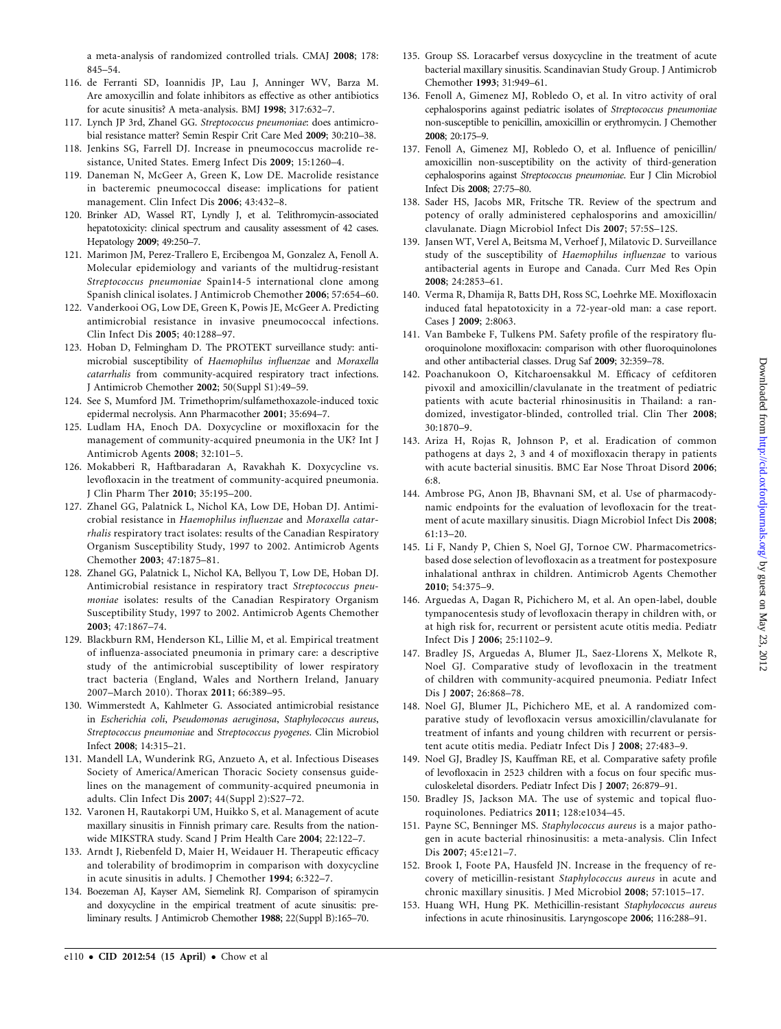Downloaded from http://cid.oxfordjournals.org/ by guest on May 23, 2012 Downloaded from <http://cid.oxfordjournals.org/> by guest on May 23, 2012

<span id="page-38-0"></span>a meta-analysis of randomized controlled trials. CMAJ 2008; 178: 845–54.

- 116. de Ferranti SD, Ioannidis JP, Lau J, Anninger WV, Barza M. Are amoxycillin and folate inhibitors as effective as other antibiotics for acute sinusitis? A meta-analysis. BMJ 1998; 317:632–7.
- 117. Lynch JP 3rd, Zhanel GG. Streptococcus pneumoniae: does antimicrobial resistance matter? Semin Respir Crit Care Med 2009; 30:210–38.
- 118. Jenkins SG, Farrell DJ. Increase in pneumococcus macrolide resistance, United States. Emerg Infect Dis 2009; 15:1260–4.
- 119. Daneman N, McGeer A, Green K, Low DE. Macrolide resistance in bacteremic pneumococcal disease: implications for patient management. Clin Infect Dis 2006; 43:432–8.
- 120. Brinker AD, Wassel RT, Lyndly J, et al. Telithromycin-associated hepatotoxicity: clinical spectrum and causality assessment of 42 cases. Hepatology 2009; 49:250–7.
- 121. Marimon JM, Perez-Trallero E, Ercibengoa M, Gonzalez A, Fenoll A. Molecular epidemiology and variants of the multidrug-resistant Streptococcus pneumoniae Spain14-5 international clone among Spanish clinical isolates. J Antimicrob Chemother 2006; 57:654–60.
- 122. Vanderkooi OG, Low DE, Green K, Powis JE, McGeer A. Predicting antimicrobial resistance in invasive pneumococcal infections. Clin Infect Dis 2005; 40:1288–97.
- 123. Hoban D, Felmingham D. The PROTEKT surveillance study: antimicrobial susceptibility of Haemophilus influenzae and Moraxella catarrhalis from community-acquired respiratory tract infections. J Antimicrob Chemother 2002; 50(Suppl S1):49–59.
- 124. See S, Mumford JM. Trimethoprim/sulfamethoxazole-induced toxic epidermal necrolysis. Ann Pharmacother 2001; 35:694–7.
- 125. Ludlam HA, Enoch DA. Doxycycline or moxifloxacin for the management of community-acquired pneumonia in the UK? Int J Antimicrob Agents 2008; 32:101–5.
- 126. Mokabberi R, Haftbaradaran A, Ravakhah K. Doxycycline vs. levofloxacin in the treatment of community-acquired pneumonia. J Clin Pharm Ther 2010; 35:195–200.
- 127. Zhanel GG, Palatnick L, Nichol KA, Low DE, Hoban DJ. Antimicrobial resistance in Haemophilus influenzae and Moraxella catarrhalis respiratory tract isolates: results of the Canadian Respiratory Organism Susceptibility Study, 1997 to 2002. Antimicrob Agents Chemother 2003; 47:1875–81.
- 128. Zhanel GG, Palatnick L, Nichol KA, Bellyou T, Low DE, Hoban DJ. Antimicrobial resistance in respiratory tract Streptococcus pneumoniae isolates: results of the Canadian Respiratory Organism Susceptibility Study, 1997 to 2002. Antimicrob Agents Chemother 2003; 47:1867–74.
- 129. Blackburn RM, Henderson KL, Lillie M, et al. Empirical treatment of influenza-associated pneumonia in primary care: a descriptive study of the antimicrobial susceptibility of lower respiratory tract bacteria (England, Wales and Northern Ireland, January 2007–March 2010). Thorax 2011; 66:389–95.
- 130. Wimmerstedt A, Kahlmeter G. Associated antimicrobial resistance in Escherichia coli, Pseudomonas aeruginosa, Staphylococcus aureus, Streptococcus pneumoniae and Streptococcus pyogenes. Clin Microbiol Infect 2008; 14:315–21.
- 131. Mandell LA, Wunderink RG, Anzueto A, et al. Infectious Diseases Society of America/American Thoracic Society consensus guidelines on the management of community-acquired pneumonia in adults. Clin Infect Dis 2007; 44(Suppl 2):S27–72.
- 132. Varonen H, Rautakorpi UM, Huikko S, et al. Management of acute maxillary sinusitis in Finnish primary care. Results from the nationwide MIKSTRA study. Scand J Prim Health Care 2004; 22:122–7.
- 133. Arndt J, Riebenfeld D, Maier H, Weidauer H. Therapeutic efficacy and tolerability of brodimoprim in comparison with doxycycline in acute sinusitis in adults. J Chemother 1994; 6:322–7.
- 134. Boezeman AJ, Kayser AM, Siemelink RJ. Comparison of spiramycin and doxycycline in the empirical treatment of acute sinusitis: preliminary results. J Antimicrob Chemother 1988; 22(Suppl B):165–70.
- 135. Group SS. Loracarbef versus doxycycline in the treatment of acute bacterial maxillary sinusitis. Scandinavian Study Group. J Antimicrob Chemother 1993; 31:949–61.
- 136. Fenoll A, Gimenez MJ, Robledo O, et al. In vitro activity of oral cephalosporins against pediatric isolates of Streptococcus pneumoniae non-susceptible to penicillin, amoxicillin or erythromycin. J Chemother 2008; 20:175–9.
- 137. Fenoll A, Gimenez MJ, Robledo O, et al. Influence of penicillin/ amoxicillin non-susceptibility on the activity of third-generation cephalosporins against Streptococcus pneumoniae. Eur J Clin Microbiol Infect Dis 2008; 27:75–80.
- 138. Sader HS, Jacobs MR, Fritsche TR. Review of the spectrum and potency of orally administered cephalosporins and amoxicillin/ clavulanate. Diagn Microbiol Infect Dis 2007; 57:5S–12S.
- 139. Jansen WT, Verel A, Beitsma M, Verhoef J, Milatovic D. Surveillance study of the susceptibility of Haemophilus influenzae to various antibacterial agents in Europe and Canada. Curr Med Res Opin 2008; 24:2853–61.
- 140. Verma R, Dhamija R, Batts DH, Ross SC, Loehrke ME. Moxifloxacin induced fatal hepatotoxicity in a 72-year-old man: a case report. Cases J 2009; 2:8063.
- 141. Van Bambeke F, Tulkens PM. Safety profile of the respiratory fluoroquinolone moxifloxacin: comparison with other fluoroquinolones and other antibacterial classes. Drug Saf 2009; 32:359–78.
- 142. Poachanukoon O, Kitcharoensakkul M. Efficacy of cefditoren pivoxil and amoxicillin/clavulanate in the treatment of pediatric patients with acute bacterial rhinosinusitis in Thailand: a randomized, investigator-blinded, controlled trial. Clin Ther 2008; 30:1870–9.
- 143. Ariza H, Rojas R, Johnson P, et al. Eradication of common pathogens at days 2, 3 and 4 of moxifloxacin therapy in patients with acute bacterial sinusitis. BMC Ear Nose Throat Disord 2006; 6:8.
- 144. Ambrose PG, Anon JB, Bhavnani SM, et al. Use of pharmacodynamic endpoints for the evaluation of levofloxacin for the treatment of acute maxillary sinusitis. Diagn Microbiol Infect Dis 2008; 61:13–20.
- 145. Li F, Nandy P, Chien S, Noel GJ, Tornoe CW. Pharmacometricsbased dose selection of levofloxacin as a treatment for postexposure inhalational anthrax in children. Antimicrob Agents Chemother 2010; 54:375–9.
- 146. Arguedas A, Dagan R, Pichichero M, et al. An open-label, double tympanocentesis study of levofloxacin therapy in children with, or at high risk for, recurrent or persistent acute otitis media. Pediatr Infect Dis J 2006; 25:1102–9.
- 147. Bradley JS, Arguedas A, Blumer JL, Saez-Llorens X, Melkote R, Noel GJ. Comparative study of levofloxacin in the treatment of children with community-acquired pneumonia. Pediatr Infect Dis J 2007; 26:868–78.
- 148. Noel GJ, Blumer JL, Pichichero ME, et al. A randomized comparative study of levofloxacin versus amoxicillin/clavulanate for treatment of infants and young children with recurrent or persistent acute otitis media. Pediatr Infect Dis J 2008; 27:483–9.
- 149. Noel GJ, Bradley JS, Kauffman RE, et al. Comparative safety profile of levofloxacin in 2523 children with a focus on four specific musculoskeletal disorders. Pediatr Infect Dis J 2007; 26:879–91.
- 150. Bradley JS, Jackson MA. The use of systemic and topical fluoroquinolones. Pediatrics 2011; 128:e1034–45.
- 151. Payne SC, Benninger MS. Staphylococcus aureus is a major pathogen in acute bacterial rhinosinusitis: a meta-analysis. Clin Infect Dis 2007; 45:e121–7.
- 152. Brook I, Foote PA, Hausfeld JN. Increase in the frequency of recovery of meticillin-resistant Staphylococcus aureus in acute and chronic maxillary sinusitis. J Med Microbiol 2008; 57:1015–17.
- 153. Huang WH, Hung PK. Methicillin-resistant Staphylococcus aureus infections in acute rhinosinusitis. Laryngoscope 2006; 116:288–91.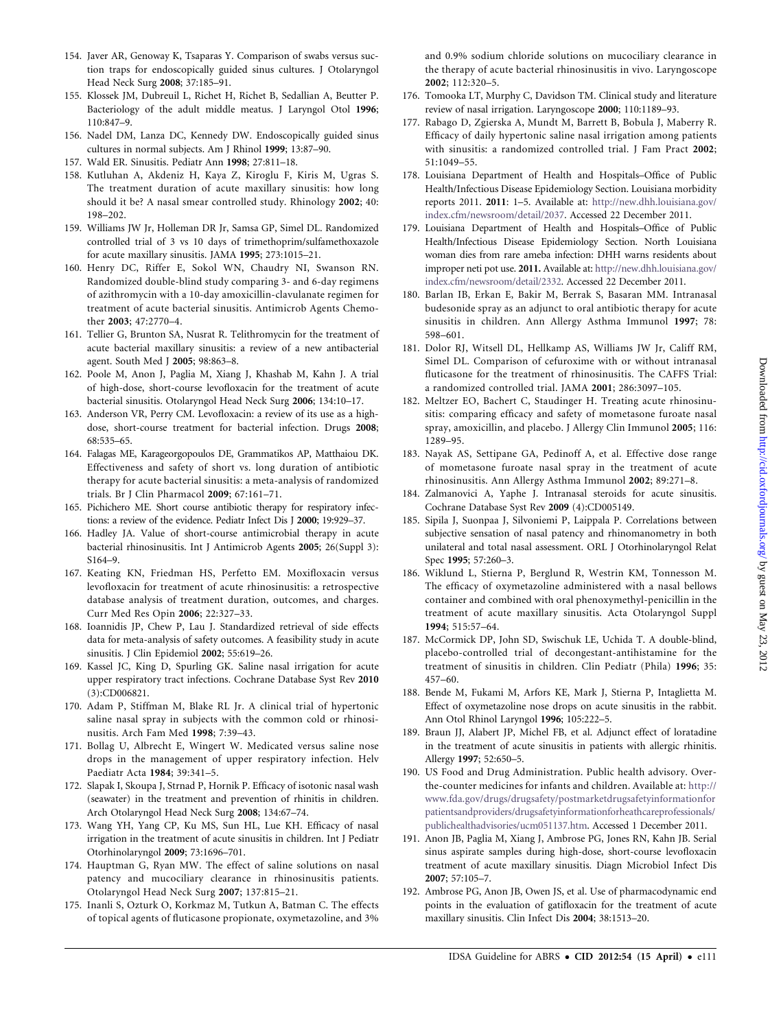- <span id="page-39-0"></span>154. Javer AR, Genoway K, Tsaparas Y. Comparison of swabs versus suction traps for endoscopically guided sinus cultures. J Otolaryngol Head Neck Surg 2008; 37:185–91.
- 155. Klossek JM, Dubreuil L, Richet H, Richet B, Sedallian A, Beutter P. Bacteriology of the adult middle meatus. J Laryngol Otol 1996; 110:847–9.
- 156. Nadel DM, Lanza DC, Kennedy DW. Endoscopically guided sinus cultures in normal subjects. Am J Rhinol 1999; 13:87–90.
- 157. Wald ER. Sinusitis. Pediatr Ann 1998; 27:811–18.
- 158. Kutluhan A, Akdeniz H, Kaya Z, Kiroglu F, Kiris M, Ugras S. The treatment duration of acute maxillary sinusitis: how long should it be? A nasal smear controlled study. Rhinology 2002; 40: 198–202.
- 159. Williams JW Jr, Holleman DR Jr, Samsa GP, Simel DL. Randomized controlled trial of 3 vs 10 days of trimethoprim/sulfamethoxazole for acute maxillary sinusitis. JAMA 1995; 273:1015–21.
- 160. Henry DC, Riffer E, Sokol WN, Chaudry NI, Swanson RN. Randomized double-blind study comparing 3- and 6-day regimens of azithromycin with a 10-day amoxicillin-clavulanate regimen for treatment of acute bacterial sinusitis. Antimicrob Agents Chemother 2003; 47:2770–4.
- 161. Tellier G, Brunton SA, Nusrat R. Telithromycin for the treatment of acute bacterial maxillary sinusitis: a review of a new antibacterial agent. South Med J 2005; 98:863–8.
- 162. Poole M, Anon J, Paglia M, Xiang J, Khashab M, Kahn J. A trial of high-dose, short-course levofloxacin for the treatment of acute bacterial sinusitis. Otolaryngol Head Neck Surg 2006; 134:10–17.
- 163. Anderson VR, Perry CM. Levofloxacin: a review of its use as a highdose, short-course treatment for bacterial infection. Drugs 2008; 68:535–65.
- 164. Falagas ME, Karageorgopoulos DE, Grammatikos AP, Matthaiou DK. Effectiveness and safety of short vs. long duration of antibiotic therapy for acute bacterial sinusitis: a meta-analysis of randomized trials. Br J Clin Pharmacol 2009; 67:161–71.
- 165. Pichichero ME. Short course antibiotic therapy for respiratory infections: a review of the evidence. Pediatr Infect Dis J 2000; 19:929–37.
- 166. Hadley JA. Value of short-course antimicrobial therapy in acute bacterial rhinosinusitis. Int J Antimicrob Agents 2005; 26(Suppl 3): S164–9.
- 167. Keating KN, Friedman HS, Perfetto EM. Moxifloxacin versus levofloxacin for treatment of acute rhinosinusitis: a retrospective database analysis of treatment duration, outcomes, and charges. Curr Med Res Opin 2006; 22:327–33.
- 168. Ioannidis JP, Chew P, Lau J. Standardized retrieval of side effects data for meta-analysis of safety outcomes. A feasibility study in acute sinusitis. J Clin Epidemiol 2002; 55:619–26.
- 169. Kassel JC, King D, Spurling GK. Saline nasal irrigation for acute upper respiratory tract infections. Cochrane Database Syst Rev 2010 (3):CD006821.
- 170. Adam P, Stiffman M, Blake RL Jr. A clinical trial of hypertonic saline nasal spray in subjects with the common cold or rhinosinusitis. Arch Fam Med 1998; 7:39–43.
- 171. Bollag U, Albrecht E, Wingert W. Medicated versus saline nose drops in the management of upper respiratory infection. Helv Paediatr Acta 1984; 39:341–5.
- 172. Slapak I, Skoupa J, Strnad P, Hornik P. Efficacy of isotonic nasal wash (seawater) in the treatment and prevention of rhinitis in children. Arch Otolaryngol Head Neck Surg 2008; 134:67–74.
- 173. Wang YH, Yang CP, Ku MS, Sun HL, Lue KH. Efficacy of nasal irrigation in the treatment of acute sinusitis in children. Int J Pediatr Otorhinolaryngol 2009; 73:1696–701.
- 174. Hauptman G, Ryan MW. The effect of saline solutions on nasal patency and mucociliary clearance in rhinosinusitis patients. Otolaryngol Head Neck Surg 2007; 137:815–21.
- 175. Inanli S, Ozturk O, Korkmaz M, Tutkun A, Batman C. The effects of topical agents of fluticasone propionate, oxymetazoline, and 3%

and 0.9% sodium chloride solutions on mucociliary clearance in the therapy of acute bacterial rhinosinusitis in vivo. Laryngoscope 2002; 112:320–5.

- 176. Tomooka LT, Murphy C, Davidson TM. Clinical study and literature review of nasal irrigation. Laryngoscope 2000; 110:1189–93.
- 177. Rabago D, Zgierska A, Mundt M, Barrett B, Bobula J, Maberry R. Efficacy of daily hypertonic saline nasal irrigation among patients with sinusitis: a randomized controlled trial. J Fam Pract 2002; 51:1049–55.
- 178. Louisiana Department of Health and Hospitals–Office of Public Health/Infectious Disease Epidemiology Section. Louisiana morbidity reports 2011. 2011: 1–5. Available at: [http://new.dhh.louisiana.gov/](http://new.dhh.louisiana.gov/index.cfm/newsroom/detail/2037) [index.cfm/newsroom/detail/2037](http://new.dhh.louisiana.gov/index.cfm/newsroom/detail/2037). Accessed 22 December 2011.
- 179. Louisiana Department of Health and Hospitals–Office of Public Health/Infectious Disease Epidemiology Section. North Louisiana woman dies from rare ameba infection: DHH warns residents about improper neti pot use. 2011. Available at: [http://new.dhh.louisiana.gov/](http://new.dhh.louisiana.gov/index.cfm/newsroom/detail/2332) [index.cfm/newsroom/detail/2332.](http://new.dhh.louisiana.gov/index.cfm/newsroom/detail/2332) Accessed 22 December 2011.
- 180. Barlan IB, Erkan E, Bakir M, Berrak S, Basaran MM. Intranasal budesonide spray as an adjunct to oral antibiotic therapy for acute sinusitis in children. Ann Allergy Asthma Immunol 1997; 78: 598–601.
- 181. Dolor RJ, Witsell DL, Hellkamp AS, Williams JW Jr, Califf RM, Simel DL. Comparison of cefuroxime with or without intranasal fluticasone for the treatment of rhinosinusitis. The CAFFS Trial: a randomized controlled trial. JAMA 2001; 286:3097–105.
- 182. Meltzer EO, Bachert C, Staudinger H. Treating acute rhinosinusitis: comparing efficacy and safety of mometasone furoate nasal spray, amoxicillin, and placebo. J Allergy Clin Immunol 2005; 116: 1289–95.
- 183. Nayak AS, Settipane GA, Pedinoff A, et al. Effective dose range of mometasone furoate nasal spray in the treatment of acute rhinosinusitis. Ann Allergy Asthma Immunol 2002; 89:271–8.
- 184. Zalmanovici A, Yaphe J. Intranasal steroids for acute sinusitis. Cochrane Database Syst Rev 2009 (4):CD005149.
- 185. Sipila J, Suonpaa J, Silvoniemi P, Laippala P. Correlations between subjective sensation of nasal patency and rhinomanometry in both unilateral and total nasal assessment. ORL J Otorhinolaryngol Relat Spec 1995; 57:260–3.
- 186. Wiklund L, Stierna P, Berglund R, Westrin KM, Tonnesson M. The efficacy of oxymetazoline administered with a nasal bellows container and combined with oral phenoxymethyl-penicillin in the treatment of acute maxillary sinusitis. Acta Otolaryngol Suppl 1994; 515:57–64.
- 187. McCormick DP, John SD, Swischuk LE, Uchida T. A double-blind, placebo-controlled trial of decongestant-antihistamine for the treatment of sinusitis in children. Clin Pediatr (Phila) 1996; 35: 457–60.
- 188. Bende M, Fukami M, Arfors KE, Mark J, Stierna P, Intaglietta M. Effect of oxymetazoline nose drops on acute sinusitis in the rabbit. Ann Otol Rhinol Laryngol 1996; 105:222–5.
- 189. Braun JJ, Alabert JP, Michel FB, et al. Adjunct effect of loratadine in the treatment of acute sinusitis in patients with allergic rhinitis. Allergy 1997; 52:650–5.
- 190. US Food and Drug Administration. Public health advisory. Overthe-counter medicines for infants and children. Available at: [http://](http://www.fda.gov/drugs/drugsafety/postmarketdrugsafetyinformationforpatientsandproviders/drugsafetyinformationforheathcareprofessionals/publichealthadvisories/ucm051137.htm) [www.fda.gov/drugs/drugsafety/postmarketdrugsafetyinformationfor](http://www.fda.gov/drugs/drugsafety/postmarketdrugsafetyinformationforpatientsandproviders/drugsafetyinformationforheathcareprofessionals/publichealthadvisories/ucm051137.htm) [patientsandproviders/drugsafetyinformationforheathcareprofessionals/](http://www.fda.gov/drugs/drugsafety/postmarketdrugsafetyinformationforpatientsandproviders/drugsafetyinformationforheathcareprofessionals/publichealthadvisories/ucm051137.htm) [publichealthadvisories/ucm051137.htm](http://www.fda.gov/drugs/drugsafety/postmarketdrugsafetyinformationforpatientsandproviders/drugsafetyinformationforheathcareprofessionals/publichealthadvisories/ucm051137.htm). Accessed 1 December 2011.
- 191. Anon JB, Paglia M, Xiang J, Ambrose PG, Jones RN, Kahn JB. Serial sinus aspirate samples during high-dose, short-course levofloxacin treatment of acute maxillary sinusitis. Diagn Microbiol Infect Dis 2007; 57:105–7.
- 192. Ambrose PG, Anon JB, Owen JS, et al. Use of pharmacodynamic end points in the evaluation of gatifloxacin for the treatment of acute maxillary sinusitis. Clin Infect Dis 2004; 38:1513–20.